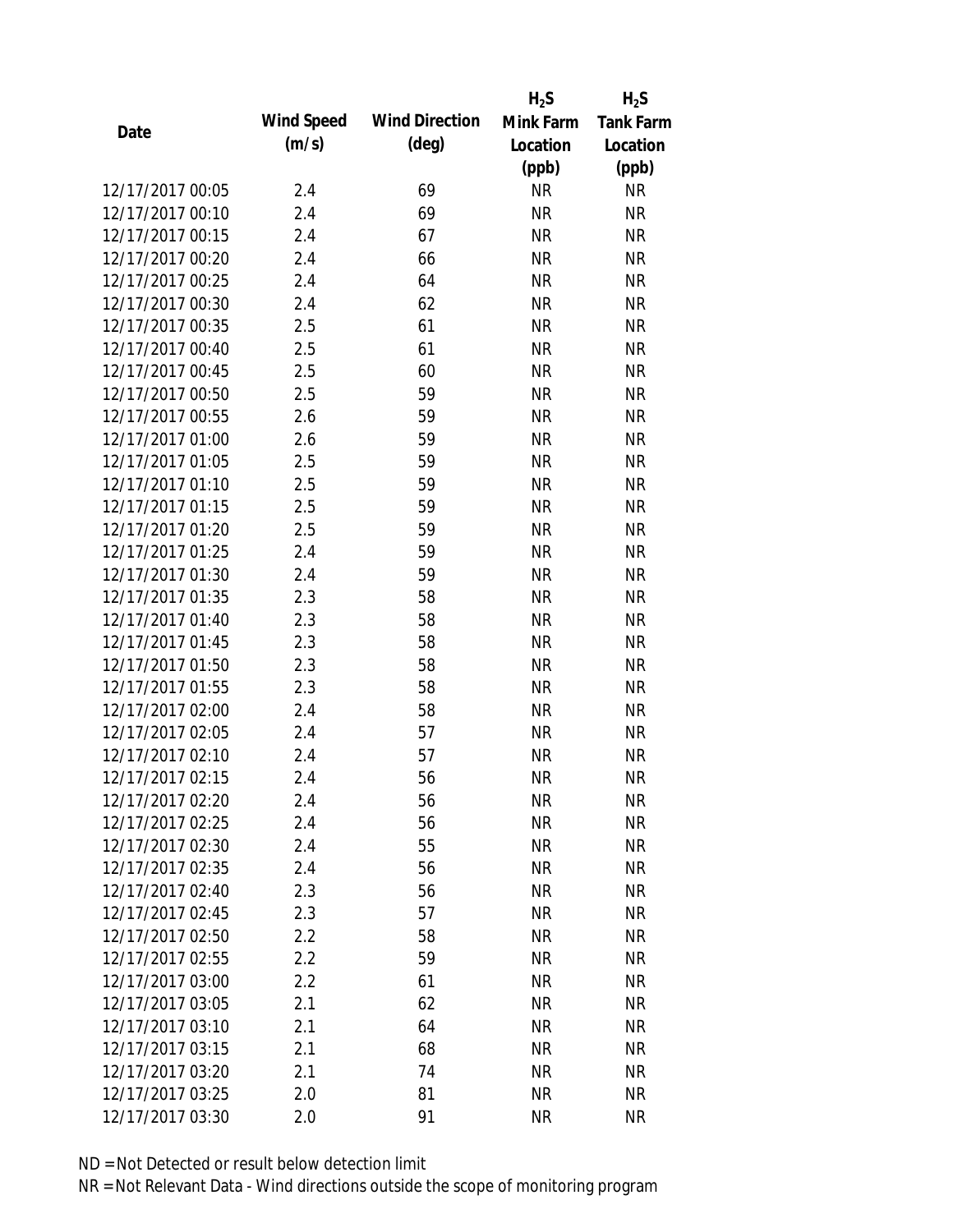|                  |            |                       | $H_2S$    | $H_2S$           |
|------------------|------------|-----------------------|-----------|------------------|
| Date             | Wind Speed | <b>Wind Direction</b> | Mink Farm | <b>Tank Farm</b> |
|                  | (m/s)      | $(\text{deg})$        | Location  | Location         |
|                  |            |                       | (ppb)     | (ppb)            |
| 12/17/2017 00:05 | 2.4        | 69                    | <b>NR</b> | <b>NR</b>        |
| 12/17/2017 00:10 | 2.4        | 69                    | <b>NR</b> | <b>NR</b>        |
| 12/17/2017 00:15 | 2.4        | 67                    | <b>NR</b> | <b>NR</b>        |
| 12/17/2017 00:20 | 2.4        | 66                    | <b>NR</b> | <b>NR</b>        |
| 12/17/2017 00:25 | 2.4        | 64                    | <b>NR</b> | <b>NR</b>        |
| 12/17/2017 00:30 | 2.4        | 62                    | <b>NR</b> | <b>NR</b>        |
| 12/17/2017 00:35 | 2.5        | 61                    | <b>NR</b> | <b>NR</b>        |
| 12/17/2017 00:40 | 2.5        | 61                    | <b>NR</b> | <b>NR</b>        |
| 12/17/2017 00:45 | 2.5        | 60                    | <b>NR</b> | <b>NR</b>        |
| 12/17/2017 00:50 | 2.5        | 59                    | <b>NR</b> | <b>NR</b>        |
| 12/17/2017 00:55 | 2.6        | 59                    | <b>NR</b> | <b>NR</b>        |
| 12/17/2017 01:00 | 2.6        | 59                    | <b>NR</b> | <b>NR</b>        |
| 12/17/2017 01:05 | 2.5        | 59                    | <b>NR</b> | <b>NR</b>        |
| 12/17/2017 01:10 | 2.5        | 59                    | <b>NR</b> | <b>NR</b>        |
| 12/17/2017 01:15 | 2.5        | 59                    | <b>NR</b> | <b>NR</b>        |
| 12/17/2017 01:20 | 2.5        | 59                    | <b>NR</b> | <b>NR</b>        |
| 12/17/2017 01:25 | 2.4        | 59                    | <b>NR</b> | <b>NR</b>        |
| 12/17/2017 01:30 | 2.4        | 59                    | <b>NR</b> | <b>NR</b>        |
| 12/17/2017 01:35 | 2.3        | 58                    | <b>NR</b> | <b>NR</b>        |
| 12/17/2017 01:40 | 2.3        | 58                    | <b>NR</b> | <b>NR</b>        |
| 12/17/2017 01:45 | 2.3        | 58                    | <b>NR</b> | <b>NR</b>        |
| 12/17/2017 01:50 | 2.3        | 58                    | <b>NR</b> | <b>NR</b>        |
| 12/17/2017 01:55 | 2.3        | 58                    | <b>NR</b> | <b>NR</b>        |
| 12/17/2017 02:00 | 2.4        | 58                    | <b>NR</b> | <b>NR</b>        |
| 12/17/2017 02:05 | 2.4        | 57                    | <b>NR</b> | <b>NR</b>        |
| 12/17/2017 02:10 | 2.4        | 57                    | <b>NR</b> | <b>NR</b>        |
| 12/17/2017 02:15 | 2.4        | 56                    | <b>NR</b> | <b>NR</b>        |
| 12/17/2017 02:20 | 2.4        | 56                    | <b>NR</b> | <b>NR</b>        |
| 12/17/2017 02:25 | 2.4        | 56                    | <b>NR</b> | <b>NR</b>        |
| 12/17/2017 02:30 | 2.4        | 55                    | NR        | <b>NR</b>        |
| 12/17/2017 02:35 | 2.4        | 56                    | <b>NR</b> | <b>NR</b>        |
| 12/17/2017 02:40 | 2.3        | 56                    | <b>NR</b> | <b>NR</b>        |
| 12/17/2017 02:45 | 2.3        | 57                    | <b>NR</b> | <b>NR</b>        |
| 12/17/2017 02:50 | 2.2        | 58                    | <b>NR</b> | <b>NR</b>        |
| 12/17/2017 02:55 | 2.2        | 59                    | <b>NR</b> | <b>NR</b>        |
| 12/17/2017 03:00 | 2.2        | 61                    | <b>NR</b> | <b>NR</b>        |
| 12/17/2017 03:05 | 2.1        | 62                    | NR        | <b>NR</b>        |
| 12/17/2017 03:10 | 2.1        | 64                    | NR        | <b>NR</b>        |
| 12/17/2017 03:15 | 2.1        | 68                    | <b>NR</b> | <b>NR</b>        |
| 12/17/2017 03:20 | 2.1        | 74                    | <b>NR</b> | <b>NR</b>        |
| 12/17/2017 03:25 | 2.0        | 81                    | <b>NR</b> | <b>NR</b>        |
| 12/17/2017 03:30 | 2.0        | 91                    | <b>NR</b> | <b>NR</b>        |
|                  |            |                       |           |                  |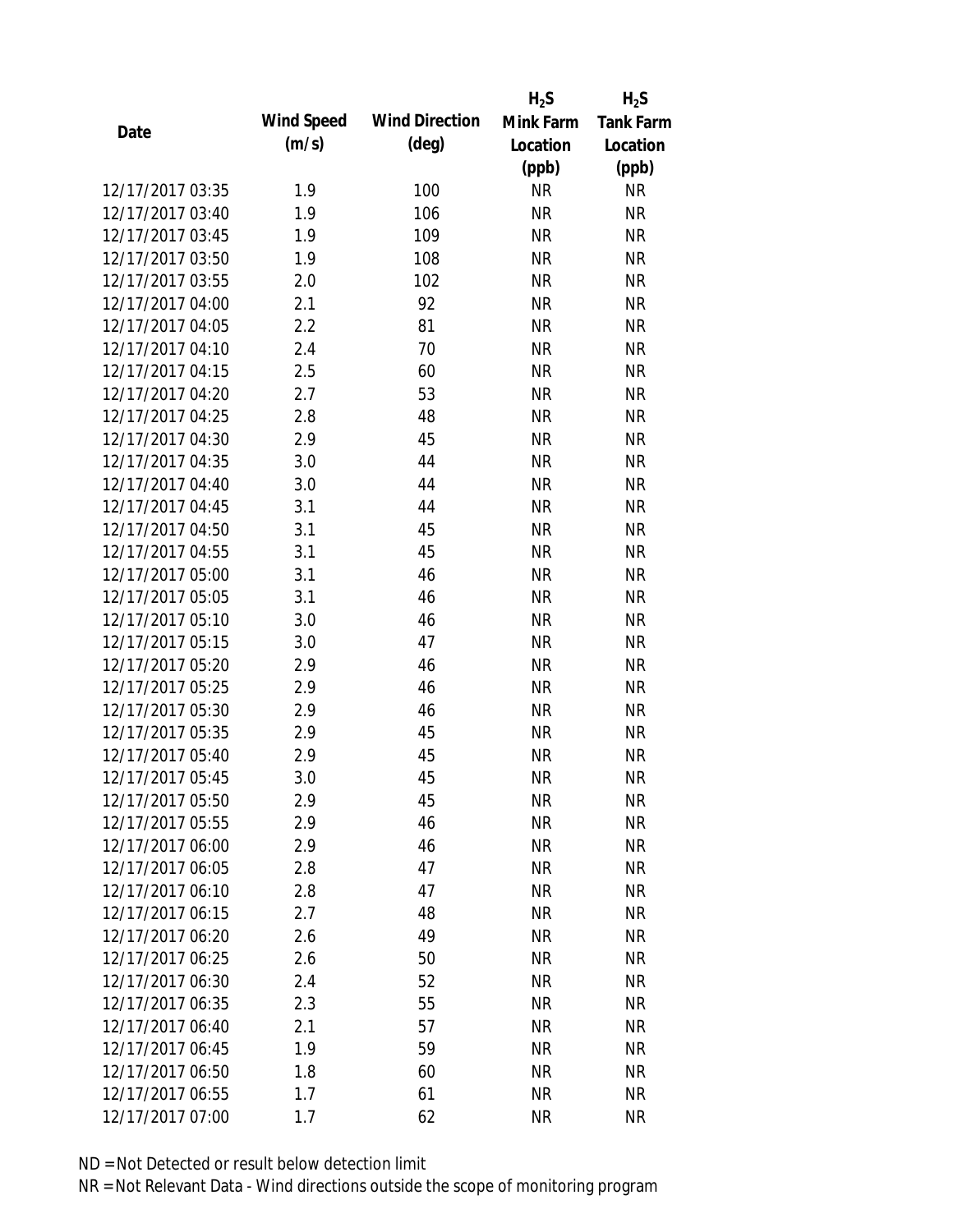|                  |            |                       | $H_2S$    | $H_2S$           |
|------------------|------------|-----------------------|-----------|------------------|
| Date             | Wind Speed | <b>Wind Direction</b> | Mink Farm | <b>Tank Farm</b> |
|                  | (m/s)      | $(\text{deg})$        | Location  | Location         |
|                  |            |                       | (ppb)     | (ppb)            |
| 12/17/2017 03:35 | 1.9        | 100                   | <b>NR</b> | <b>NR</b>        |
| 12/17/2017 03:40 | 1.9        | 106                   | <b>NR</b> | <b>NR</b>        |
| 12/17/2017 03:45 | 1.9        | 109                   | <b>NR</b> | <b>NR</b>        |
| 12/17/2017 03:50 | 1.9        | 108                   | <b>NR</b> | <b>NR</b>        |
| 12/17/2017 03:55 | 2.0        | 102                   | <b>NR</b> | <b>NR</b>        |
| 12/17/2017 04:00 | 2.1        | 92                    | <b>NR</b> | <b>NR</b>        |
| 12/17/2017 04:05 | 2.2        | 81                    | <b>NR</b> | <b>NR</b>        |
| 12/17/2017 04:10 | 2.4        | 70                    | <b>NR</b> | <b>NR</b>        |
| 12/17/2017 04:15 | 2.5        | 60                    | <b>NR</b> | <b>NR</b>        |
| 12/17/2017 04:20 | 2.7        | 53                    | <b>NR</b> | <b>NR</b>        |
| 12/17/2017 04:25 | 2.8        | 48                    | <b>NR</b> | <b>NR</b>        |
| 12/17/2017 04:30 | 2.9        | 45                    | <b>NR</b> | <b>NR</b>        |
| 12/17/2017 04:35 | 3.0        | 44                    | <b>NR</b> | <b>NR</b>        |
| 12/17/2017 04:40 | 3.0        | 44                    | <b>NR</b> | <b>NR</b>        |
| 12/17/2017 04:45 | 3.1        | 44                    | <b>NR</b> | <b>NR</b>        |
| 12/17/2017 04:50 | 3.1        | 45                    | <b>NR</b> | <b>NR</b>        |
| 12/17/2017 04:55 | 3.1        | 45                    | <b>NR</b> | <b>NR</b>        |
| 12/17/2017 05:00 | 3.1        | 46                    | <b>NR</b> | <b>NR</b>        |
| 12/17/2017 05:05 | 3.1        | 46                    | <b>NR</b> | <b>NR</b>        |
| 12/17/2017 05:10 | 3.0        | 46                    | <b>NR</b> | <b>NR</b>        |
| 12/17/2017 05:15 | 3.0        | 47                    | <b>NR</b> | <b>NR</b>        |
| 12/17/2017 05:20 | 2.9        | 46                    | <b>NR</b> | <b>NR</b>        |
| 12/17/2017 05:25 | 2.9        | 46                    | <b>NR</b> | <b>NR</b>        |
| 12/17/2017 05:30 | 2.9        | 46                    | <b>NR</b> | <b>NR</b>        |
| 12/17/2017 05:35 | 2.9        | 45                    | <b>NR</b> | <b>NR</b>        |
| 12/17/2017 05:40 | 2.9        | 45                    | <b>NR</b> | <b>NR</b>        |
| 12/17/2017 05:45 | 3.0        | 45                    | <b>NR</b> | <b>NR</b>        |
| 12/17/2017 05:50 | 2.9        | 45                    | <b>NR</b> | <b>NR</b>        |
| 12/17/2017 05:55 | 2.9        | 46                    | <b>NR</b> | <b>NR</b>        |
| 12/17/2017 06:00 | 2.9        | 46                    | NR        | <b>NR</b>        |
| 12/17/2017 06:05 | 2.8        | 47                    | <b>NR</b> | <b>NR</b>        |
| 12/17/2017 06:10 | 2.8        | 47                    | <b>NR</b> | <b>NR</b>        |
| 12/17/2017 06:15 | 2.7        | 48                    | <b>NR</b> | <b>NR</b>        |
| 12/17/2017 06:20 | 2.6        | 49                    | <b>NR</b> | <b>NR</b>        |
| 12/17/2017 06:25 | 2.6        | 50                    | <b>NR</b> | <b>NR</b>        |
| 12/17/2017 06:30 | 2.4        | 52                    | <b>NR</b> | <b>NR</b>        |
| 12/17/2017 06:35 | 2.3        | 55                    | NR        | <b>NR</b>        |
| 12/17/2017 06:40 | 2.1        | 57                    | NR        | <b>NR</b>        |
| 12/17/2017 06:45 | 1.9        | 59                    | <b>NR</b> | <b>NR</b>        |
| 12/17/2017 06:50 | 1.8        | 60                    | <b>NR</b> | <b>NR</b>        |
| 12/17/2017 06:55 | 1.7        | 61                    | <b>NR</b> | <b>NR</b>        |
| 12/17/2017 07:00 | 1.7        | 62                    | <b>NR</b> | <b>NR</b>        |
|                  |            |                       |           |                  |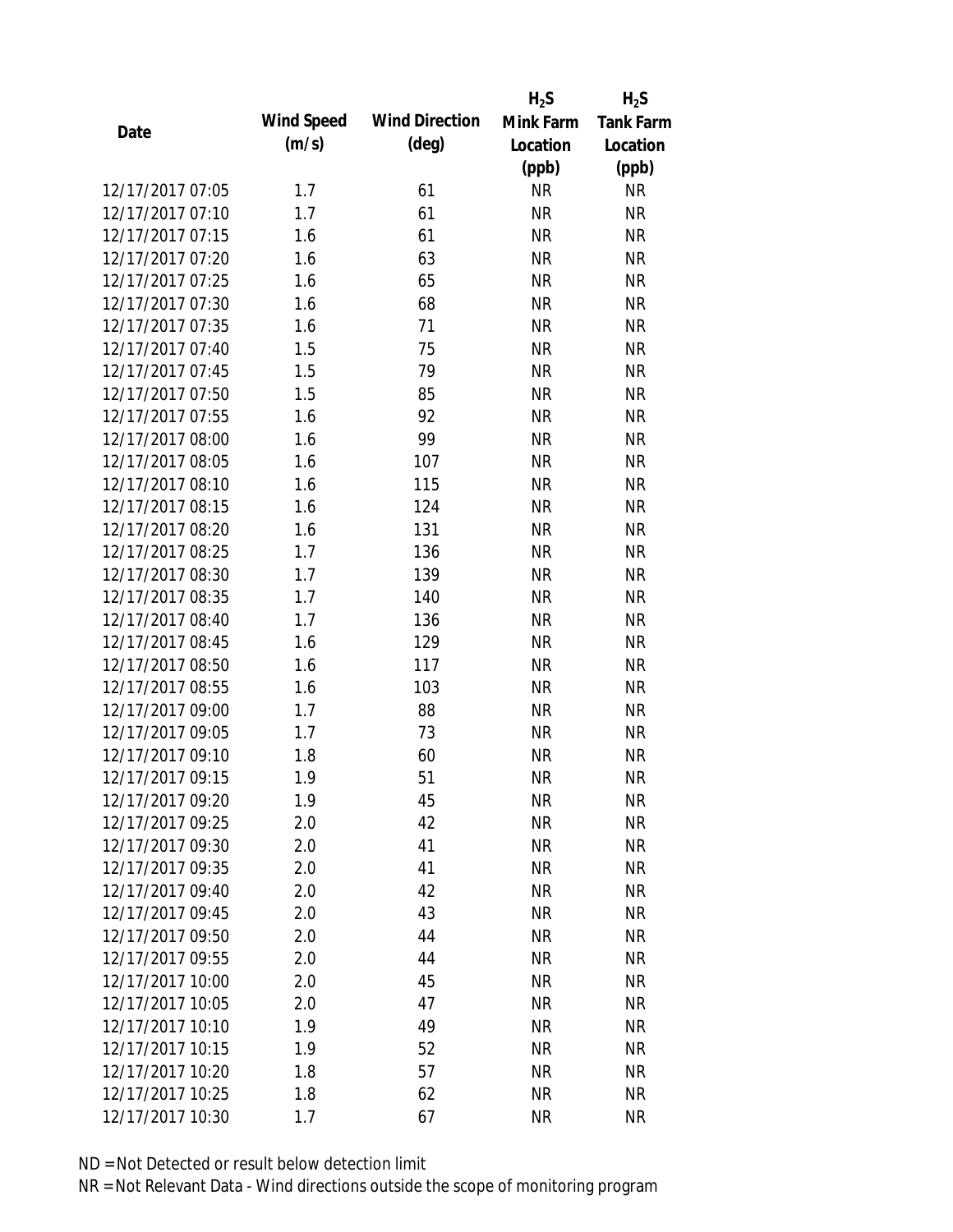|                  |            |                       | $H_2S$    | $H_2S$           |
|------------------|------------|-----------------------|-----------|------------------|
| Date             | Wind Speed | <b>Wind Direction</b> | Mink Farm | <b>Tank Farm</b> |
|                  | (m/s)      | $(\text{deg})$        | Location  | Location         |
|                  |            |                       | (ppb)     | (ppb)            |
| 12/17/2017 07:05 | 1.7        | 61                    | <b>NR</b> | <b>NR</b>        |
| 12/17/2017 07:10 | 1.7        | 61                    | <b>NR</b> | <b>NR</b>        |
| 12/17/2017 07:15 | 1.6        | 61                    | <b>NR</b> | <b>NR</b>        |
| 12/17/2017 07:20 | 1.6        | 63                    | <b>NR</b> | <b>NR</b>        |
| 12/17/2017 07:25 | 1.6        | 65                    | <b>NR</b> | <b>NR</b>        |
| 12/17/2017 07:30 | 1.6        | 68                    | <b>NR</b> | <b>NR</b>        |
| 12/17/2017 07:35 | 1.6        | 71                    | <b>NR</b> | <b>NR</b>        |
| 12/17/2017 07:40 | 1.5        | 75                    | <b>NR</b> | <b>NR</b>        |
| 12/17/2017 07:45 | 1.5        | 79                    | <b>NR</b> | <b>NR</b>        |
| 12/17/2017 07:50 | 1.5        | 85                    | <b>NR</b> | <b>NR</b>        |
| 12/17/2017 07:55 | 1.6        | 92                    | <b>NR</b> | <b>NR</b>        |
| 12/17/2017 08:00 | 1.6        | 99                    | <b>NR</b> | <b>NR</b>        |
| 12/17/2017 08:05 | 1.6        | 107                   | <b>NR</b> | <b>NR</b>        |
| 12/17/2017 08:10 | 1.6        | 115                   | <b>NR</b> | <b>NR</b>        |
| 12/17/2017 08:15 | 1.6        | 124                   | <b>NR</b> | <b>NR</b>        |
| 12/17/2017 08:20 | 1.6        | 131                   | <b>NR</b> | <b>NR</b>        |
| 12/17/2017 08:25 | 1.7        | 136                   | <b>NR</b> | <b>NR</b>        |
| 12/17/2017 08:30 | 1.7        | 139                   | <b>NR</b> | <b>NR</b>        |
| 12/17/2017 08:35 | 1.7        | 140                   | <b>NR</b> | <b>NR</b>        |
| 12/17/2017 08:40 | 1.7        | 136                   | <b>NR</b> | <b>NR</b>        |
| 12/17/2017 08:45 | 1.6        | 129                   | <b>NR</b> | <b>NR</b>        |
| 12/17/2017 08:50 | 1.6        | 117                   | <b>NR</b> | <b>NR</b>        |
| 12/17/2017 08:55 | 1.6        | 103                   | <b>NR</b> | <b>NR</b>        |
| 12/17/2017 09:00 | 1.7        | 88                    | <b>NR</b> | <b>NR</b>        |
| 12/17/2017 09:05 | 1.7        | 73                    | <b>NR</b> | <b>NR</b>        |
| 12/17/2017 09:10 | 1.8        | 60                    | <b>NR</b> | <b>NR</b>        |
| 12/17/2017 09:15 | 1.9        | 51                    | <b>NR</b> | <b>NR</b>        |
| 12/17/2017 09:20 | 1.9        | 45                    | <b>NR</b> | NR               |
| 12/17/2017 09:25 | 2.0        | 42                    | <b>NR</b> | <b>NR</b>        |
| 12/17/2017 09:30 | 2.0        | 41                    | <b>NR</b> | <b>NR</b>        |
| 12/17/2017 09:35 | 2.0        | 41                    | <b>NR</b> | <b>NR</b>        |
| 12/17/2017 09:40 | 2.0        | 42                    | <b>NR</b> | <b>NR</b>        |
| 12/17/2017 09:45 | 2.0        | 43                    | <b>NR</b> | <b>NR</b>        |
| 12/17/2017 09:50 | 2.0        | 44                    | <b>NR</b> | <b>NR</b>        |
| 12/17/2017 09:55 | 2.0        | 44                    | <b>NR</b> | <b>NR</b>        |
| 12/17/2017 10:00 | 2.0        | 45                    | <b>NR</b> | <b>NR</b>        |
| 12/17/2017 10:05 | 2.0        | 47                    | <b>NR</b> | <b>NR</b>        |
| 12/17/2017 10:10 | 1.9        | 49                    | <b>NR</b> | <b>NR</b>        |
| 12/17/2017 10:15 | 1.9        | 52                    | <b>NR</b> | <b>NR</b>        |
| 12/17/2017 10:20 | 1.8        | 57                    | <b>NR</b> | <b>NR</b>        |
| 12/17/2017 10:25 | 1.8        | 62                    | <b>NR</b> | <b>NR</b>        |
| 12/17/2017 10:30 | 1.7        | 67                    | <b>NR</b> | <b>NR</b>        |
|                  |            |                       |           |                  |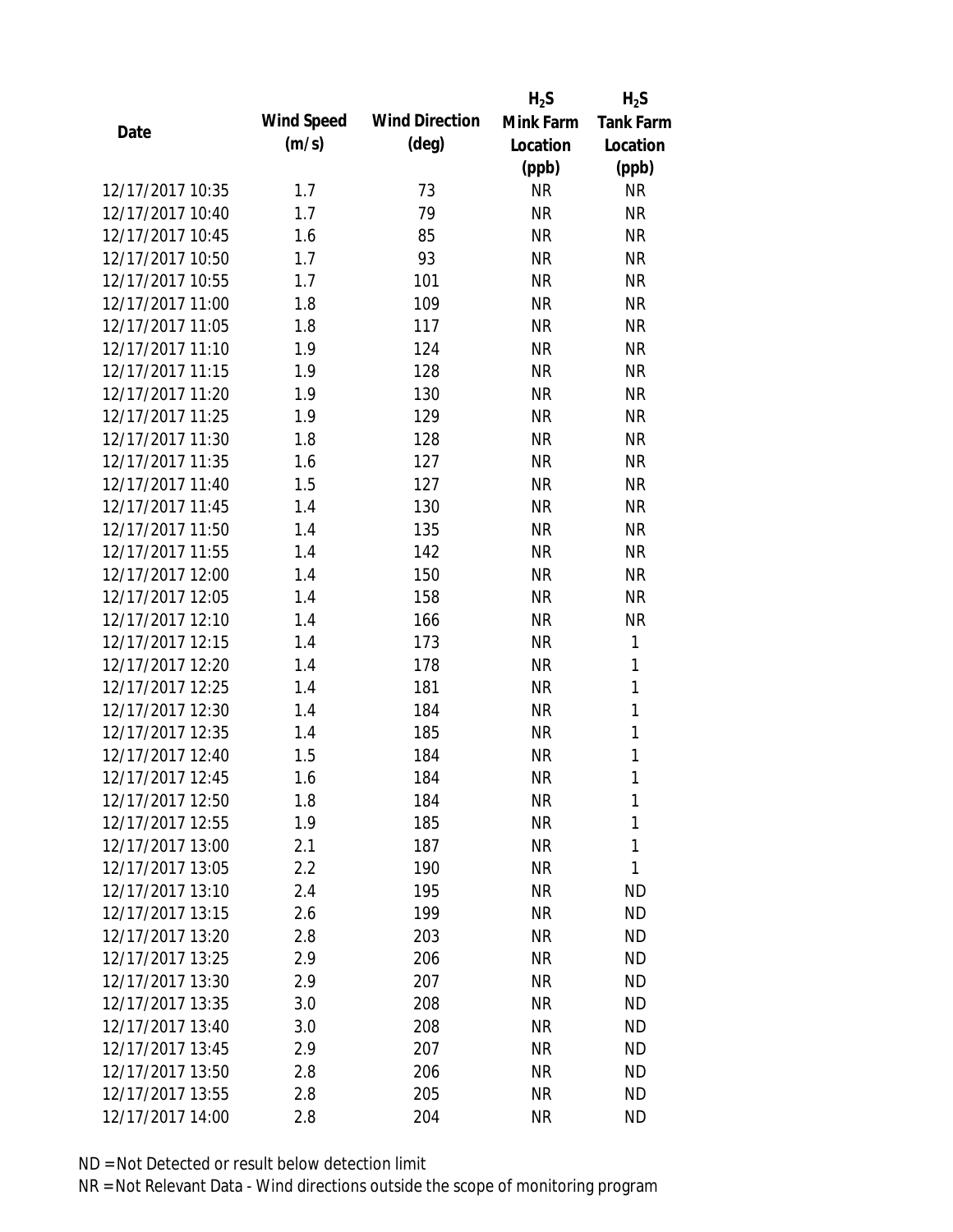|                  |            |                       | $H_2S$    | $H_2S$           |
|------------------|------------|-----------------------|-----------|------------------|
| Date             | Wind Speed | <b>Wind Direction</b> | Mink Farm | <b>Tank Farm</b> |
|                  | (m/s)      | $(\text{deg})$        | Location  | Location         |
|                  |            |                       | (ppb)     | (ppb)            |
| 12/17/2017 10:35 | 1.7        | 73                    | <b>NR</b> | <b>NR</b>        |
| 12/17/2017 10:40 | 1.7        | 79                    | <b>NR</b> | <b>NR</b>        |
| 12/17/2017 10:45 | 1.6        | 85                    | <b>NR</b> | <b>NR</b>        |
| 12/17/2017 10:50 | 1.7        | 93                    | <b>NR</b> | <b>NR</b>        |
| 12/17/2017 10:55 | 1.7        | 101                   | <b>NR</b> | <b>NR</b>        |
| 12/17/2017 11:00 | 1.8        | 109                   | <b>NR</b> | <b>NR</b>        |
| 12/17/2017 11:05 | 1.8        | 117                   | <b>NR</b> | <b>NR</b>        |
| 12/17/2017 11:10 | 1.9        | 124                   | <b>NR</b> | <b>NR</b>        |
| 12/17/2017 11:15 | 1.9        | 128                   | <b>NR</b> | <b>NR</b>        |
| 12/17/2017 11:20 | 1.9        | 130                   | <b>NR</b> | <b>NR</b>        |
| 12/17/2017 11:25 | 1.9        | 129                   | <b>NR</b> | <b>NR</b>        |
| 12/17/2017 11:30 | 1.8        | 128                   | <b>NR</b> | <b>NR</b>        |
| 12/17/2017 11:35 | 1.6        | 127                   | <b>NR</b> | <b>NR</b>        |
| 12/17/2017 11:40 | 1.5        | 127                   | <b>NR</b> | <b>NR</b>        |
| 12/17/2017 11:45 | 1.4        | 130                   | <b>NR</b> | <b>NR</b>        |
| 12/17/2017 11:50 | 1.4        | 135                   | <b>NR</b> | <b>NR</b>        |
| 12/17/2017 11:55 | 1.4        | 142                   | <b>NR</b> | <b>NR</b>        |
| 12/17/2017 12:00 | 1.4        | 150                   | <b>NR</b> | <b>NR</b>        |
| 12/17/2017 12:05 | 1.4        | 158                   | <b>NR</b> | <b>NR</b>        |
| 12/17/2017 12:10 | 1.4        | 166                   | <b>NR</b> | <b>NR</b>        |
| 12/17/2017 12:15 | 1.4        | 173                   | <b>NR</b> | 1                |
| 12/17/2017 12:20 | 1.4        | 178                   | <b>NR</b> | $\mathbf{1}$     |
| 12/17/2017 12:25 | 1.4        | 181                   | <b>NR</b> | $\mathbf{1}$     |
| 12/17/2017 12:30 | 1.4        | 184                   | <b>NR</b> | $\mathbf{1}$     |
| 12/17/2017 12:35 | 1.4        | 185                   | <b>NR</b> | 1                |
| 12/17/2017 12:40 | 1.5        | 184                   | <b>NR</b> | $\mathbf{1}$     |
| 12/17/2017 12:45 | 1.6        | 184                   | <b>NR</b> | 1                |
| 12/17/2017 12:50 | 1.8        | 184                   | <b>NR</b> | 1                |
| 12/17/2017 12:55 | 1.9        | 185                   | <b>NR</b> | 1                |
| 12/17/2017 13:00 | 2.1        | 187                   | <b>NR</b> | 1                |
| 12/17/2017 13:05 | 2.2        | 190                   | <b>NR</b> | 1                |
| 12/17/2017 13:10 | 2.4        | 195                   | <b>NR</b> | <b>ND</b>        |
| 12/17/2017 13:15 | 2.6        | 199                   | NR        | <b>ND</b>        |
| 12/17/2017 13:20 | 2.8        | 203                   | <b>NR</b> | <b>ND</b>        |
| 12/17/2017 13:25 | 2.9        | 206                   | <b>NR</b> | <b>ND</b>        |
| 12/17/2017 13:30 | 2.9        | 207                   | <b>NR</b> | <b>ND</b>        |
| 12/17/2017 13:35 | 3.0        | 208                   | NR        | <b>ND</b>        |
| 12/17/2017 13:40 | 3.0        | 208                   | NR        | <b>ND</b>        |
| 12/17/2017 13:45 | 2.9        | 207                   | <b>NR</b> | <b>ND</b>        |
| 12/17/2017 13:50 | 2.8        | 206                   | <b>NR</b> | <b>ND</b>        |
| 12/17/2017 13:55 | 2.8        | 205                   | <b>NR</b> | <b>ND</b>        |
| 12/17/2017 14:00 | 2.8        | 204                   | <b>NR</b> | <b>ND</b>        |
|                  |            |                       |           |                  |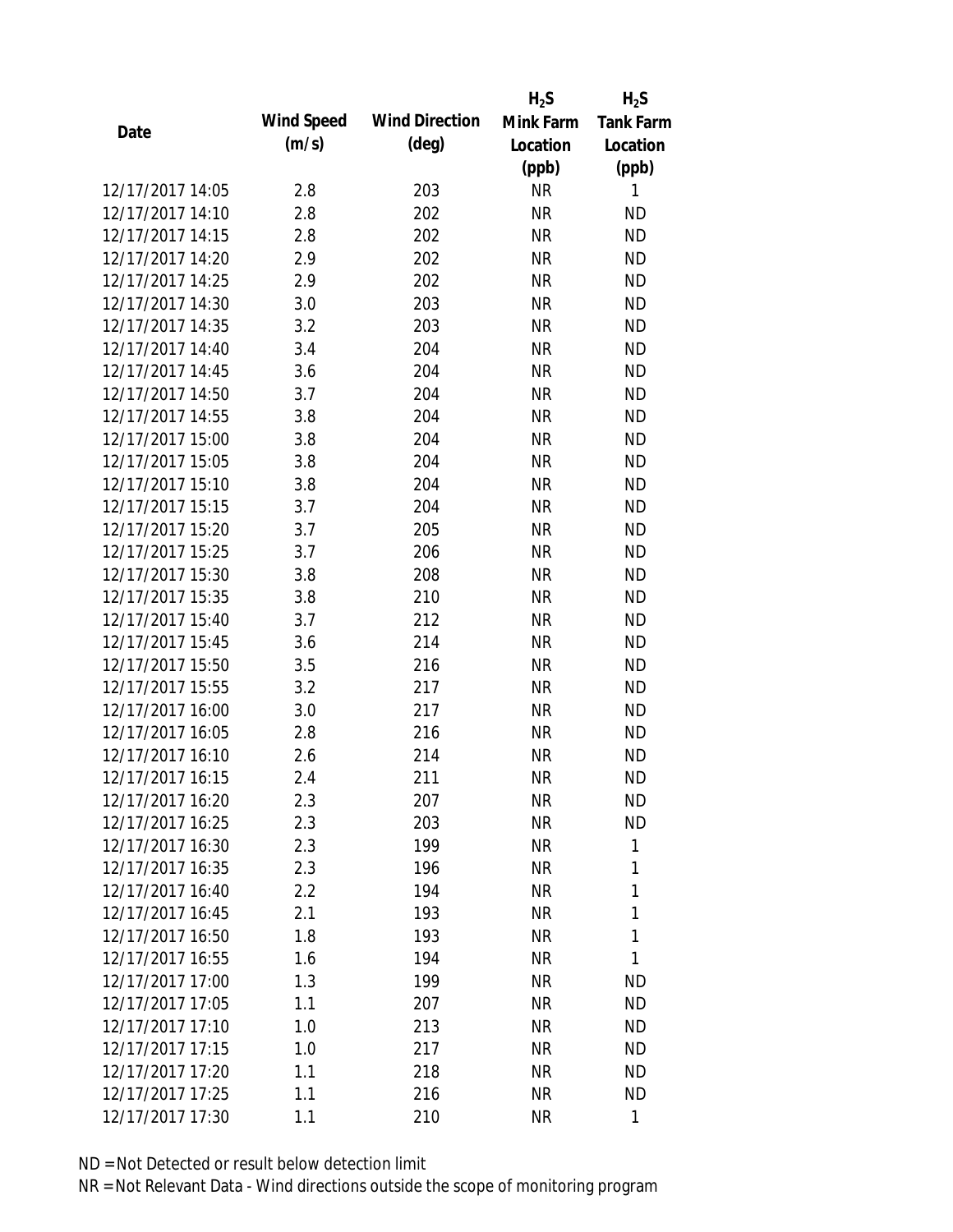|                  |            |                       | $H_2S$    | $H_2S$           |
|------------------|------------|-----------------------|-----------|------------------|
| Date             | Wind Speed | <b>Wind Direction</b> | Mink Farm | <b>Tank Farm</b> |
|                  | (m/s)      | $(\text{deg})$        | Location  | Location         |
|                  |            |                       | (ppb)     | (ppb)            |
| 12/17/2017 14:05 | 2.8        | 203                   | <b>NR</b> | 1                |
| 12/17/2017 14:10 | 2.8        | 202                   | <b>NR</b> | <b>ND</b>        |
| 12/17/2017 14:15 | 2.8        | 202                   | <b>NR</b> | <b>ND</b>        |
| 12/17/2017 14:20 | 2.9        | 202                   | <b>NR</b> | <b>ND</b>        |
| 12/17/2017 14:25 | 2.9        | 202                   | <b>NR</b> | <b>ND</b>        |
| 12/17/2017 14:30 | 3.0        | 203                   | <b>NR</b> | <b>ND</b>        |
| 12/17/2017 14:35 | 3.2        | 203                   | <b>NR</b> | <b>ND</b>        |
| 12/17/2017 14:40 | 3.4        | 204                   | <b>NR</b> | <b>ND</b>        |
| 12/17/2017 14:45 | 3.6        | 204                   | <b>NR</b> | <b>ND</b>        |
| 12/17/2017 14:50 | 3.7        | 204                   | <b>NR</b> | <b>ND</b>        |
| 12/17/2017 14:55 | 3.8        | 204                   | <b>NR</b> | <b>ND</b>        |
| 12/17/2017 15:00 | 3.8        | 204                   | <b>NR</b> | <b>ND</b>        |
| 12/17/2017 15:05 | 3.8        | 204                   | <b>NR</b> | <b>ND</b>        |
| 12/17/2017 15:10 | 3.8        | 204                   | <b>NR</b> | <b>ND</b>        |
| 12/17/2017 15:15 | 3.7        | 204                   | <b>NR</b> | <b>ND</b>        |
| 12/17/2017 15:20 | 3.7        | 205                   | <b>NR</b> | <b>ND</b>        |
| 12/17/2017 15:25 | 3.7        | 206                   | <b>NR</b> | <b>ND</b>        |
| 12/17/2017 15:30 | 3.8        | 208                   | <b>NR</b> | <b>ND</b>        |
| 12/17/2017 15:35 | 3.8        | 210                   | <b>NR</b> | <b>ND</b>        |
| 12/17/2017 15:40 | 3.7        | 212                   | <b>NR</b> | <b>ND</b>        |
| 12/17/2017 15:45 | 3.6        | 214                   | <b>NR</b> | <b>ND</b>        |
| 12/17/2017 15:50 | 3.5        | 216                   | <b>NR</b> | <b>ND</b>        |
| 12/17/2017 15:55 | 3.2        | 217                   | <b>NR</b> | <b>ND</b>        |
| 12/17/2017 16:00 | 3.0        | 217                   | <b>NR</b> | <b>ND</b>        |
| 12/17/2017 16:05 | 2.8        | 216                   | <b>NR</b> | <b>ND</b>        |
| 12/17/2017 16:10 | 2.6        | 214                   | <b>NR</b> | <b>ND</b>        |
| 12/17/2017 16:15 | 2.4        | 211                   | <b>NR</b> | <b>ND</b>        |
| 12/17/2017 16:20 | 2.3        | 207                   | <b>NR</b> | ND               |
| 12/17/2017 16:25 | 2.3        | 203                   | <b>NR</b> | <b>ND</b>        |
| 12/17/2017 16:30 | 2.3        | 199                   | <b>NR</b> | 1                |
| 12/17/2017 16:35 | 2.3        | 196                   | <b>NR</b> | 1                |
| 12/17/2017 16:40 | 2.2        | 194                   | <b>NR</b> | 1                |
| 12/17/2017 16:45 | 2.1        | 193                   | <b>NR</b> | 1                |
| 12/17/2017 16:50 | 1.8        | 193                   | <b>NR</b> | 1                |
| 12/17/2017 16:55 | 1.6        | 194                   | <b>NR</b> | 1                |
| 12/17/2017 17:00 | 1.3        | 199                   | <b>NR</b> | <b>ND</b>        |
| 12/17/2017 17:05 | 1.1        | 207                   | <b>NR</b> | <b>ND</b>        |
| 12/17/2017 17:10 | 1.0        | 213                   | NR        | <b>ND</b>        |
| 12/17/2017 17:15 | 1.0        | 217                   | <b>NR</b> | <b>ND</b>        |
| 12/17/2017 17:20 | 1.1        | 218                   | <b>NR</b> | <b>ND</b>        |
| 12/17/2017 17:25 | 1.1        | 216                   | <b>NR</b> | <b>ND</b>        |
| 12/17/2017 17:30 | 1.1        | 210                   | <b>NR</b> | 1                |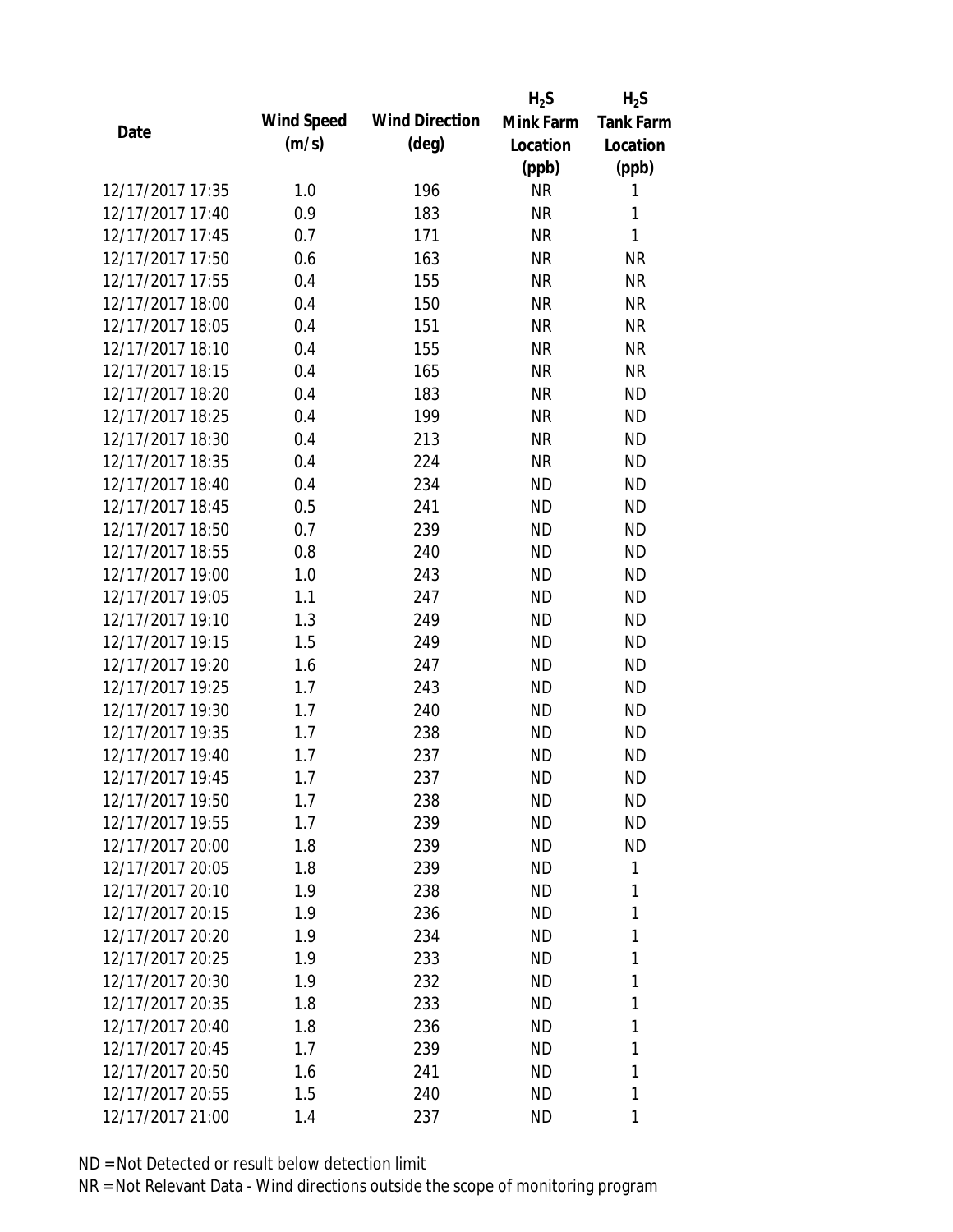|                  |            |                       | $H_2S$    | $H_2S$           |
|------------------|------------|-----------------------|-----------|------------------|
| Date             | Wind Speed | <b>Wind Direction</b> | Mink Farm | <b>Tank Farm</b> |
|                  | (m/s)      | $(\text{deg})$        | Location  | Location         |
|                  |            |                       | (ppb)     | (ppb)            |
| 12/17/2017 17:35 | 1.0        | 196                   | <b>NR</b> | 1                |
| 12/17/2017 17:40 | 0.9        | 183                   | <b>NR</b> | 1                |
| 12/17/2017 17:45 | 0.7        | 171                   | <b>NR</b> | $\mathbf{1}$     |
| 12/17/2017 17:50 | 0.6        | 163                   | <b>NR</b> | <b>NR</b>        |
| 12/17/2017 17:55 | 0.4        | 155                   | <b>NR</b> | <b>NR</b>        |
| 12/17/2017 18:00 | 0.4        | 150                   | <b>NR</b> | <b>NR</b>        |
| 12/17/2017 18:05 | 0.4        | 151                   | <b>NR</b> | <b>NR</b>        |
| 12/17/2017 18:10 | 0.4        | 155                   | <b>NR</b> | <b>NR</b>        |
| 12/17/2017 18:15 | 0.4        | 165                   | <b>NR</b> | <b>NR</b>        |
| 12/17/2017 18:20 | 0.4        | 183                   | <b>NR</b> | <b>ND</b>        |
| 12/17/2017 18:25 | 0.4        | 199                   | <b>NR</b> | <b>ND</b>        |
| 12/17/2017 18:30 | 0.4        | 213                   | <b>NR</b> | <b>ND</b>        |
| 12/17/2017 18:35 | 0.4        | 224                   | <b>NR</b> | <b>ND</b>        |
| 12/17/2017 18:40 | 0.4        | 234                   | <b>ND</b> | <b>ND</b>        |
| 12/17/2017 18:45 | 0.5        | 241                   | <b>ND</b> | <b>ND</b>        |
| 12/17/2017 18:50 | 0.7        | 239                   | <b>ND</b> | <b>ND</b>        |
| 12/17/2017 18:55 | 0.8        | 240                   | <b>ND</b> | <b>ND</b>        |
| 12/17/2017 19:00 | 1.0        | 243                   | <b>ND</b> | <b>ND</b>        |
| 12/17/2017 19:05 | 1.1        | 247                   | <b>ND</b> | <b>ND</b>        |
| 12/17/2017 19:10 | 1.3        | 249                   | <b>ND</b> | <b>ND</b>        |
| 12/17/2017 19:15 | 1.5        | 249                   | <b>ND</b> | <b>ND</b>        |
| 12/17/2017 19:20 | 1.6        | 247                   | <b>ND</b> | <b>ND</b>        |
| 12/17/2017 19:25 | 1.7        | 243                   | <b>ND</b> | <b>ND</b>        |
| 12/17/2017 19:30 | 1.7        | 240                   | <b>ND</b> | <b>ND</b>        |
| 12/17/2017 19:35 | 1.7        | 238                   | <b>ND</b> | <b>ND</b>        |
| 12/17/2017 19:40 | 1.7        | 237                   | <b>ND</b> | <b>ND</b>        |
| 12/17/2017 19:45 | 1.7        | 237                   | <b>ND</b> | <b>ND</b>        |
| 12/17/2017 19:50 | 1.7        | 238                   | ND        | ND               |
| 12/17/2017 19:55 | 1.7        | 239                   | <b>ND</b> | <b>ND</b>        |
| 12/17/2017 20:00 | 1.8        | 239                   | ND        | <b>ND</b>        |
| 12/17/2017 20:05 | 1.8        | 239                   | <b>ND</b> | 1                |
| 12/17/2017 20:10 | 1.9        | 238                   | <b>ND</b> | 1                |
| 12/17/2017 20:15 | 1.9        | 236                   | ND        | 1                |
| 12/17/2017 20:20 | 1.9        | 234                   | <b>ND</b> | 1                |
| 12/17/2017 20:25 | 1.9        | 233                   | ND        | 1                |
| 12/17/2017 20:30 | 1.9        | 232                   | <b>ND</b> | 1                |
| 12/17/2017 20:35 | 1.8        | 233                   | ND.       | 1                |
| 12/17/2017 20:40 | 1.8        | 236                   | ND        | 1                |
| 12/17/2017 20:45 | 1.7        | 239                   | <b>ND</b> | 1                |
| 12/17/2017 20:50 | 1.6        | 241                   | <b>ND</b> | 1                |
| 12/17/2017 20:55 | 1.5        | 240                   | <b>ND</b> | 1                |
| 12/17/2017 21:00 | 1.4        | 237                   | <b>ND</b> | 1                |
|                  |            |                       |           |                  |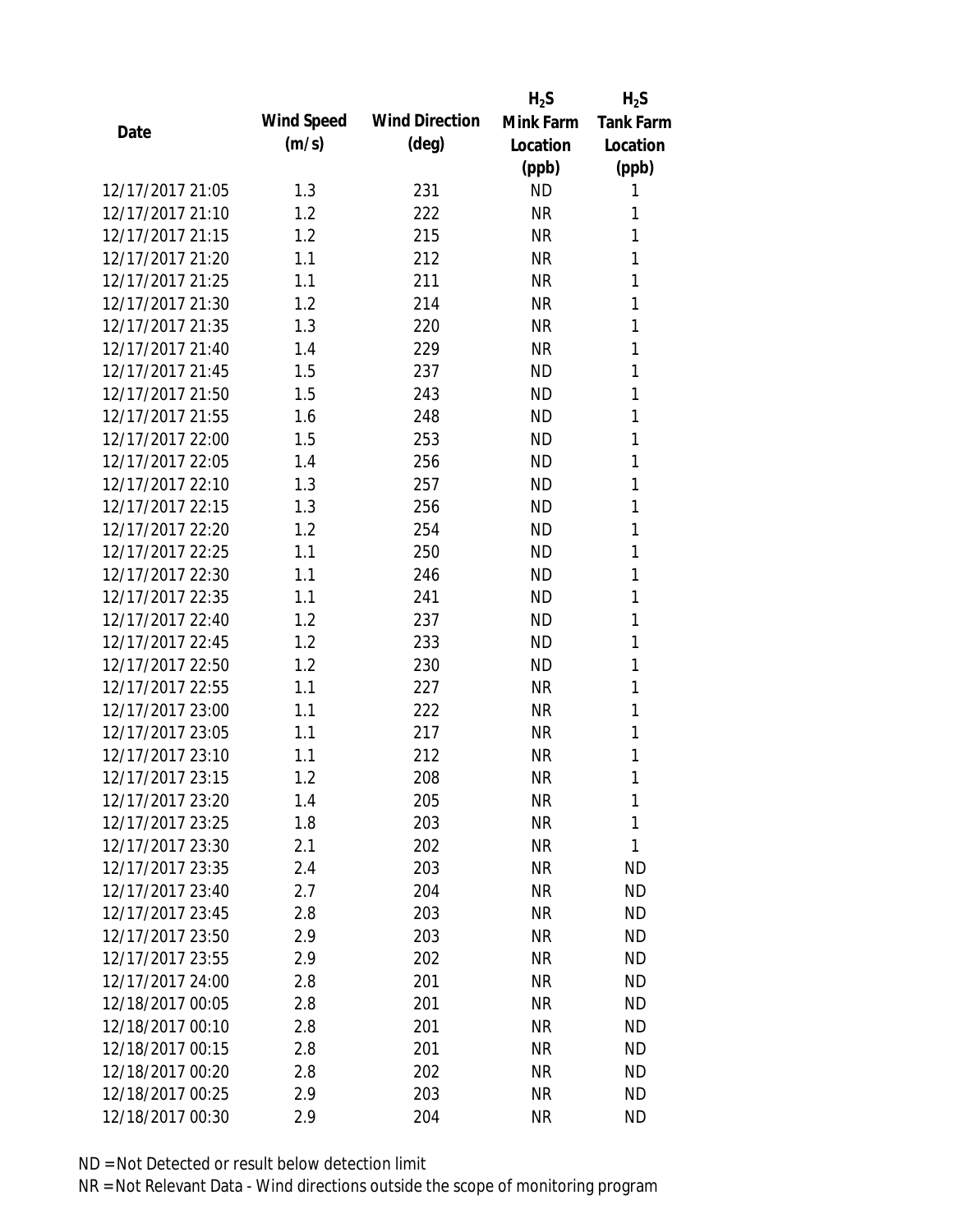|                  |            |                       | $H_2S$    | $H_2S$           |
|------------------|------------|-----------------------|-----------|------------------|
| Date             | Wind Speed | <b>Wind Direction</b> | Mink Farm | <b>Tank Farm</b> |
|                  | (m/s)      | $(\text{deg})$        | Location  | Location         |
|                  |            |                       | (ppb)     | (ppb)            |
| 12/17/2017 21:05 | 1.3        | 231                   | <b>ND</b> | 1                |
| 12/17/2017 21:10 | 1.2        | 222                   | <b>NR</b> | 1                |
| 12/17/2017 21:15 | 1.2        | 215                   | <b>NR</b> | 1                |
| 12/17/2017 21:20 | 1.1        | 212                   | <b>NR</b> | 1                |
| 12/17/2017 21:25 | 1.1        | 211                   | <b>NR</b> | 1                |
| 12/17/2017 21:30 | 1.2        | 214                   | <b>NR</b> | 1                |
| 12/17/2017 21:35 | 1.3        | 220                   | <b>NR</b> | 1                |
| 12/17/2017 21:40 | 1.4        | 229                   | <b>NR</b> | 1                |
| 12/17/2017 21:45 | 1.5        | 237                   | <b>ND</b> | 1                |
| 12/17/2017 21:50 | 1.5        | 243                   | <b>ND</b> | 1                |
| 12/17/2017 21:55 | 1.6        | 248                   | <b>ND</b> | 1                |
| 12/17/2017 22:00 | 1.5        | 253                   | <b>ND</b> | 1                |
| 12/17/2017 22:05 | 1.4        | 256                   | <b>ND</b> | 1                |
| 12/17/2017 22:10 | 1.3        | 257                   | <b>ND</b> | 1                |
| 12/17/2017 22:15 | 1.3        | 256                   | <b>ND</b> | 1                |
| 12/17/2017 22:20 | 1.2        | 254                   | <b>ND</b> | 1                |
| 12/17/2017 22:25 | 1.1        | 250                   | <b>ND</b> | 1                |
| 12/17/2017 22:30 | 1.1        | 246                   | <b>ND</b> | 1                |
| 12/17/2017 22:35 | 1.1        | 241                   | <b>ND</b> | 1                |
| 12/17/2017 22:40 | 1.2        | 237                   | <b>ND</b> | 1                |
| 12/17/2017 22:45 | 1.2        | 233                   | <b>ND</b> | 1                |
| 12/17/2017 22:50 | 1.2        | 230                   | <b>ND</b> | 1                |
| 12/17/2017 22:55 | 1.1        | 227                   | <b>NR</b> | 1                |
| 12/17/2017 23:00 | 1.1        | 222                   | <b>NR</b> | 1                |
| 12/17/2017 23:05 | 1.1        | 217                   | <b>NR</b> | 1                |
| 12/17/2017 23:10 | 1.1        | 212                   | <b>NR</b> | 1                |
| 12/17/2017 23:15 | 1.2        | 208                   | <b>NR</b> | 1                |
| 12/17/2017 23:20 | 1.4        | 205                   | NR        | 1                |
| 12/17/2017 23:25 | 1.8        | 203                   | <b>NR</b> | 1                |
| 12/17/2017 23:30 | 2.1        | 202                   | NR        | 1                |
| 12/17/2017 23:35 | 2.4        | 203                   | <b>NR</b> | <b>ND</b>        |
| 12/17/2017 23:40 | 2.7        | 204                   | <b>NR</b> | <b>ND</b>        |
| 12/17/2017 23:45 | 2.8        | 203                   | NR        | <b>ND</b>        |
| 12/17/2017 23:50 | 2.9        | 203                   | <b>NR</b> | <b>ND</b>        |
| 12/17/2017 23:55 | 2.9        | 202                   | <b>NR</b> | <b>ND</b>        |
| 12/17/2017 24:00 | 2.8        | 201                   | <b>NR</b> | <b>ND</b>        |
| 12/18/2017 00:05 | 2.8        | 201                   | NR        | <b>ND</b>        |
| 12/18/2017 00:10 | 2.8        | 201                   | NR        | <b>ND</b>        |
| 12/18/2017 00:15 | 2.8        | 201                   | <b>NR</b> | <b>ND</b>        |
| 12/18/2017 00:20 | 2.8        | 202                   | <b>NR</b> | <b>ND</b>        |
| 12/18/2017 00:25 | 2.9        | 203                   | <b>NR</b> | <b>ND</b>        |
| 12/18/2017 00:30 | 2.9        | 204                   | <b>NR</b> | <b>ND</b>        |
|                  |            |                       |           |                  |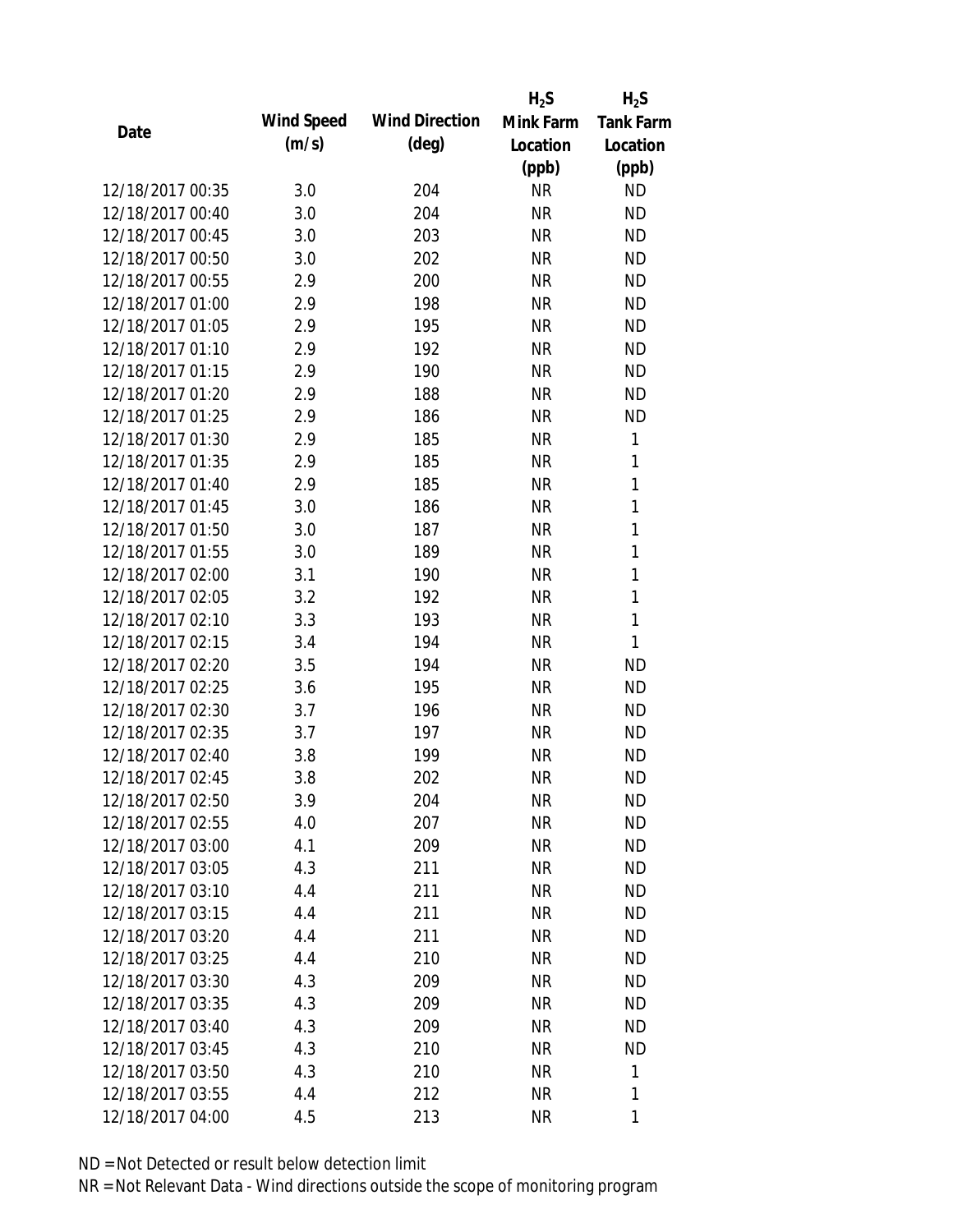|                  |            |                       | $H_2S$    | $H_2S$           |
|------------------|------------|-----------------------|-----------|------------------|
| Date             | Wind Speed | <b>Wind Direction</b> | Mink Farm | <b>Tank Farm</b> |
|                  | (m/s)      | $(\text{deg})$        | Location  | Location         |
|                  |            |                       | (ppb)     | (ppb)            |
| 12/18/2017 00:35 | 3.0        | 204                   | <b>NR</b> | <b>ND</b>        |
| 12/18/2017 00:40 | 3.0        | 204                   | <b>NR</b> | <b>ND</b>        |
| 12/18/2017 00:45 | 3.0        | 203                   | <b>NR</b> | <b>ND</b>        |
| 12/18/2017 00:50 | 3.0        | 202                   | <b>NR</b> | <b>ND</b>        |
| 12/18/2017 00:55 | 2.9        | 200                   | <b>NR</b> | <b>ND</b>        |
| 12/18/2017 01:00 | 2.9        | 198                   | <b>NR</b> | <b>ND</b>        |
| 12/18/2017 01:05 | 2.9        | 195                   | <b>NR</b> | <b>ND</b>        |
| 12/18/2017 01:10 | 2.9        | 192                   | <b>NR</b> | <b>ND</b>        |
| 12/18/2017 01:15 | 2.9        | 190                   | <b>NR</b> | <b>ND</b>        |
| 12/18/2017 01:20 | 2.9        | 188                   | <b>NR</b> | <b>ND</b>        |
| 12/18/2017 01:25 | 2.9        | 186                   | <b>NR</b> | <b>ND</b>        |
| 12/18/2017 01:30 | 2.9        | 185                   | <b>NR</b> | 1                |
| 12/18/2017 01:35 | 2.9        | 185                   | <b>NR</b> | 1                |
| 12/18/2017 01:40 | 2.9        | 185                   | <b>NR</b> | $\mathbf{1}$     |
| 12/18/2017 01:45 | 3.0        | 186                   | <b>NR</b> | $\mathbf{1}$     |
| 12/18/2017 01:50 | 3.0        | 187                   | <b>NR</b> | 1                |
| 12/18/2017 01:55 | 3.0        | 189                   | <b>NR</b> | $\mathbf{1}$     |
| 12/18/2017 02:00 | 3.1        | 190                   | <b>NR</b> | $\mathbf{1}$     |
| 12/18/2017 02:05 | 3.2        | 192                   | <b>NR</b> | $\mathbf{1}$     |
| 12/18/2017 02:10 | 3.3        | 193                   | <b>NR</b> | 1                |
| 12/18/2017 02:15 | 3.4        | 194                   | <b>NR</b> | 1                |
| 12/18/2017 02:20 | 3.5        | 194                   | <b>NR</b> | <b>ND</b>        |
| 12/18/2017 02:25 | 3.6        | 195                   | <b>NR</b> | <b>ND</b>        |
| 12/18/2017 02:30 | 3.7        | 196                   | <b>NR</b> | <b>ND</b>        |
| 12/18/2017 02:35 | 3.7        | 197                   | <b>NR</b> | <b>ND</b>        |
| 12/18/2017 02:40 | 3.8        | 199                   | <b>NR</b> | <b>ND</b>        |
| 12/18/2017 02:45 | 3.8        | 202                   | <b>NR</b> | <b>ND</b>        |
| 12/18/2017 02:50 | 3.9        | 204                   | NR        | <b>ND</b>        |
| 12/18/2017 02:55 | 4.0        | 207                   | <b>NR</b> | <b>ND</b>        |
| 12/18/2017 03:00 | 4.1        | 209                   | NR        | <b>ND</b>        |
| 12/18/2017 03:05 | 4.3        | 211                   | <b>NR</b> | <b>ND</b>        |
| 12/18/2017 03:10 | 4.4        | 211                   | <b>NR</b> | <b>ND</b>        |
| 12/18/2017 03:15 | 4.4        | 211                   | <b>NR</b> | <b>ND</b>        |
| 12/18/2017 03:20 | 4.4        | 211                   | <b>NR</b> | <b>ND</b>        |
| 12/18/2017 03:25 | 4.4        | 210                   | <b>NR</b> | <b>ND</b>        |
| 12/18/2017 03:30 | 4.3        | 209                   | <b>NR</b> | <b>ND</b>        |
| 12/18/2017 03:35 | 4.3        | 209                   | NR        | <b>ND</b>        |
| 12/18/2017 03:40 | 4.3        | 209                   | NR        | <b>ND</b>        |
| 12/18/2017 03:45 | 4.3        | 210                   | <b>NR</b> | <b>ND</b>        |
| 12/18/2017 03:50 | 4.3        | 210                   | <b>NR</b> | 1                |
| 12/18/2017 03:55 | 4.4        | 212                   | <b>NR</b> | 1                |
| 12/18/2017 04:00 | 4.5        | 213                   | <b>NR</b> | 1                |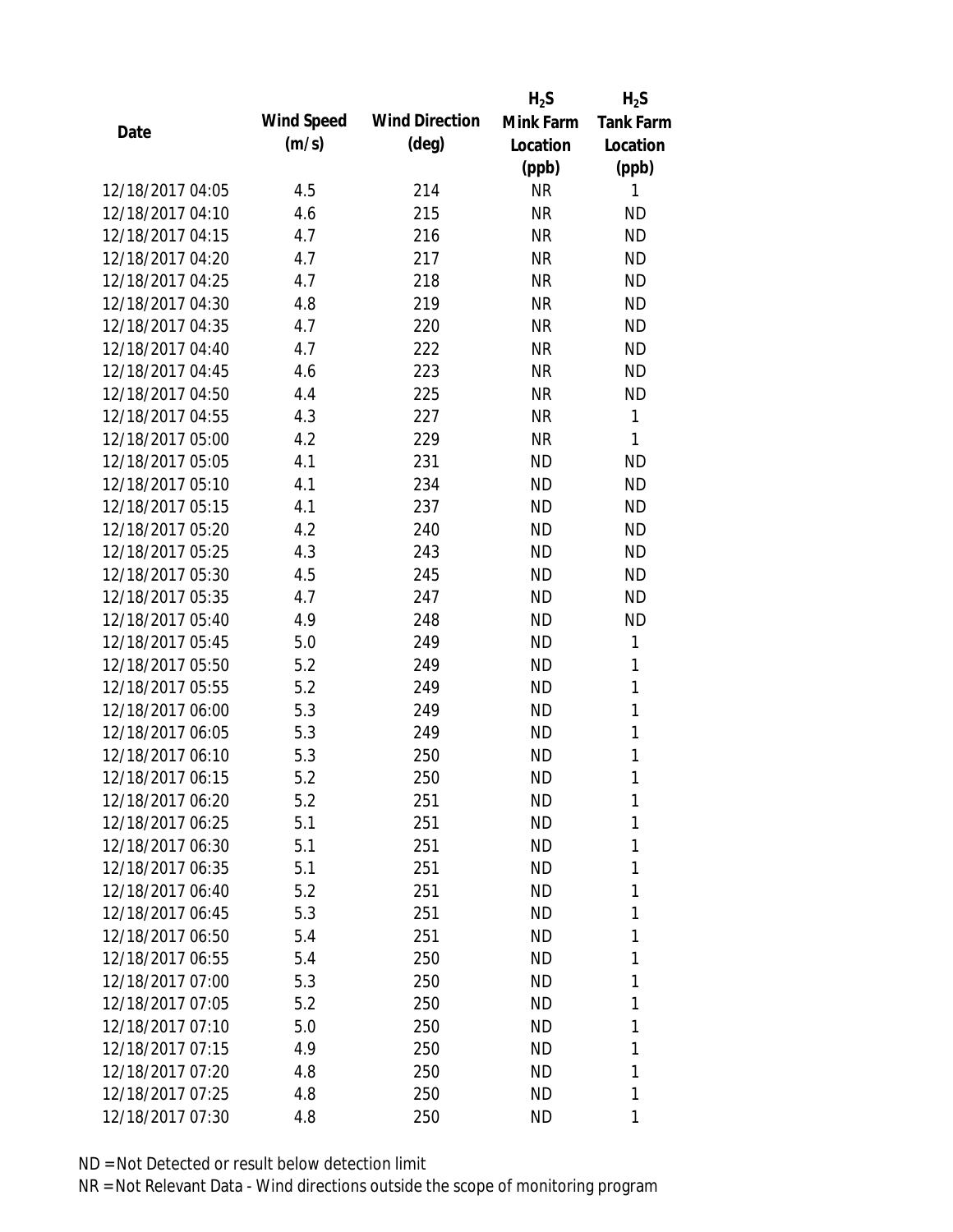|                  |            |                       | $H_2S$    | $H_2S$           |
|------------------|------------|-----------------------|-----------|------------------|
| Date             | Wind Speed | <b>Wind Direction</b> | Mink Farm | <b>Tank Farm</b> |
|                  | (m/s)      | $(\text{deg})$        | Location  | Location         |
|                  |            |                       | (ppb)     | (ppb)            |
| 12/18/2017 04:05 | 4.5        | 214                   | <b>NR</b> | 1                |
| 12/18/2017 04:10 | 4.6        | 215                   | <b>NR</b> | <b>ND</b>        |
| 12/18/2017 04:15 | 4.7        | 216                   | <b>NR</b> | <b>ND</b>        |
| 12/18/2017 04:20 | 4.7        | 217                   | <b>NR</b> | <b>ND</b>        |
| 12/18/2017 04:25 | 4.7        | 218                   | <b>NR</b> | <b>ND</b>        |
| 12/18/2017 04:30 | 4.8        | 219                   | <b>NR</b> | <b>ND</b>        |
| 12/18/2017 04:35 | 4.7        | 220                   | <b>NR</b> | <b>ND</b>        |
| 12/18/2017 04:40 | 4.7        | 222                   | <b>NR</b> | <b>ND</b>        |
| 12/18/2017 04:45 | 4.6        | 223                   | <b>NR</b> | <b>ND</b>        |
| 12/18/2017 04:50 | 4.4        | 225                   | <b>NR</b> | <b>ND</b>        |
| 12/18/2017 04:55 | 4.3        | 227                   | <b>NR</b> | $\mathbf{1}$     |
| 12/18/2017 05:00 | 4.2        | 229                   | <b>NR</b> | 1                |
| 12/18/2017 05:05 | 4.1        | 231                   | <b>ND</b> | <b>ND</b>        |
| 12/18/2017 05:10 | 4.1        | 234                   | <b>ND</b> | <b>ND</b>        |
| 12/18/2017 05:15 | 4.1        | 237                   | <b>ND</b> | <b>ND</b>        |
| 12/18/2017 05:20 | 4.2        | 240                   | <b>ND</b> | <b>ND</b>        |
| 12/18/2017 05:25 | 4.3        | 243                   | <b>ND</b> | <b>ND</b>        |
| 12/18/2017 05:30 | 4.5        | 245                   | <b>ND</b> | <b>ND</b>        |
| 12/18/2017 05:35 | 4.7        | 247                   | <b>ND</b> | <b>ND</b>        |
| 12/18/2017 05:40 | 4.9        | 248                   | <b>ND</b> | <b>ND</b>        |
| 12/18/2017 05:45 | 5.0        | 249                   | <b>ND</b> | 1                |
| 12/18/2017 05:50 | 5.2        | 249                   | <b>ND</b> | 1                |
| 12/18/2017 05:55 | 5.2        | 249                   | <b>ND</b> | 1                |
| 12/18/2017 06:00 | 5.3        | 249                   | <b>ND</b> | $\mathbf{1}$     |
| 12/18/2017 06:05 | 5.3        | 249                   | <b>ND</b> | 1                |
| 12/18/2017 06:10 | 5.3        | 250                   | <b>ND</b> | $\mathbf{1}$     |
| 12/18/2017 06:15 | 5.2        | 250                   | <b>ND</b> | 1                |
| 12/18/2017 06:20 | 5.2        | 251                   | ND        | 1                |
| 12/18/2017 06:25 | 5.1        | 251                   | <b>ND</b> | 1                |
| 12/18/2017 06:30 | 5.1        | 251                   | <b>ND</b> | 1                |
| 12/18/2017 06:35 | 5.1        | 251                   | ND        | 1                |
| 12/18/2017 06:40 | 5.2        | 251                   | <b>ND</b> | 1                |
| 12/18/2017 06:45 | 5.3        | 251                   | ND        | 1                |
| 12/18/2017 06:50 | 5.4        | 251                   | <b>ND</b> | 1                |
| 12/18/2017 06:55 | 5.4        | 250                   | <b>ND</b> | 1                |
| 12/18/2017 07:00 | 5.3        | 250                   | ND        | 1                |
| 12/18/2017 07:05 | 5.2        | 250                   | ND        | 1                |
| 12/18/2017 07:10 | 5.0        | 250                   | ND        | 1                |
| 12/18/2017 07:15 | 4.9        | 250                   | <b>ND</b> | 1                |
| 12/18/2017 07:20 | 4.8        | 250                   | <b>ND</b> | 1                |
| 12/18/2017 07:25 | 4.8        | 250                   | ND        | 1                |
| 12/18/2017 07:30 | 4.8        | 250                   | ND        | 1                |
|                  |            |                       |           |                  |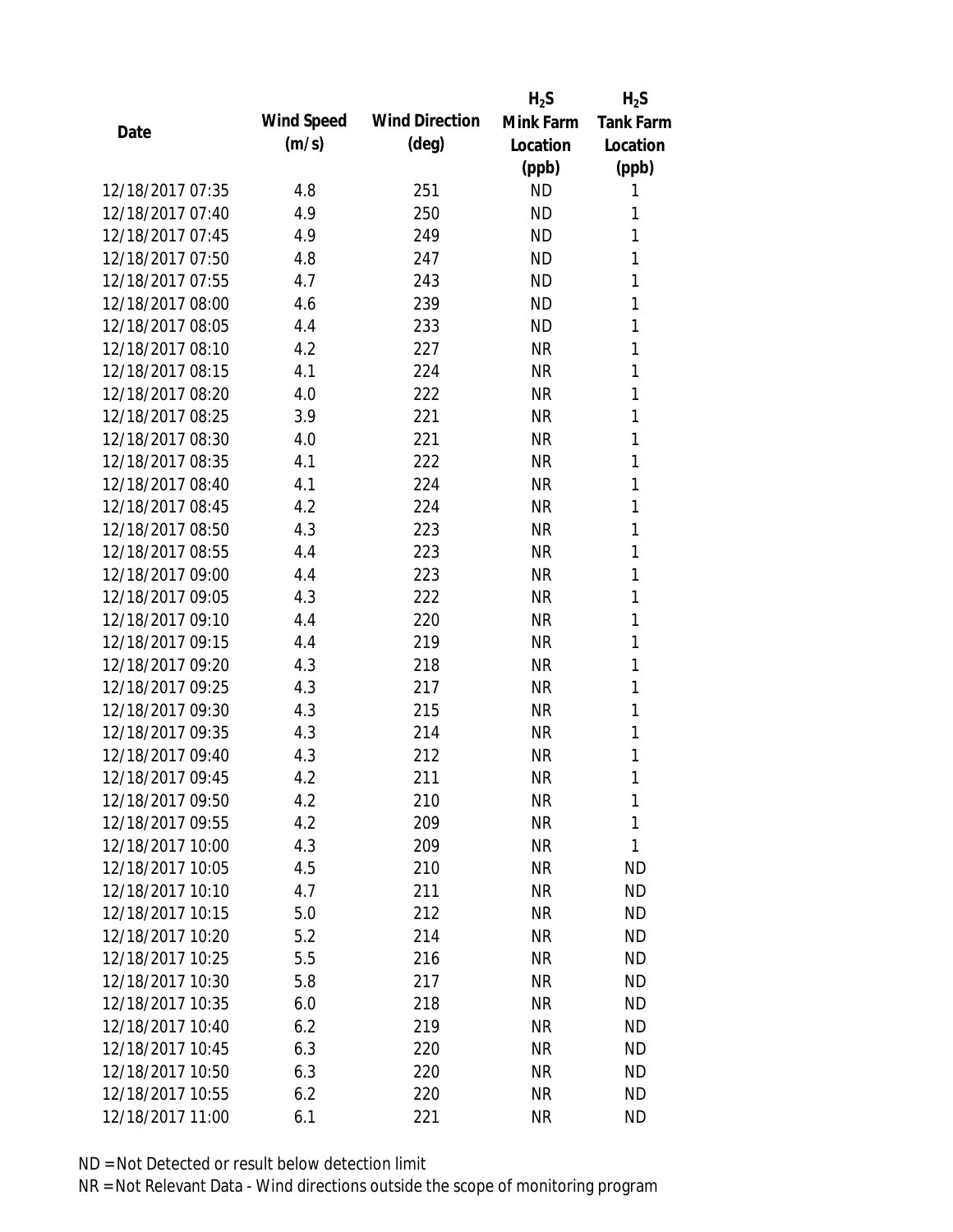|                  |            |                       | $H_2S$    | $H_2S$           |
|------------------|------------|-----------------------|-----------|------------------|
| Date             | Wind Speed | <b>Wind Direction</b> | Mink Farm | <b>Tank Farm</b> |
|                  | (m/s)      | $(\text{deg})$        | Location  | Location         |
|                  |            |                       | (ppb)     | (ppb)            |
| 12/18/2017 07:35 | 4.8        | 251                   | <b>ND</b> | 1                |
| 12/18/2017 07:40 | 4.9        | 250                   | <b>ND</b> | 1                |
| 12/18/2017 07:45 | 4.9        | 249                   | <b>ND</b> | 1                |
| 12/18/2017 07:50 | 4.8        | 247                   | <b>ND</b> | 1                |
| 12/18/2017 07:55 | 4.7        | 243                   | <b>ND</b> | 1                |
| 12/18/2017 08:00 | 4.6        | 239                   | <b>ND</b> | 1                |
| 12/18/2017 08:05 | 4.4        | 233                   | <b>ND</b> | 1                |
| 12/18/2017 08:10 | 4.2        | 227                   | <b>NR</b> | 1                |
| 12/18/2017 08:15 | 4.1        | 224                   | <b>NR</b> | 1                |
| 12/18/2017 08:20 | 4.0        | 222                   | <b>NR</b> | 1                |
| 12/18/2017 08:25 | 3.9        | 221                   | <b>NR</b> | 1                |
| 12/18/2017 08:30 | 4.0        | 221                   | <b>NR</b> | 1                |
| 12/18/2017 08:35 | 4.1        | 222                   | <b>NR</b> | 1                |
| 12/18/2017 08:40 | 4.1        | 224                   | <b>NR</b> | 1                |
| 12/18/2017 08:45 | 4.2        | 224                   | <b>NR</b> | 1                |
| 12/18/2017 08:50 | 4.3        | 223                   | <b>NR</b> | 1                |
| 12/18/2017 08:55 | 4.4        | 223                   | <b>NR</b> | 1                |
| 12/18/2017 09:00 | 4.4        | 223                   | <b>NR</b> | 1                |
| 12/18/2017 09:05 | 4.3        | 222                   | <b>NR</b> | 1                |
| 12/18/2017 09:10 | 4.4        | 220                   | <b>NR</b> | 1                |
| 12/18/2017 09:15 | 4.4        | 219                   | <b>NR</b> | 1                |
| 12/18/2017 09:20 | 4.3        | 218                   | <b>NR</b> | 1                |
| 12/18/2017 09:25 | 4.3        | 217                   | <b>NR</b> | 1                |
| 12/18/2017 09:30 | 4.3        | 215                   | <b>NR</b> | 1                |
| 12/18/2017 09:35 | 4.3        | 214                   | <b>NR</b> | 1                |
| 12/18/2017 09:40 | 4.3        | 212                   | <b>NR</b> | 1                |
| 12/18/2017 09:45 | 4.2        | 211                   | <b>NR</b> | 1                |
| 12/18/2017 09:50 | 4.2        | 210                   | <b>NR</b> | 1                |
| 12/18/2017 09:55 | 4.2        | 209                   | <b>NR</b> | 1                |
| 12/18/2017 10:00 | 4.3        | 209                   | <b>NR</b> | 1                |
| 12/18/2017 10:05 | 4.5        | 210                   | <b>NR</b> | <b>ND</b>        |
| 12/18/2017 10:10 | 4.7        | 211                   | <b>NR</b> | <b>ND</b>        |
| 12/18/2017 10:15 | 5.0        | 212                   | <b>NR</b> | <b>ND</b>        |
| 12/18/2017 10:20 | 5.2        | 214                   | <b>NR</b> | <b>ND</b>        |
| 12/18/2017 10:25 | 5.5        | 216                   | <b>NR</b> | <b>ND</b>        |
| 12/18/2017 10:30 | 5.8        | 217                   | <b>NR</b> | <b>ND</b>        |
| 12/18/2017 10:35 | 6.0        | 218                   | NR        | <b>ND</b>        |
| 12/18/2017 10:40 | 6.2        | 219                   | NR        | <b>ND</b>        |
| 12/18/2017 10:45 | 6.3        | 220                   | <b>NR</b> | <b>ND</b>        |
| 12/18/2017 10:50 | 6.3        | 220                   | <b>NR</b> | <b>ND</b>        |
| 12/18/2017 10:55 | 6.2        | 220                   | <b>NR</b> | <b>ND</b>        |
| 12/18/2017 11:00 | 6.1        | 221                   | <b>NR</b> | <b>ND</b>        |
|                  |            |                       |           |                  |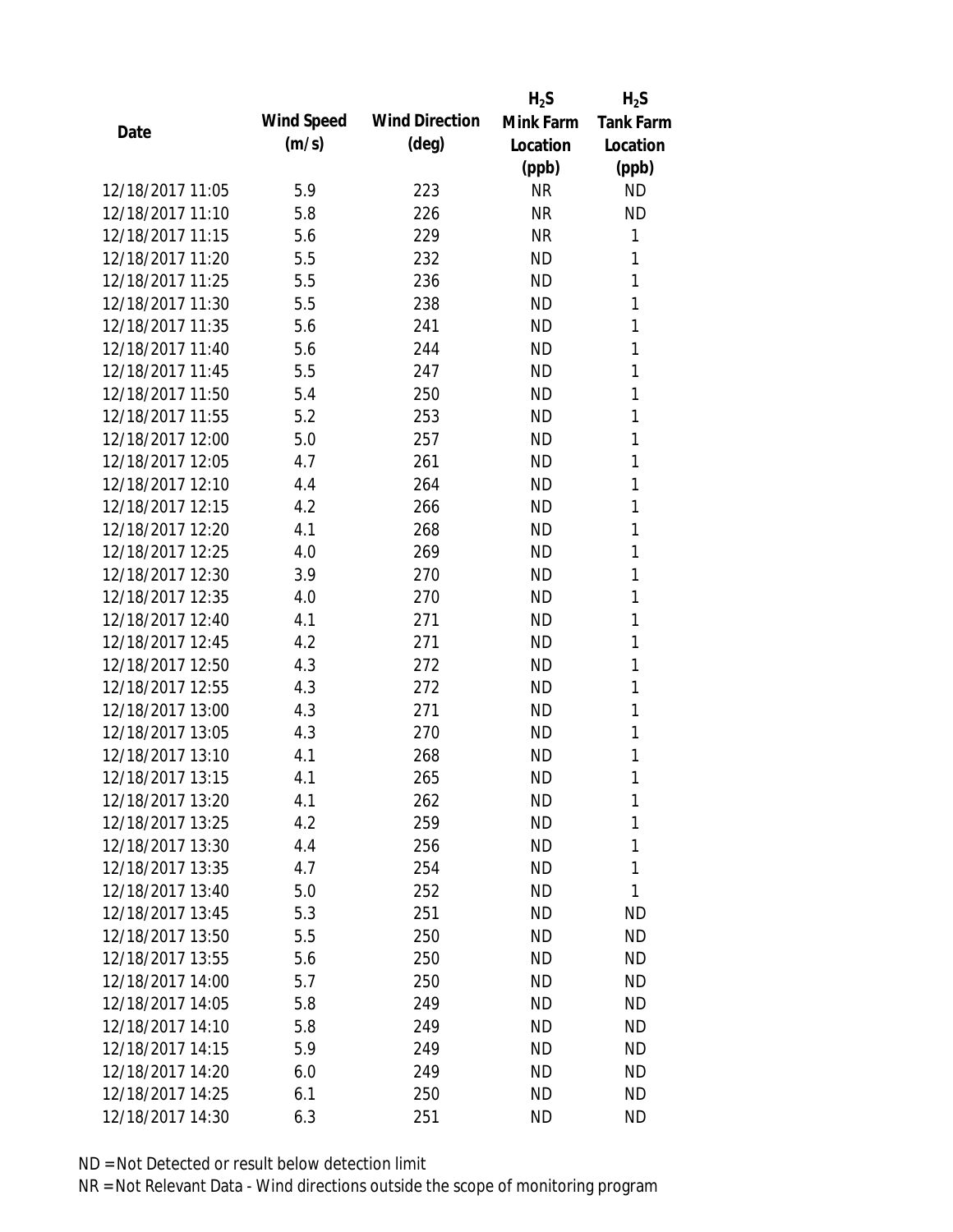|                  |            |                       | $H_2S$    | $H_2S$           |
|------------------|------------|-----------------------|-----------|------------------|
| Date             | Wind Speed | <b>Wind Direction</b> | Mink Farm | <b>Tank Farm</b> |
|                  | (m/s)      | $(\text{deg})$        | Location  | Location         |
|                  |            |                       | (ppb)     | (ppb)            |
| 12/18/2017 11:05 | 5.9        | 223                   | <b>NR</b> | <b>ND</b>        |
| 12/18/2017 11:10 | 5.8        | 226                   | <b>NR</b> | <b>ND</b>        |
| 12/18/2017 11:15 | 5.6        | 229                   | <b>NR</b> | 1                |
| 12/18/2017 11:20 | 5.5        | 232                   | <b>ND</b> | 1                |
| 12/18/2017 11:25 | 5.5        | 236                   | <b>ND</b> | 1                |
| 12/18/2017 11:30 | 5.5        | 238                   | <b>ND</b> | 1                |
| 12/18/2017 11:35 | 5.6        | 241                   | <b>ND</b> | 1                |
| 12/18/2017 11:40 | 5.6        | 244                   | <b>ND</b> | 1                |
| 12/18/2017 11:45 | 5.5        | 247                   | <b>ND</b> | 1                |
| 12/18/2017 11:50 | 5.4        | 250                   | <b>ND</b> | 1                |
| 12/18/2017 11:55 | 5.2        | 253                   | <b>ND</b> | 1                |
| 12/18/2017 12:00 | 5.0        | 257                   | <b>ND</b> | 1                |
| 12/18/2017 12:05 | 4.7        | 261                   | <b>ND</b> | 1                |
| 12/18/2017 12:10 | 4.4        | 264                   | <b>ND</b> | 1                |
| 12/18/2017 12:15 | 4.2        | 266                   | <b>ND</b> | 1                |
| 12/18/2017 12:20 | 4.1        | 268                   | <b>ND</b> | 1                |
| 12/18/2017 12:25 | 4.0        | 269                   | <b>ND</b> | 1                |
| 12/18/2017 12:30 | 3.9        | 270                   | <b>ND</b> | 1                |
| 12/18/2017 12:35 | 4.0        | 270                   | <b>ND</b> | 1                |
| 12/18/2017 12:40 | 4.1        | 271                   | <b>ND</b> | 1                |
| 12/18/2017 12:45 | 4.2        | 271                   | <b>ND</b> | 1                |
| 12/18/2017 12:50 | 4.3        | 272                   | <b>ND</b> | 1                |
| 12/18/2017 12:55 | 4.3        | 272                   | <b>ND</b> | 1                |
| 12/18/2017 13:00 | 4.3        | 271                   | <b>ND</b> | 1                |
| 12/18/2017 13:05 | 4.3        | 270                   | <b>ND</b> | 1                |
| 12/18/2017 13:10 | 4.1        | 268                   | <b>ND</b> | 1                |
| 12/18/2017 13:15 | 4.1        | 265                   | <b>ND</b> | 1                |
| 12/18/2017 13:20 | 4.1        | 262                   | <b>ND</b> | 1                |
| 12/18/2017 13:25 | 4.2        | 259                   | <b>ND</b> | 1                |
| 12/18/2017 13:30 | 4.4        | 256                   | ND        | 1                |
| 12/18/2017 13:35 | 4.7        | 254                   | <b>ND</b> | 1                |
| 12/18/2017 13:40 | 5.0        | 252                   | <b>ND</b> | 1                |
| 12/18/2017 13:45 | 5.3        | 251                   | <b>ND</b> | <b>ND</b>        |
| 12/18/2017 13:50 | 5.5        | 250                   | <b>ND</b> | <b>ND</b>        |
| 12/18/2017 13:55 | 5.6        | 250                   | <b>ND</b> | <b>ND</b>        |
| 12/18/2017 14:00 | 5.7        | 250                   | <b>ND</b> | <b>ND</b>        |
| 12/18/2017 14:05 | 5.8        | 249                   | ND        | <b>ND</b>        |
| 12/18/2017 14:10 | 5.8        | 249                   | ND        | <b>ND</b>        |
| 12/18/2017 14:15 | 5.9        | 249                   | <b>ND</b> | <b>ND</b>        |
| 12/18/2017 14:20 | 6.0        | 249                   | <b>ND</b> | <b>ND</b>        |
| 12/18/2017 14:25 | 6.1        | 250                   | <b>ND</b> | <b>ND</b>        |
| 12/18/2017 14:30 | 6.3        | 251                   | <b>ND</b> | <b>ND</b>        |
|                  |            |                       |           |                  |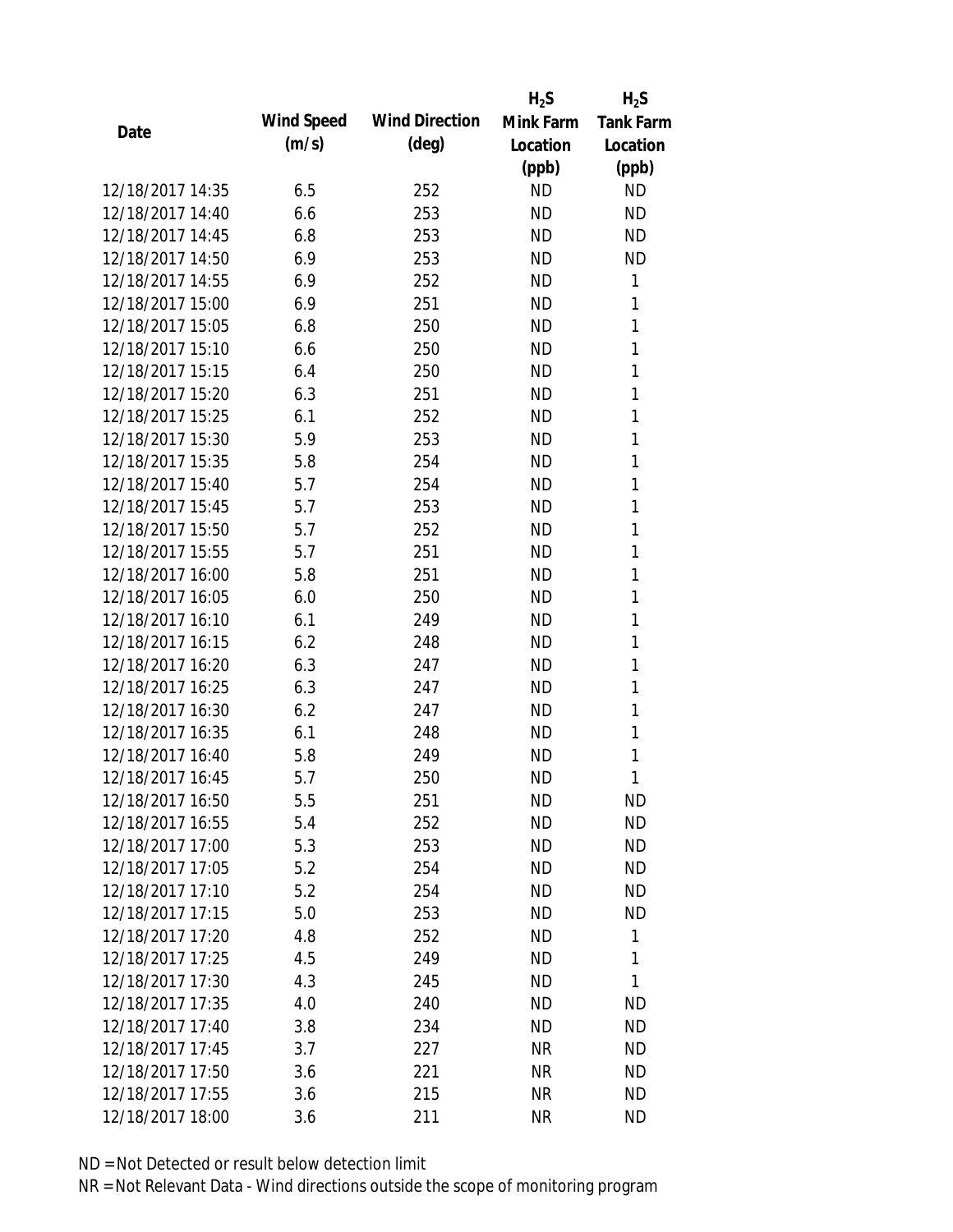|                  |            |                       | $H_2S$    | $H_2S$           |
|------------------|------------|-----------------------|-----------|------------------|
|                  | Wind Speed | <b>Wind Direction</b> | Mink Farm | <b>Tank Farm</b> |
| Date             | (m/s)      | $(\text{deg})$        | Location  | Location         |
|                  |            |                       | (ppb)     | (ppb)            |
| 12/18/2017 14:35 | 6.5        | 252                   | <b>ND</b> | <b>ND</b>        |
| 12/18/2017 14:40 | 6.6        | 253                   | <b>ND</b> | <b>ND</b>        |
| 12/18/2017 14:45 | 6.8        | 253                   | <b>ND</b> | <b>ND</b>        |
| 12/18/2017 14:50 | 6.9        | 253                   | <b>ND</b> | <b>ND</b>        |
| 12/18/2017 14:55 | 6.9        | 252                   | <b>ND</b> | 1                |
| 12/18/2017 15:00 | 6.9        | 251                   | <b>ND</b> | 1                |
| 12/18/2017 15:05 | 6.8        | 250                   | <b>ND</b> | 1                |
| 12/18/2017 15:10 | 6.6        | 250                   | <b>ND</b> | 1                |
| 12/18/2017 15:15 | 6.4        | 250                   | <b>ND</b> | 1                |
| 12/18/2017 15:20 | 6.3        | 251                   | <b>ND</b> | 1                |
| 12/18/2017 15:25 | 6.1        | 252                   | ND        | 1                |
| 12/18/2017 15:30 | 5.9        | 253                   | <b>ND</b> | 1                |
| 12/18/2017 15:35 | 5.8        | 254                   | <b>ND</b> | 1                |
| 12/18/2017 15:40 | 5.7        | 254                   | <b>ND</b> | 1                |
| 12/18/2017 15:45 | 5.7        | 253                   | <b>ND</b> | 1                |
| 12/18/2017 15:50 | 5.7        | 252                   | <b>ND</b> | 1                |
| 12/18/2017 15:55 | 5.7        | 251                   | <b>ND</b> | 1                |
| 12/18/2017 16:00 | 5.8        | 251                   | <b>ND</b> | 1                |
| 12/18/2017 16:05 | 6.0        | 250                   | <b>ND</b> | 1                |
| 12/18/2017 16:10 | 6.1        | 249                   | <b>ND</b> | 1                |
| 12/18/2017 16:15 | 6.2        | 248                   | <b>ND</b> | 1                |
| 12/18/2017 16:20 | 6.3        | 247                   | <b>ND</b> | 1                |
| 12/18/2017 16:25 | 6.3        | 247                   | <b>ND</b> | 1                |
| 12/18/2017 16:30 | 6.2        | 247                   | <b>ND</b> | 1                |
| 12/18/2017 16:35 | 6.1        | 248                   | <b>ND</b> | 1                |
| 12/18/2017 16:40 | 5.8        | 249                   | <b>ND</b> | 1                |
| 12/18/2017 16:45 | 5.7        | 250                   | <b>ND</b> | 1                |
| 12/18/2017 16:50 | 5.5        | 251                   | ΝD        | ND               |
| 12/18/2017 16:55 | 5.4        | 252                   | <b>ND</b> | <b>ND</b>        |
| 12/18/2017 17:00 | 5.3        | 253                   | ND        | <b>ND</b>        |
| 12/18/2017 17:05 | 5.2        | 254                   | <b>ND</b> | <b>ND</b>        |
| 12/18/2017 17:10 | 5.2        | 254                   | <b>ND</b> | <b>ND</b>        |
| 12/18/2017 17:15 | 5.0        | 253                   | <b>ND</b> | <b>ND</b>        |
| 12/18/2017 17:20 | 4.8        | 252                   | <b>ND</b> | 1                |
| 12/18/2017 17:25 | 4.5        | 249                   | <b>ND</b> | 1                |
| 12/18/2017 17:30 | 4.3        | 245                   | <b>ND</b> | 1                |
| 12/18/2017 17:35 | 4.0        | 240                   | ND.       | ND               |
| 12/18/2017 17:40 | 3.8        | 234                   | ΝD        | <b>ND</b>        |
| 12/18/2017 17:45 | 3.7        | 227                   | <b>NR</b> | <b>ND</b>        |
| 12/18/2017 17:50 | 3.6        | 221                   | <b>NR</b> | ND               |
| 12/18/2017 17:55 | 3.6        | 215                   | <b>NR</b> | <b>ND</b>        |
| 12/18/2017 18:00 | 3.6        | 211                   | <b>NR</b> | <b>ND</b>        |
|                  |            |                       |           |                  |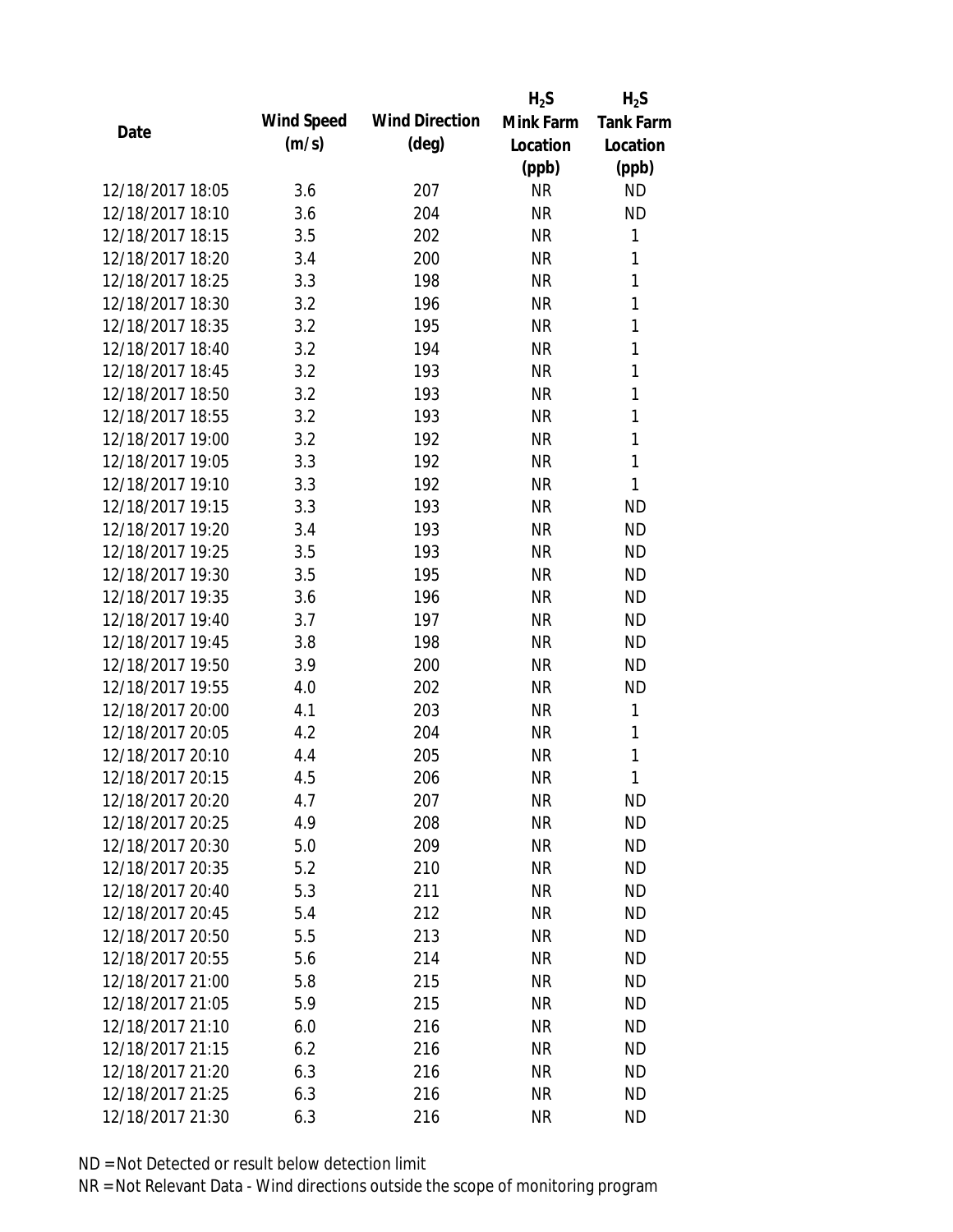|                  |            |                       | $H_2S$    | $H_2S$           |
|------------------|------------|-----------------------|-----------|------------------|
|                  | Wind Speed | <b>Wind Direction</b> | Mink Farm | <b>Tank Farm</b> |
| Date             | (m/s)      | $(\text{deg})$        | Location  | Location         |
|                  |            |                       | (ppb)     | (ppb)            |
| 12/18/2017 18:05 | 3.6        | 207                   | <b>NR</b> | <b>ND</b>        |
| 12/18/2017 18:10 | 3.6        | 204                   | <b>NR</b> | <b>ND</b>        |
| 12/18/2017 18:15 | 3.5        | 202                   | <b>NR</b> | 1                |
| 12/18/2017 18:20 | 3.4        | 200                   | <b>NR</b> | 1                |
| 12/18/2017 18:25 | 3.3        | 198                   | <b>NR</b> | $\mathbf{1}$     |
| 12/18/2017 18:30 | 3.2        | 196                   | <b>NR</b> | 1                |
| 12/18/2017 18:35 | 3.2        | 195                   | <b>NR</b> | 1                |
| 12/18/2017 18:40 | 3.2        | 194                   | <b>NR</b> | $\mathbf{1}$     |
| 12/18/2017 18:45 | 3.2        | 193                   | <b>NR</b> | 1                |
| 12/18/2017 18:50 | 3.2        | 193                   | <b>NR</b> | 1                |
| 12/18/2017 18:55 | 3.2        | 193                   | <b>NR</b> | 1                |
| 12/18/2017 19:00 | 3.2        | 192                   | <b>NR</b> | 1                |
| 12/18/2017 19:05 | 3.3        | 192                   | <b>NR</b> | 1                |
| 12/18/2017 19:10 | 3.3        | 192                   | <b>NR</b> | 1                |
| 12/18/2017 19:15 | 3.3        | 193                   | <b>NR</b> | <b>ND</b>        |
| 12/18/2017 19:20 | 3.4        | 193                   | <b>NR</b> | <b>ND</b>        |
| 12/18/2017 19:25 | 3.5        | 193                   | <b>NR</b> | <b>ND</b>        |
| 12/18/2017 19:30 | 3.5        | 195                   | <b>NR</b> | <b>ND</b>        |
| 12/18/2017 19:35 | 3.6        | 196                   | <b>NR</b> | <b>ND</b>        |
| 12/18/2017 19:40 | 3.7        | 197                   | <b>NR</b> | <b>ND</b>        |
| 12/18/2017 19:45 | 3.8        | 198                   | <b>NR</b> | <b>ND</b>        |
| 12/18/2017 19:50 | 3.9        | 200                   | <b>NR</b> | <b>ND</b>        |
| 12/18/2017 19:55 | 4.0        | 202                   | <b>NR</b> | <b>ND</b>        |
| 12/18/2017 20:00 | 4.1        | 203                   | <b>NR</b> | 1                |
| 12/18/2017 20:05 | 4.2        | 204                   | <b>NR</b> | 1                |
| 12/18/2017 20:10 | 4.4        | 205                   | <b>NR</b> | 1                |
| 12/18/2017 20:15 | 4.5        | 206                   | <b>NR</b> | 1                |
| 12/18/2017 20:20 | 4.7        | 207                   | <b>NR</b> | <b>ND</b>        |
| 12/18/2017 20:25 | 4.9        | 208                   | <b>NR</b> | <b>ND</b>        |
| 12/18/2017 20:30 | 5.0        | 209                   | NR        | <b>ND</b>        |
| 12/18/2017 20:35 | 5.2        | 210                   | <b>NR</b> | <b>ND</b>        |
| 12/18/2017 20:40 | 5.3        | 211                   | <b>NR</b> | <b>ND</b>        |
| 12/18/2017 20:45 | 5.4        | 212                   | <b>NR</b> | <b>ND</b>        |
| 12/18/2017 20:50 | 5.5        | 213                   | <b>NR</b> | <b>ND</b>        |
| 12/18/2017 20:55 | 5.6        | 214                   | <b>NR</b> | <b>ND</b>        |
| 12/18/2017 21:00 | 5.8        | 215                   | <b>NR</b> | <b>ND</b>        |
| 12/18/2017 21:05 | 5.9        | 215                   | <b>NR</b> | <b>ND</b>        |
| 12/18/2017 21:10 | 6.0        | 216                   | NR        | <b>ND</b>        |
| 12/18/2017 21:15 | 6.2        | 216                   | <b>NR</b> | <b>ND</b>        |
| 12/18/2017 21:20 | 6.3        | 216                   | <b>NR</b> | <b>ND</b>        |
| 12/18/2017 21:25 | 6.3        | 216                   | <b>NR</b> | <b>ND</b>        |
| 12/18/2017 21:30 | 6.3        | 216                   | <b>NR</b> | <b>ND</b>        |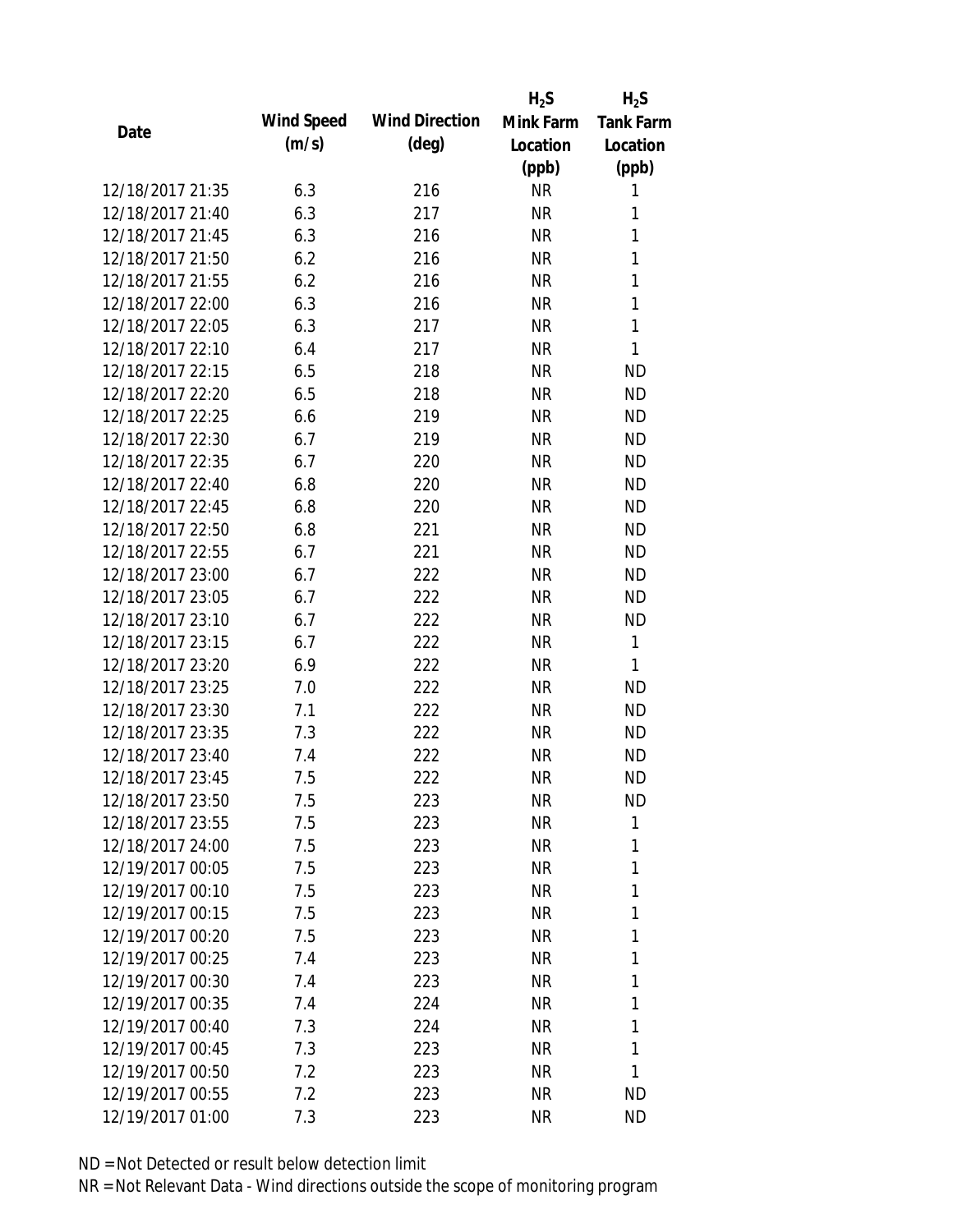|                  |            |                       | $H_2S$    | $H_2S$           |
|------------------|------------|-----------------------|-----------|------------------|
|                  | Wind Speed | <b>Wind Direction</b> | Mink Farm | <b>Tank Farm</b> |
| Date             | (m/s)      | $(\text{deg})$        | Location  | Location         |
|                  |            |                       | (ppb)     | (ppb)            |
| 12/18/2017 21:35 | 6.3        | 216                   | <b>NR</b> | 1                |
| 12/18/2017 21:40 | 6.3        | 217                   | <b>NR</b> | 1                |
| 12/18/2017 21:45 | 6.3        | 216                   | <b>NR</b> | 1                |
| 12/18/2017 21:50 | 6.2        | 216                   | <b>NR</b> | 1                |
| 12/18/2017 21:55 | 6.2        | 216                   | <b>NR</b> | 1                |
| 12/18/2017 22:00 | 6.3        | 216                   | <b>NR</b> | 1                |
| 12/18/2017 22:05 | 6.3        | 217                   | <b>NR</b> | 1                |
| 12/18/2017 22:10 | 6.4        | 217                   | <b>NR</b> | 1                |
| 12/18/2017 22:15 | 6.5        | 218                   | <b>NR</b> | <b>ND</b>        |
| 12/18/2017 22:20 | 6.5        | 218                   | <b>NR</b> | <b>ND</b>        |
| 12/18/2017 22:25 | 6.6        | 219                   | <b>NR</b> | <b>ND</b>        |
| 12/18/2017 22:30 | 6.7        | 219                   | <b>NR</b> | <b>ND</b>        |
| 12/18/2017 22:35 | 6.7        | 220                   | <b>NR</b> | <b>ND</b>        |
| 12/18/2017 22:40 | 6.8        | 220                   | <b>NR</b> | <b>ND</b>        |
| 12/18/2017 22:45 | 6.8        | 220                   | <b>NR</b> | <b>ND</b>        |
| 12/18/2017 22:50 | 6.8        | 221                   | <b>NR</b> | <b>ND</b>        |
| 12/18/2017 22:55 | 6.7        | 221                   | <b>NR</b> | <b>ND</b>        |
| 12/18/2017 23:00 | 6.7        | 222                   | <b>NR</b> | <b>ND</b>        |
| 12/18/2017 23:05 | 6.7        | 222                   | <b>NR</b> | <b>ND</b>        |
| 12/18/2017 23:10 | 6.7        | 222                   | <b>NR</b> | <b>ND</b>        |
| 12/18/2017 23:15 | 6.7        | 222                   | <b>NR</b> | 1                |
| 12/18/2017 23:20 | 6.9        | 222                   | <b>NR</b> | 1                |
| 12/18/2017 23:25 | 7.0        | 222                   | <b>NR</b> | <b>ND</b>        |
| 12/18/2017 23:30 | 7.1        | 222                   | <b>NR</b> | <b>ND</b>        |
| 12/18/2017 23:35 | 7.3        | 222                   | <b>NR</b> | <b>ND</b>        |
| 12/18/2017 23:40 | 7.4        | 222                   | <b>NR</b> | <b>ND</b>        |
| 12/18/2017 23:45 | 7.5        | 222                   | <b>NR</b> | <b>ND</b>        |
| 12/18/2017 23:50 | 7.5        | 223                   | <b>NR</b> | <b>ND</b>        |
| 12/18/2017 23:55 | 7.5        | 223                   | <b>NR</b> | 1                |
| 12/18/2017 24:00 | 7.5        | 223                   | NR        | 1                |
| 12/19/2017 00:05 | 7.5        | 223                   | NR        | 1                |
| 12/19/2017 00:10 | 7.5        | 223                   | <b>NR</b> | 1                |
| 12/19/2017 00:15 | 7.5        | 223                   | NR        | 1                |
| 12/19/2017 00:20 | 7.5        | 223                   | <b>NR</b> | 1                |
| 12/19/2017 00:25 |            |                       |           | 1                |
| 12/19/2017 00:30 | 7.4        | 223                   | NR        | 1                |
|                  | 7.4        | 223                   | NR        |                  |
| 12/19/2017 00:35 | 7.4        | 224                   | NR        | 1                |
| 12/19/2017 00:40 | 7.3        | 224                   | NR        | 1                |
| 12/19/2017 00:45 | 7.3        | 223                   | <b>NR</b> | 1                |
| 12/19/2017 00:50 | 7.2        | 223                   | NR        | 1                |
| 12/19/2017 00:55 | 7.2        | 223                   | NR        | <b>ND</b>        |
| 12/19/2017 01:00 | 7.3        | 223                   | NR        | <b>ND</b>        |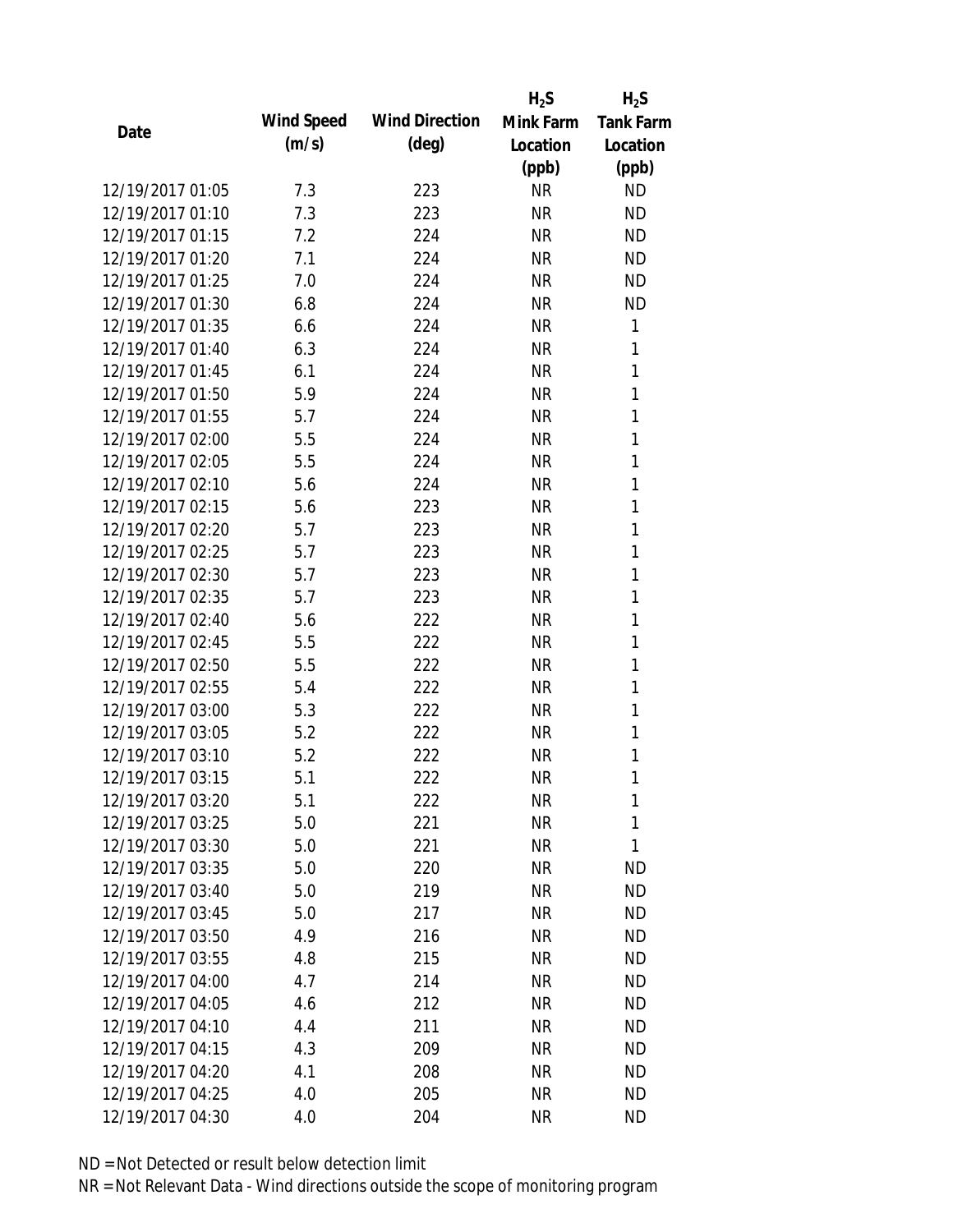|                  |            |                       | $H_2S$    | $H_2S$           |
|------------------|------------|-----------------------|-----------|------------------|
|                  | Wind Speed | <b>Wind Direction</b> | Mink Farm | <b>Tank Farm</b> |
| Date             | (m/s)      | $(\text{deg})$        | Location  | Location         |
|                  |            |                       | (ppb)     | (ppb)            |
| 12/19/2017 01:05 | 7.3        | 223                   | <b>NR</b> | <b>ND</b>        |
| 12/19/2017 01:10 | 7.3        | 223                   | <b>NR</b> | <b>ND</b>        |
| 12/19/2017 01:15 | 7.2        | 224                   | <b>NR</b> | <b>ND</b>        |
| 12/19/2017 01:20 | 7.1        | 224                   | <b>NR</b> | <b>ND</b>        |
| 12/19/2017 01:25 | 7.0        | 224                   | <b>NR</b> | <b>ND</b>        |
| 12/19/2017 01:30 | 6.8        | 224                   | <b>NR</b> | <b>ND</b>        |
| 12/19/2017 01:35 | 6.6        | 224                   | <b>NR</b> | 1                |
| 12/19/2017 01:40 | 6.3        | 224                   | <b>NR</b> | 1                |
| 12/19/2017 01:45 | 6.1        | 224                   | <b>NR</b> | $\mathbf{1}$     |
| 12/19/2017 01:50 | 5.9        | 224                   | <b>NR</b> | 1                |
| 12/19/2017 01:55 | 5.7        | 224                   | <b>NR</b> | 1                |
| 12/19/2017 02:00 | 5.5        | 224                   | <b>NR</b> | 1                |
| 12/19/2017 02:05 | 5.5        | 224                   | <b>NR</b> | 1                |
| 12/19/2017 02:10 | 5.6        | 224                   | <b>NR</b> | 1                |
| 12/19/2017 02:15 | 5.6        | 223                   | <b>NR</b> | 1                |
| 12/19/2017 02:20 | 5.7        | 223                   | <b>NR</b> | 1                |
| 12/19/2017 02:25 | 5.7        | 223                   | <b>NR</b> | 1                |
| 12/19/2017 02:30 | 5.7        | 223                   | <b>NR</b> | 1                |
| 12/19/2017 02:35 | 5.7        | 223                   | <b>NR</b> | 1                |
| 12/19/2017 02:40 | 5.6        | 222                   | <b>NR</b> | 1                |
| 12/19/2017 02:45 | 5.5        | 222                   | <b>NR</b> | 1                |
| 12/19/2017 02:50 | 5.5        | 222                   | <b>NR</b> | 1                |
| 12/19/2017 02:55 | 5.4        | 222                   | <b>NR</b> | 1                |
| 12/19/2017 03:00 | 5.3        | 222                   | <b>NR</b> | 1                |
| 12/19/2017 03:05 | 5.2        | 222                   | <b>NR</b> | 1                |
| 12/19/2017 03:10 | 5.2        | 222                   | <b>NR</b> | 1                |
| 12/19/2017 03:15 | 5.1        | 222                   | <b>NR</b> | 1                |
| 12/19/2017 03:20 | 5.1        | 222                   | NR        | 1                |
| 12/19/2017 03:25 | 5.0        | 221                   | <b>NR</b> | 1                |
| 12/19/2017 03:30 | 5.0        | 221                   | NR        | 1                |
| 12/19/2017 03:35 | 5.0        | 220                   | <b>NR</b> | <b>ND</b>        |
| 12/19/2017 03:40 | 5.0        | 219                   | <b>NR</b> | <b>ND</b>        |
| 12/19/2017 03:45 | 5.0        | 217                   | NR        | <b>ND</b>        |
| 12/19/2017 03:50 | 4.9        | 216                   | <b>NR</b> | <b>ND</b>        |
| 12/19/2017 03:55 | 4.8        | 215                   | <b>NR</b> | <b>ND</b>        |
| 12/19/2017 04:00 | 4.7        | 214                   | <b>NR</b> | <b>ND</b>        |
| 12/19/2017 04:05 | 4.6        | 212                   | NR        | <b>ND</b>        |
| 12/19/2017 04:10 | 4.4        | 211                   | NR        | <b>ND</b>        |
| 12/19/2017 04:15 | 4.3        | 209                   | <b>NR</b> | <b>ND</b>        |
| 12/19/2017 04:20 | 4.1        | 208                   | <b>NR</b> | <b>ND</b>        |
| 12/19/2017 04:25 | 4.0        | 205                   | <b>NR</b> | <b>ND</b>        |
| 12/19/2017 04:30 | 4.0        | 204                   | <b>NR</b> | <b>ND</b>        |
|                  |            |                       |           |                  |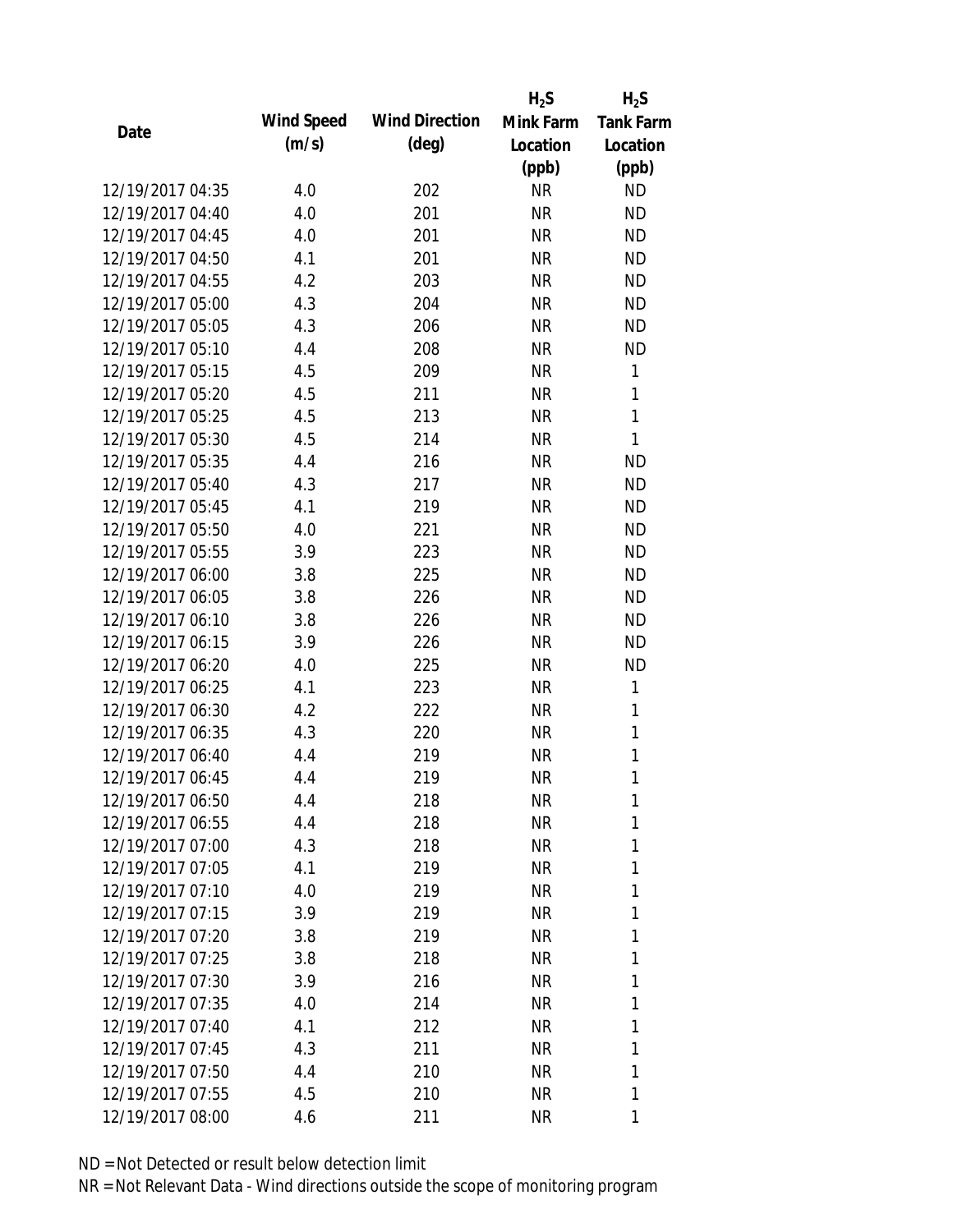|                  |            |                       | $H_2S$    | $H_2S$           |
|------------------|------------|-----------------------|-----------|------------------|
| Date             | Wind Speed | <b>Wind Direction</b> | Mink Farm | <b>Tank Farm</b> |
|                  | (m/s)      | $(\text{deg})$        | Location  | Location         |
|                  |            |                       | (ppb)     | (ppb)            |
| 12/19/2017 04:35 | 4.0        | 202                   | <b>NR</b> | <b>ND</b>        |
| 12/19/2017 04:40 | 4.0        | 201                   | <b>NR</b> | <b>ND</b>        |
| 12/19/2017 04:45 | 4.0        | 201                   | <b>NR</b> | <b>ND</b>        |
| 12/19/2017 04:50 | 4.1        | 201                   | <b>NR</b> | <b>ND</b>        |
| 12/19/2017 04:55 | 4.2        | 203                   | <b>NR</b> | <b>ND</b>        |
| 12/19/2017 05:00 | 4.3        | 204                   | <b>NR</b> | <b>ND</b>        |
| 12/19/2017 05:05 | 4.3        | 206                   | <b>NR</b> | <b>ND</b>        |
| 12/19/2017 05:10 | 4.4        | 208                   | <b>NR</b> | <b>ND</b>        |
| 12/19/2017 05:15 | 4.5        | 209                   | <b>NR</b> | 1                |
| 12/19/2017 05:20 | 4.5        | 211                   | <b>NR</b> | 1                |
| 12/19/2017 05:25 | 4.5        | 213                   | <b>NR</b> | $\mathbf{1}$     |
| 12/19/2017 05:30 | 4.5        | 214                   | <b>NR</b> | $\mathbf{1}$     |
| 12/19/2017 05:35 | 4.4        | 216                   | <b>NR</b> | <b>ND</b>        |
| 12/19/2017 05:40 | 4.3        | 217                   | <b>NR</b> | <b>ND</b>        |
| 12/19/2017 05:45 | 4.1        | 219                   | <b>NR</b> | <b>ND</b>        |
| 12/19/2017 05:50 | 4.0        | 221                   | <b>NR</b> | <b>ND</b>        |
| 12/19/2017 05:55 | 3.9        | 223                   | <b>NR</b> | <b>ND</b>        |
| 12/19/2017 06:00 | 3.8        | 225                   | <b>NR</b> | <b>ND</b>        |
| 12/19/2017 06:05 | 3.8        | 226                   | <b>NR</b> | <b>ND</b>        |
| 12/19/2017 06:10 | 3.8        | 226                   | <b>NR</b> | <b>ND</b>        |
| 12/19/2017 06:15 | 3.9        | 226                   | <b>NR</b> | <b>ND</b>        |
| 12/19/2017 06:20 | 4.0        | 225                   | <b>NR</b> | <b>ND</b>        |
| 12/19/2017 06:25 | 4.1        | 223                   | <b>NR</b> | $\mathbf{1}$     |
| 12/19/2017 06:30 | 4.2        | 222                   | <b>NR</b> | 1                |
| 12/19/2017 06:35 | 4.3        | 220                   | <b>NR</b> | 1                |
| 12/19/2017 06:40 | 4.4        | 219                   | <b>NR</b> | 1                |
| 12/19/2017 06:45 | 4.4        | 219                   | <b>NR</b> | 1                |
| 12/19/2017 06:50 | 4.4        | 218                   | NR        | 1                |
| 12/19/2017 06:55 | 4.4        | 218                   | <b>NR</b> | 1                |
| 12/19/2017 07:00 | 4.3        | 218                   | NR        | 1                |
| 12/19/2017 07:05 | 4.1        | 219                   | NR        | 1                |
| 12/19/2017 07:10 | 4.0        | 219                   | NR        | 1                |
| 12/19/2017 07:15 | 3.9        | 219                   | NR        | 1                |
| 12/19/2017 07:20 | 3.8        | 219                   | <b>NR</b> | 1                |
| 12/19/2017 07:25 | 3.8        | 218                   | NR        | 1                |
| 12/19/2017 07:30 | 3.9        | 216                   | <b>NR</b> | 1                |
| 12/19/2017 07:35 | 4.0        | 214                   | NR        | 1                |
| 12/19/2017 07:40 | 4.1        | 212                   | NR        | 1                |
| 12/19/2017 07:45 | 4.3        | 211                   | NR        | 1                |
| 12/19/2017 07:50 | 4.4        | 210                   | NR        | 1                |
| 12/19/2017 07:55 | 4.5        | 210                   | <b>NR</b> | 1                |
| 12/19/2017 08:00 | 4.6        | 211                   | <b>NR</b> | 1                |
|                  |            |                       |           |                  |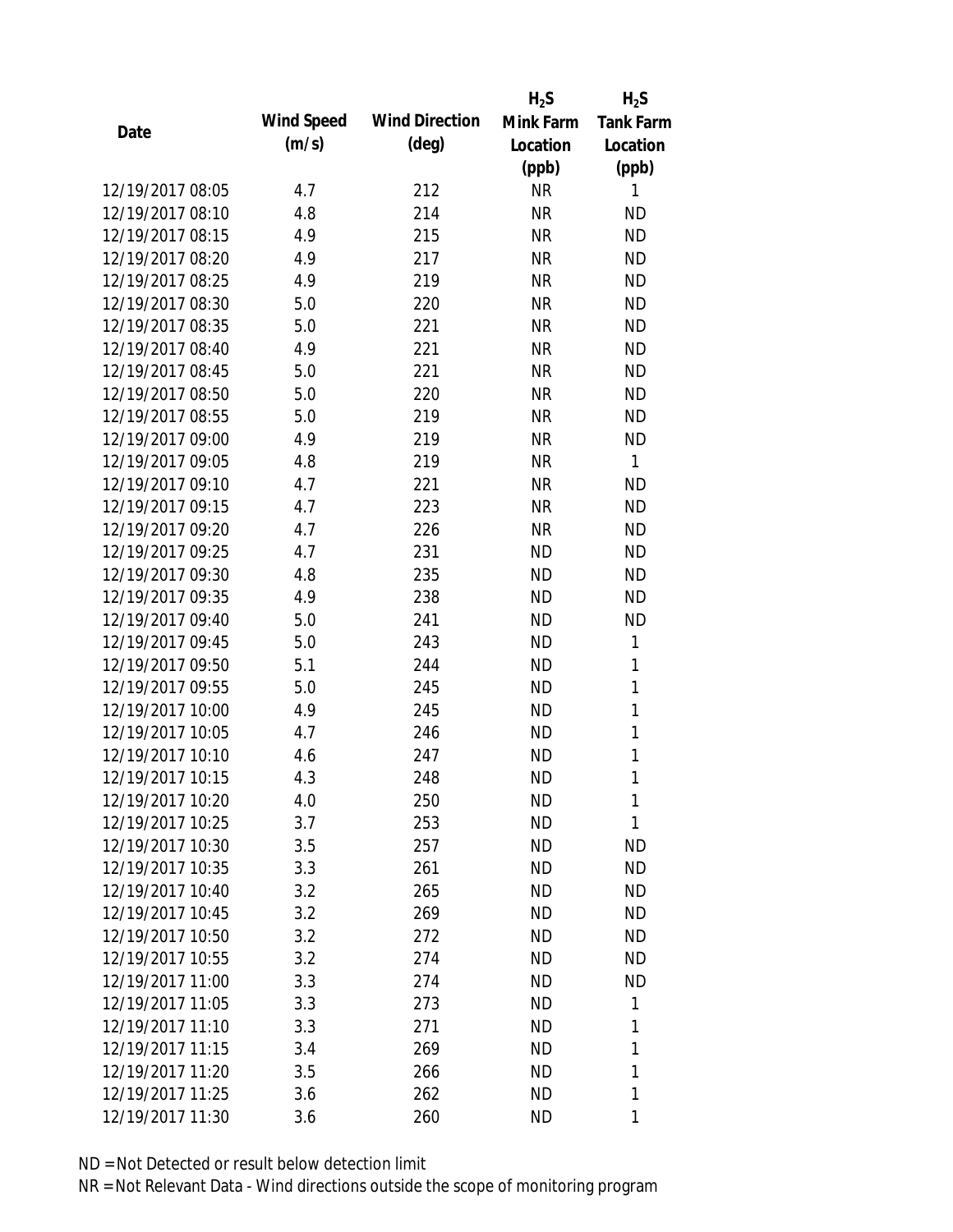|                  |            |                       | $H_2S$    | $H_2S$           |
|------------------|------------|-----------------------|-----------|------------------|
| Date             | Wind Speed | <b>Wind Direction</b> | Mink Farm | <b>Tank Farm</b> |
|                  | (m/s)      | $(\text{deg})$        | Location  | Location         |
|                  |            |                       | (ppb)     | (ppb)            |
| 12/19/2017 08:05 | 4.7        | 212                   | <b>NR</b> | 1                |
| 12/19/2017 08:10 | 4.8        | 214                   | <b>NR</b> | <b>ND</b>        |
| 12/19/2017 08:15 | 4.9        | 215                   | <b>NR</b> | <b>ND</b>        |
| 12/19/2017 08:20 | 4.9        | 217                   | <b>NR</b> | <b>ND</b>        |
| 12/19/2017 08:25 | 4.9        | 219                   | <b>NR</b> | <b>ND</b>        |
| 12/19/2017 08:30 | 5.0        | 220                   | <b>NR</b> | <b>ND</b>        |
| 12/19/2017 08:35 | 5.0        | 221                   | <b>NR</b> | <b>ND</b>        |
| 12/19/2017 08:40 | 4.9        | 221                   | <b>NR</b> | <b>ND</b>        |
| 12/19/2017 08:45 | 5.0        | 221                   | <b>NR</b> | <b>ND</b>        |
| 12/19/2017 08:50 | 5.0        | 220                   | <b>NR</b> | <b>ND</b>        |
| 12/19/2017 08:55 | 5.0        | 219                   | <b>NR</b> | <b>ND</b>        |
| 12/19/2017 09:00 | 4.9        | 219                   | <b>NR</b> | <b>ND</b>        |
| 12/19/2017 09:05 | 4.8        | 219                   | <b>NR</b> | $\mathbf{1}$     |
| 12/19/2017 09:10 | 4.7        | 221                   | <b>NR</b> | <b>ND</b>        |
| 12/19/2017 09:15 | 4.7        | 223                   | <b>NR</b> | <b>ND</b>        |
| 12/19/2017 09:20 | 4.7        | 226                   | <b>NR</b> | <b>ND</b>        |
| 12/19/2017 09:25 | 4.7        | 231                   | <b>ND</b> | <b>ND</b>        |
| 12/19/2017 09:30 | 4.8        | 235                   | <b>ND</b> | <b>ND</b>        |
| 12/19/2017 09:35 | 4.9        | 238                   | <b>ND</b> | <b>ND</b>        |
| 12/19/2017 09:40 | 5.0        | 241                   | <b>ND</b> | <b>ND</b>        |
| 12/19/2017 09:45 | 5.0        | 243                   | <b>ND</b> | 1                |
| 12/19/2017 09:50 | 5.1        | 244                   | <b>ND</b> | $\mathbf{1}$     |
| 12/19/2017 09:55 | 5.0        | 245                   | <b>ND</b> | 1                |
| 12/19/2017 10:00 | 4.9        | 245                   | <b>ND</b> | $\mathbf{1}$     |
| 12/19/2017 10:05 | 4.7        | 246                   | <b>ND</b> | 1                |
| 12/19/2017 10:10 | 4.6        | 247                   | <b>ND</b> | $\mathbf{1}$     |
| 12/19/2017 10:15 | 4.3        | 248                   | <b>ND</b> | 1                |
| 12/19/2017 10:20 | 4.0        | 250                   | <b>ND</b> | 1                |
| 12/19/2017 10:25 | 3.7        | 253                   | <b>ND</b> | 1                |
| 12/19/2017 10:30 | 3.5        | 257                   | ND        | <b>ND</b>        |
| 12/19/2017 10:35 | 3.3        | 261                   | <b>ND</b> | <b>ND</b>        |
| 12/19/2017 10:40 | 3.2        | 265                   | <b>ND</b> | <b>ND</b>        |
| 12/19/2017 10:45 | 3.2        | 269                   | <b>ND</b> | <b>ND</b>        |
| 12/19/2017 10:50 | 3.2        | 272                   | <b>ND</b> | <b>ND</b>        |
| 12/19/2017 10:55 | 3.2        | 274                   | <b>ND</b> | <b>ND</b>        |
| 12/19/2017 11:00 | 3.3        | 274                   | <b>ND</b> | <b>ND</b>        |
| 12/19/2017 11:05 | 3.3        | 273                   | <b>ND</b> | 1                |
| 12/19/2017 11:10 | 3.3        | 271                   | <b>ND</b> | 1                |
| 12/19/2017 11:15 | 3.4        | 269                   | <b>ND</b> | 1                |
| 12/19/2017 11:20 | 3.5        | 266                   | <b>ND</b> | 1                |
| 12/19/2017 11:25 | 3.6        | 262                   | <b>ND</b> | 1                |
| 12/19/2017 11:30 | 3.6        | 260                   | <b>ND</b> | 1                |
|                  |            |                       |           |                  |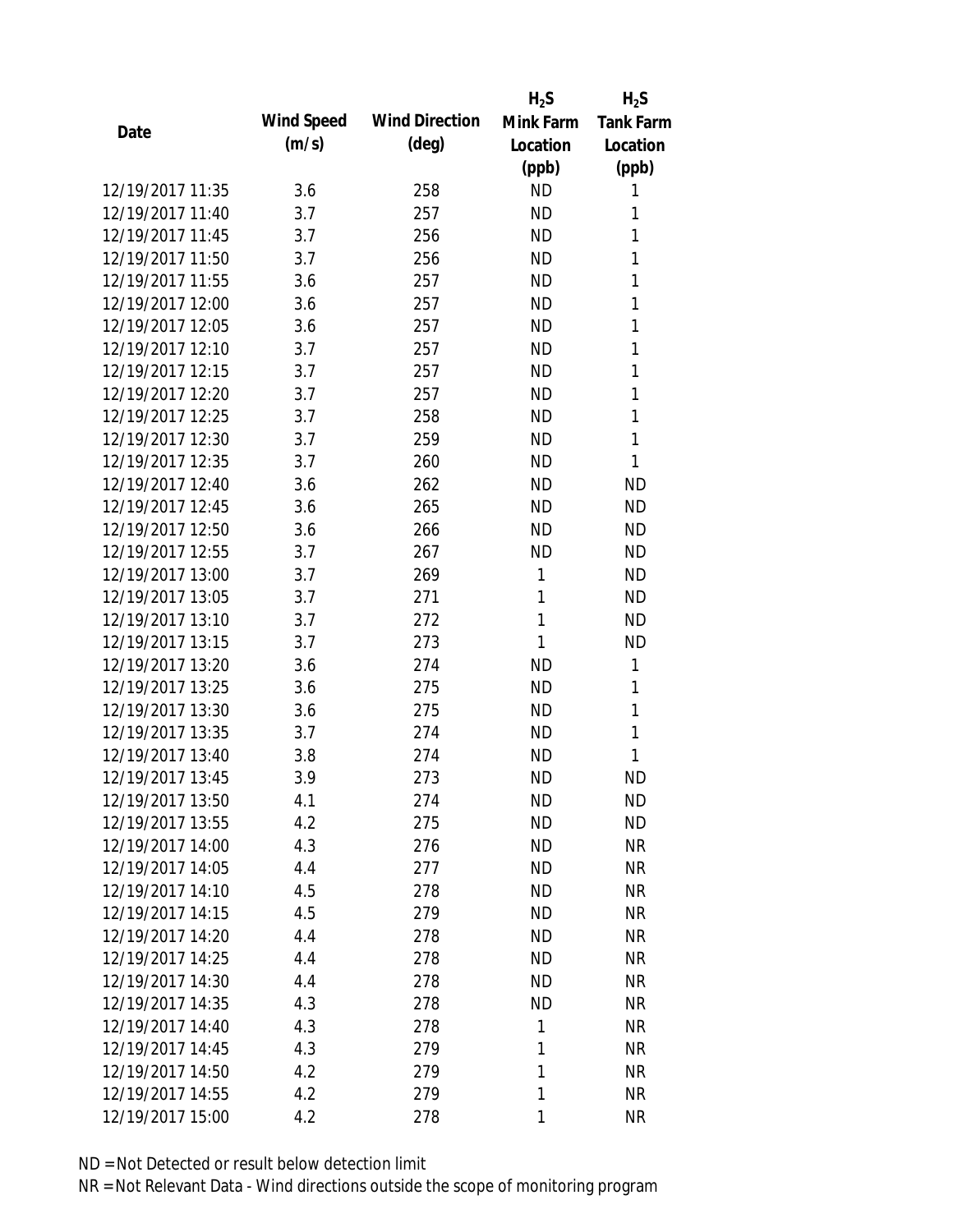|                  |            |                       | $H_2S$    | $H_2S$           |
|------------------|------------|-----------------------|-----------|------------------|
| Date             | Wind Speed | <b>Wind Direction</b> | Mink Farm | <b>Tank Farm</b> |
|                  | (m/s)      | $(\text{deg})$        | Location  | Location         |
|                  |            |                       | (ppb)     | (ppb)            |
| 12/19/2017 11:35 | 3.6        | 258                   | <b>ND</b> | 1                |
| 12/19/2017 11:40 | 3.7        | 257                   | <b>ND</b> | 1                |
| 12/19/2017 11:45 | 3.7        | 256                   | <b>ND</b> | 1                |
| 12/19/2017 11:50 | 3.7        | 256                   | <b>ND</b> | 1                |
| 12/19/2017 11:55 | 3.6        | 257                   | <b>ND</b> | 1                |
| 12/19/2017 12:00 | 3.6        | 257                   | <b>ND</b> | 1                |
| 12/19/2017 12:05 | 3.6        | 257                   | <b>ND</b> | 1                |
| 12/19/2017 12:10 | 3.7        | 257                   | <b>ND</b> | 1                |
| 12/19/2017 12:15 | 3.7        | 257                   | <b>ND</b> | 1                |
| 12/19/2017 12:20 | 3.7        | 257                   | <b>ND</b> | 1                |
| 12/19/2017 12:25 | 3.7        | 258                   | <b>ND</b> | 1                |
| 12/19/2017 12:30 | 3.7        | 259                   | <b>ND</b> | 1                |
| 12/19/2017 12:35 | 3.7        | 260                   | <b>ND</b> | 1                |
| 12/19/2017 12:40 | 3.6        | 262                   | <b>ND</b> | <b>ND</b>        |
| 12/19/2017 12:45 | 3.6        | 265                   | <b>ND</b> | <b>ND</b>        |
| 12/19/2017 12:50 | 3.6        | 266                   | <b>ND</b> | <b>ND</b>        |
| 12/19/2017 12:55 | 3.7        | 267                   | <b>ND</b> | <b>ND</b>        |
| 12/19/2017 13:00 | 3.7        | 269                   | 1         | <b>ND</b>        |
| 12/19/2017 13:05 | 3.7        | 271                   | 1         | <b>ND</b>        |
| 12/19/2017 13:10 | 3.7        | 272                   | 1         | <b>ND</b>        |
| 12/19/2017 13:15 | 3.7        | 273                   | 1         | <b>ND</b>        |
| 12/19/2017 13:20 | 3.6        | 274                   | <b>ND</b> | 1                |
| 12/19/2017 13:25 | 3.6        | 275                   | <b>ND</b> | 1                |
| 12/19/2017 13:30 | 3.6        | 275                   | <b>ND</b> | 1                |
| 12/19/2017 13:35 | 3.7        | 274                   | <b>ND</b> | 1                |
| 12/19/2017 13:40 | 3.8        | 274                   | <b>ND</b> | 1                |
| 12/19/2017 13:45 | 3.9        | 273                   | <b>ND</b> | <b>ND</b>        |
| 12/19/2017 13:50 | 4.1        | 274                   | <b>ND</b> | <b>ND</b>        |
| 12/19/2017 13:55 | 4.2        | 275                   | <b>ND</b> | <b>ND</b>        |
| 12/19/2017 14:00 | 4.3        | 276                   | ND        | <b>NR</b>        |
| 12/19/2017 14:05 | 4.4        | 277                   | <b>ND</b> | <b>NR</b>        |
| 12/19/2017 14:10 | 4.5        | 278                   | <b>ND</b> | <b>NR</b>        |
| 12/19/2017 14:15 | 4.5        | 279                   | <b>ND</b> | <b>NR</b>        |
| 12/19/2017 14:20 | 4.4        | 278                   | <b>ND</b> | <b>NR</b>        |
| 12/19/2017 14:25 | 4.4        | 278                   | <b>ND</b> | <b>NR</b>        |
| 12/19/2017 14:30 | 4.4        | 278                   | <b>ND</b> | <b>NR</b>        |
| 12/19/2017 14:35 | 4.3        | 278                   | <b>ND</b> | <b>NR</b>        |
| 12/19/2017 14:40 | 4.3        | 278                   | 1         | <b>NR</b>        |
| 12/19/2017 14:45 | 4.3        | 279                   | 1         | <b>NR</b>        |
| 12/19/2017 14:50 | 4.2        | 279                   | 1         | <b>NR</b>        |
| 12/19/2017 14:55 | 4.2        | 279                   | 1         | <b>NR</b>        |
| 12/19/2017 15:00 | 4.2        | 278                   | 1         | <b>NR</b>        |
|                  |            |                       |           |                  |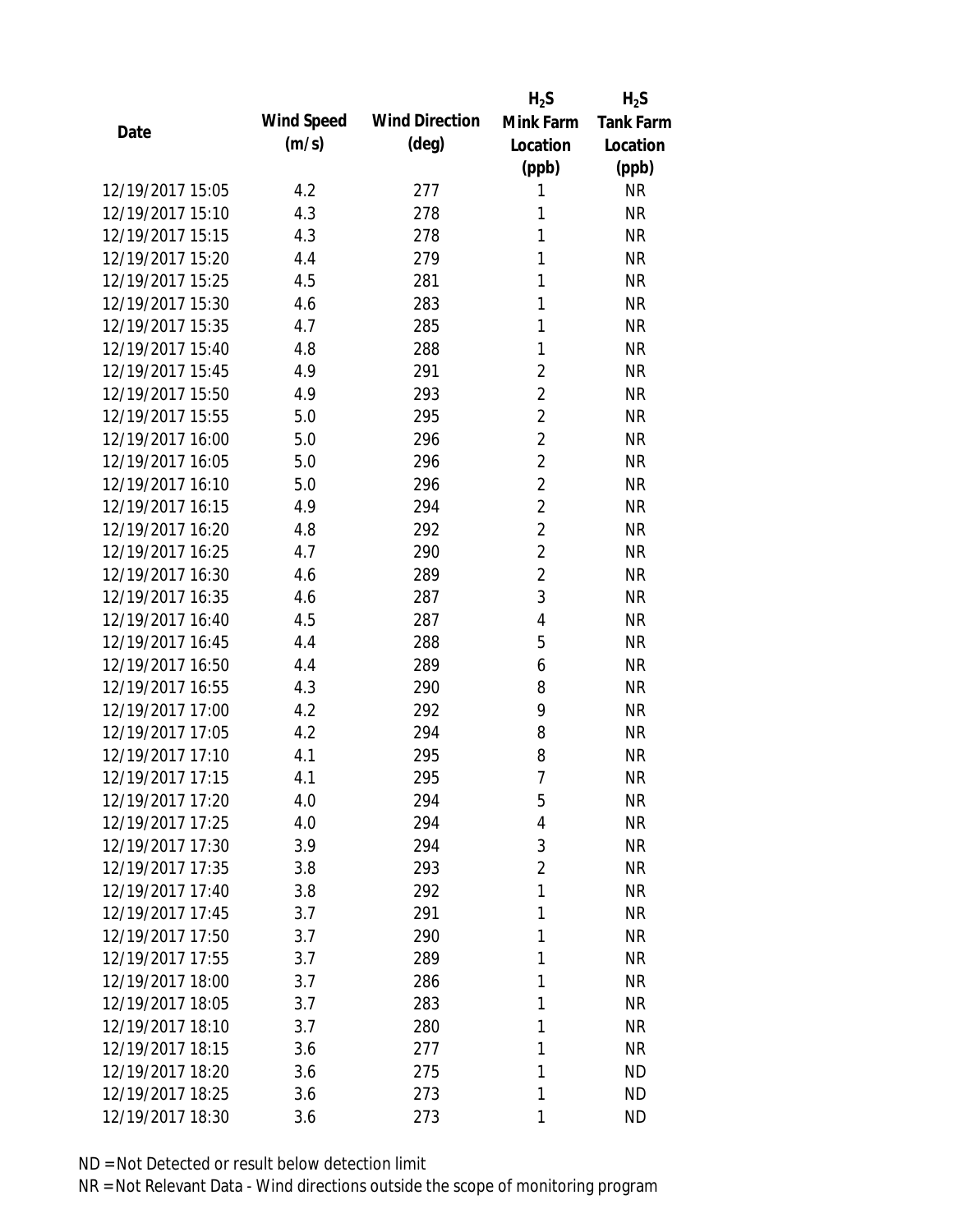|                  |            |                       | $H_2S$         | $H_2S$           |
|------------------|------------|-----------------------|----------------|------------------|
| Date             | Wind Speed | <b>Wind Direction</b> | Mink Farm      | <b>Tank Farm</b> |
|                  | (m/s)      | $(\text{deg})$        | Location       | Location         |
|                  |            |                       | (ppb)          | (ppb)            |
| 12/19/2017 15:05 | 4.2        | 277                   | 1              | <b>NR</b>        |
| 12/19/2017 15:10 | 4.3        | 278                   | 1              | <b>NR</b>        |
| 12/19/2017 15:15 | 4.3        | 278                   | 1              | <b>NR</b>        |
| 12/19/2017 15:20 | 4.4        | 279                   | 1              | <b>NR</b>        |
| 12/19/2017 15:25 | 4.5        | 281                   | 1              | <b>NR</b>        |
| 12/19/2017 15:30 | 4.6        | 283                   | 1              | <b>NR</b>        |
| 12/19/2017 15:35 | 4.7        | 285                   | 1              | <b>NR</b>        |
| 12/19/2017 15:40 | 4.8        | 288                   | 1              | <b>NR</b>        |
| 12/19/2017 15:45 | 4.9        | 291                   | $\overline{2}$ | <b>NR</b>        |
| 12/19/2017 15:50 | 4.9        | 293                   | $\overline{2}$ | <b>NR</b>        |
| 12/19/2017 15:55 | 5.0        | 295                   | $\overline{2}$ | <b>NR</b>        |
| 12/19/2017 16:00 | 5.0        | 296                   | $\overline{2}$ | <b>NR</b>        |
| 12/19/2017 16:05 | 5.0        | 296                   | $\overline{2}$ | <b>NR</b>        |
| 12/19/2017 16:10 | 5.0        | 296                   | $\overline{2}$ | <b>NR</b>        |
| 12/19/2017 16:15 | 4.9        | 294                   | $\overline{2}$ | <b>NR</b>        |
| 12/19/2017 16:20 | 4.8        | 292                   | $\overline{2}$ | <b>NR</b>        |
| 12/19/2017 16:25 | 4.7        | 290                   | $\overline{2}$ | <b>NR</b>        |
| 12/19/2017 16:30 | 4.6        | 289                   | $\overline{2}$ | <b>NR</b>        |
| 12/19/2017 16:35 | 4.6        | 287                   | 3              | <b>NR</b>        |
| 12/19/2017 16:40 | 4.5        | 287                   | $\overline{4}$ | <b>NR</b>        |
| 12/19/2017 16:45 | 4.4        | 288                   | 5              | <b>NR</b>        |
| 12/19/2017 16:50 | 4.4        | 289                   | 6              | <b>NR</b>        |
| 12/19/2017 16:55 | 4.3        | 290                   | 8              | <b>NR</b>        |
| 12/19/2017 17:00 | 4.2        | 292                   | 9              | <b>NR</b>        |
| 12/19/2017 17:05 | 4.2        | 294                   | 8              | <b>NR</b>        |
| 12/19/2017 17:10 | 4.1        | 295                   | 8              | <b>NR</b>        |
| 12/19/2017 17:15 | 4.1        | 295                   | $\overline{1}$ | <b>NR</b>        |
| 12/19/2017 17:20 | 4.0        | 294                   | 5              | NR               |
| 12/19/2017 17:25 | 4.0        | 294                   | 4              | <b>NR</b>        |
| 12/19/2017 17:30 | 3.9        | 294                   | 3              | <b>NR</b>        |
| 12/19/2017 17:35 | 3.8        | 293                   | $\overline{2}$ | <b>NR</b>        |
| 12/19/2017 17:40 | 3.8        | 292                   | 1              | <b>NR</b>        |
| 12/19/2017 17:45 | 3.7        | 291                   | 1              | <b>NR</b>        |
| 12/19/2017 17:50 | 3.7        | 290                   | 1              | <b>NR</b>        |
| 12/19/2017 17:55 | 3.7        | 289                   | 1              | <b>NR</b>        |
| 12/19/2017 18:00 | 3.7        | 286                   | 1              | <b>NR</b>        |
| 12/19/2017 18:05 | 3.7        | 283                   | 1              | <b>NR</b>        |
| 12/19/2017 18:10 | 3.7        | 280                   | 1              | <b>NR</b>        |
| 12/19/2017 18:15 | 3.6        | 277                   | 1              | <b>NR</b>        |
| 12/19/2017 18:20 | 3.6        | 275                   | 1              | <b>ND</b>        |
| 12/19/2017 18:25 | 3.6        | 273                   | 1              | <b>ND</b>        |
| 12/19/2017 18:30 | 3.6        | 273                   | 1              | <b>ND</b>        |
|                  |            |                       |                |                  |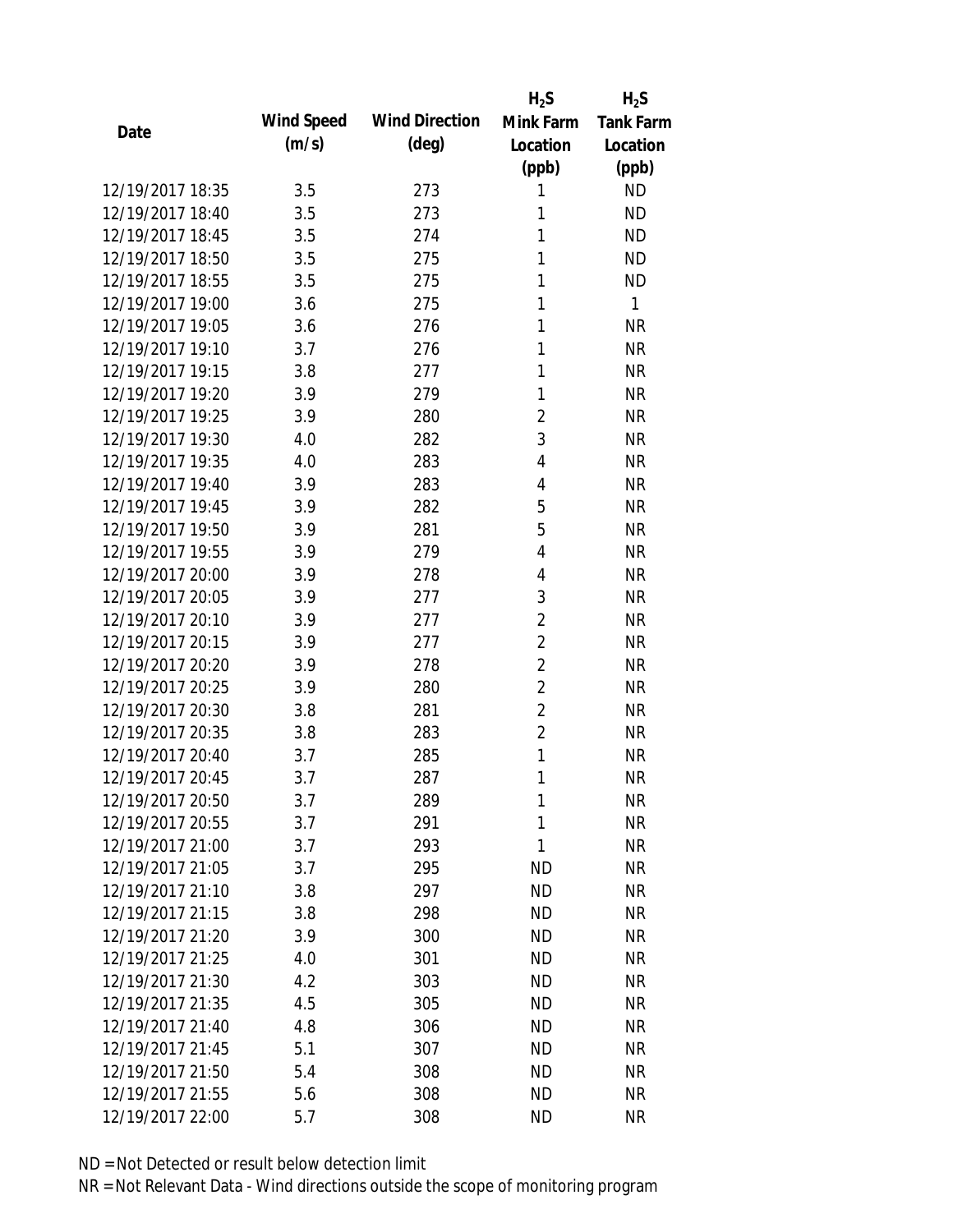|                  |            |                       | $H_2S$         | $H_2S$           |
|------------------|------------|-----------------------|----------------|------------------|
| Date             | Wind Speed | <b>Wind Direction</b> | Mink Farm      | <b>Tank Farm</b> |
|                  | (m/s)      | $(\text{deg})$        | Location       | Location         |
|                  |            |                       | (ppb)          | (ppb)            |
| 12/19/2017 18:35 | 3.5        | 273                   | 1              | <b>ND</b>        |
| 12/19/2017 18:40 | 3.5        | 273                   | 1              | <b>ND</b>        |
| 12/19/2017 18:45 | 3.5        | 274                   | 1              | <b>ND</b>        |
| 12/19/2017 18:50 | 3.5        | 275                   | 1              | <b>ND</b>        |
| 12/19/2017 18:55 | 3.5        | 275                   | 1              | <b>ND</b>        |
| 12/19/2017 19:00 | 3.6        | 275                   | 1              | 1                |
| 12/19/2017 19:05 | 3.6        | 276                   | 1              | <b>NR</b>        |
| 12/19/2017 19:10 | 3.7        | 276                   | 1              | <b>NR</b>        |
| 12/19/2017 19:15 | 3.8        | 277                   | 1              | <b>NR</b>        |
| 12/19/2017 19:20 | 3.9        | 279                   | 1              | <b>NR</b>        |
| 12/19/2017 19:25 | 3.9        | 280                   | $\overline{2}$ | <b>NR</b>        |
| 12/19/2017 19:30 | 4.0        | 282                   | 3              | <b>NR</b>        |
| 12/19/2017 19:35 | 4.0        | 283                   | 4              | <b>NR</b>        |
| 12/19/2017 19:40 | 3.9        | 283                   | 4              | <b>NR</b>        |
| 12/19/2017 19:45 | 3.9        | 282                   | 5              | <b>NR</b>        |
| 12/19/2017 19:50 | 3.9        | 281                   | 5              | <b>NR</b>        |
| 12/19/2017 19:55 | 3.9        | 279                   | 4              | <b>NR</b>        |
| 12/19/2017 20:00 | 3.9        | 278                   | 4              | <b>NR</b>        |
| 12/19/2017 20:05 | 3.9        | 277                   | 3              | <b>NR</b>        |
| 12/19/2017 20:10 | 3.9        | 277                   | $\overline{2}$ | <b>NR</b>        |
| 12/19/2017 20:15 | 3.9        | 277                   | $\overline{2}$ | <b>NR</b>        |
| 12/19/2017 20:20 | 3.9        | 278                   | $\overline{2}$ | <b>NR</b>        |
| 12/19/2017 20:25 | 3.9        | 280                   | $\overline{2}$ | <b>NR</b>        |
| 12/19/2017 20:30 | 3.8        | 281                   | $\overline{2}$ | <b>NR</b>        |
| 12/19/2017 20:35 | 3.8        | 283                   | $\overline{2}$ | <b>NR</b>        |
| 12/19/2017 20:40 | 3.7        | 285                   | 1              | <b>NR</b>        |
| 12/19/2017 20:45 | 3.7        | 287                   | 1              | <b>NR</b>        |
| 12/19/2017 20:50 | 3.7        | 289                   | 1              | <b>NR</b>        |
| 12/19/2017 20:55 | 3.7        | 291                   | 1              | <b>NR</b>        |
| 12/19/2017 21:00 | 3.7        | 293                   | 1              | <b>NR</b>        |
| 12/19/2017 21:05 | 3.7        | 295                   | <b>ND</b>      | <b>NR</b>        |
| 12/19/2017 21:10 | 3.8        | 297                   | <b>ND</b>      | <b>NR</b>        |
| 12/19/2017 21:15 | 3.8        | 298                   | <b>ND</b>      | <b>NR</b>        |
| 12/19/2017 21:20 | 3.9        | 300                   | <b>ND</b>      | <b>NR</b>        |
| 12/19/2017 21:25 | 4.0        | 301                   | <b>ND</b>      | <b>NR</b>        |
| 12/19/2017 21:30 | 4.2        | 303                   | <b>ND</b>      | <b>NR</b>        |
| 12/19/2017 21:35 | 4.5        | 305                   | <b>ND</b>      | <b>NR</b>        |
| 12/19/2017 21:40 | 4.8        | 306                   | <b>ND</b>      | <b>NR</b>        |
| 12/19/2017 21:45 | 5.1        | 307                   | <b>ND</b>      | <b>NR</b>        |
| 12/19/2017 21:50 | 5.4        | 308                   | <b>ND</b>      | NR               |
| 12/19/2017 21:55 | 5.6        | 308                   | <b>ND</b>      | <b>NR</b>        |
| 12/19/2017 22:00 | 5.7        | 308                   | <b>ND</b>      | <b>NR</b>        |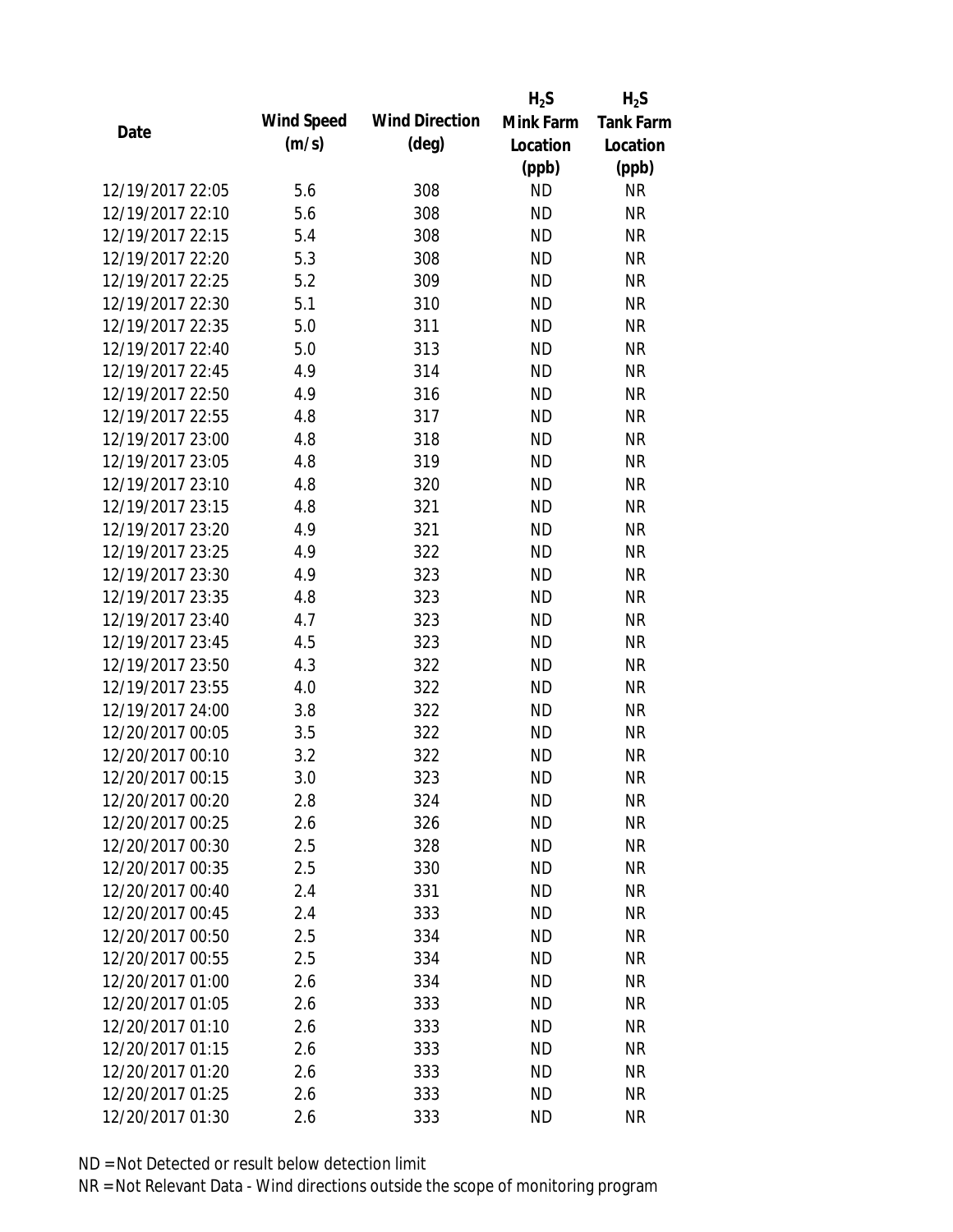|                  |            |                       | $H_2S$    | $H_2S$           |
|------------------|------------|-----------------------|-----------|------------------|
| Date             | Wind Speed | <b>Wind Direction</b> | Mink Farm | <b>Tank Farm</b> |
|                  | (m/s)      | $(\text{deg})$        | Location  | Location         |
|                  |            |                       | (ppb)     | (ppb)            |
| 12/19/2017 22:05 | 5.6        | 308                   | <b>ND</b> | <b>NR</b>        |
| 12/19/2017 22:10 | 5.6        | 308                   | <b>ND</b> | <b>NR</b>        |
| 12/19/2017 22:15 | 5.4        | 308                   | <b>ND</b> | <b>NR</b>        |
| 12/19/2017 22:20 | 5.3        | 308                   | <b>ND</b> | <b>NR</b>        |
| 12/19/2017 22:25 | 5.2        | 309                   | <b>ND</b> | <b>NR</b>        |
| 12/19/2017 22:30 | 5.1        | 310                   | <b>ND</b> | <b>NR</b>        |
| 12/19/2017 22:35 | 5.0        | 311                   | <b>ND</b> | <b>NR</b>        |
| 12/19/2017 22:40 | 5.0        | 313                   | <b>ND</b> | <b>NR</b>        |
| 12/19/2017 22:45 | 4.9        | 314                   | <b>ND</b> | <b>NR</b>        |
| 12/19/2017 22:50 | 4.9        | 316                   | <b>ND</b> | <b>NR</b>        |
| 12/19/2017 22:55 | 4.8        | 317                   | <b>ND</b> | <b>NR</b>        |
| 12/19/2017 23:00 | 4.8        | 318                   | <b>ND</b> | <b>NR</b>        |
| 12/19/2017 23:05 | 4.8        | 319                   | <b>ND</b> | <b>NR</b>        |
| 12/19/2017 23:10 | 4.8        | 320                   | <b>ND</b> | <b>NR</b>        |
| 12/19/2017 23:15 | 4.8        | 321                   | <b>ND</b> | <b>NR</b>        |
| 12/19/2017 23:20 | 4.9        | 321                   | <b>ND</b> | <b>NR</b>        |
| 12/19/2017 23:25 | 4.9        | 322                   | <b>ND</b> | <b>NR</b>        |
| 12/19/2017 23:30 | 4.9        | 323                   | <b>ND</b> | <b>NR</b>        |
| 12/19/2017 23:35 | 4.8        | 323                   | <b>ND</b> | <b>NR</b>        |
| 12/19/2017 23:40 | 4.7        | 323                   | <b>ND</b> | <b>NR</b>        |
| 12/19/2017 23:45 | 4.5        | 323                   | <b>ND</b> | <b>NR</b>        |
| 12/19/2017 23:50 | 4.3        | 322                   | <b>ND</b> | <b>NR</b>        |
| 12/19/2017 23:55 | 4.0        | 322                   | <b>ND</b> | <b>NR</b>        |
| 12/19/2017 24:00 | 3.8        | 322                   | <b>ND</b> | <b>NR</b>        |
| 12/20/2017 00:05 | 3.5        | 322                   | <b>ND</b> | <b>NR</b>        |
| 12/20/2017 00:10 | 3.2        | 322                   | <b>ND</b> | <b>NR</b>        |
| 12/20/2017 00:15 | 3.0        | 323                   | <b>ND</b> | <b>NR</b>        |
| 12/20/2017 00:20 | 2.8        | 324                   | <b>ND</b> | <b>NR</b>        |
| 12/20/2017 00:25 | 2.6        | 326                   | <b>ND</b> | <b>NR</b>        |
| 12/20/2017 00:30 | 2.5        | 328                   | ND        | <b>NR</b>        |
| 12/20/2017 00:35 | 2.5        | 330                   | <b>ND</b> | <b>NR</b>        |
| 12/20/2017 00:40 | 2.4        | 331                   | <b>ND</b> | <b>NR</b>        |
| 12/20/2017 00:45 | 2.4        | 333                   | <b>ND</b> | <b>NR</b>        |
| 12/20/2017 00:50 | 2.5        | 334                   | <b>ND</b> | <b>NR</b>        |
| 12/20/2017 00:55 | 2.5        | 334                   | <b>ND</b> | <b>NR</b>        |
| 12/20/2017 01:00 | 2.6        | 334                   | <b>ND</b> | <b>NR</b>        |
| 12/20/2017 01:05 | 2.6        | 333                   | ND.       | <b>NR</b>        |
| 12/20/2017 01:10 | 2.6        | 333                   | <b>ND</b> | <b>NR</b>        |
| 12/20/2017 01:15 | 2.6        | 333                   | <b>ND</b> | <b>NR</b>        |
| 12/20/2017 01:20 | 2.6        | 333                   | <b>ND</b> | NR               |
| 12/20/2017 01:25 | 2.6        | 333                   | <b>ND</b> | <b>NR</b>        |
| 12/20/2017 01:30 | 2.6        | 333                   | <b>ND</b> | <b>NR</b>        |
|                  |            |                       |           |                  |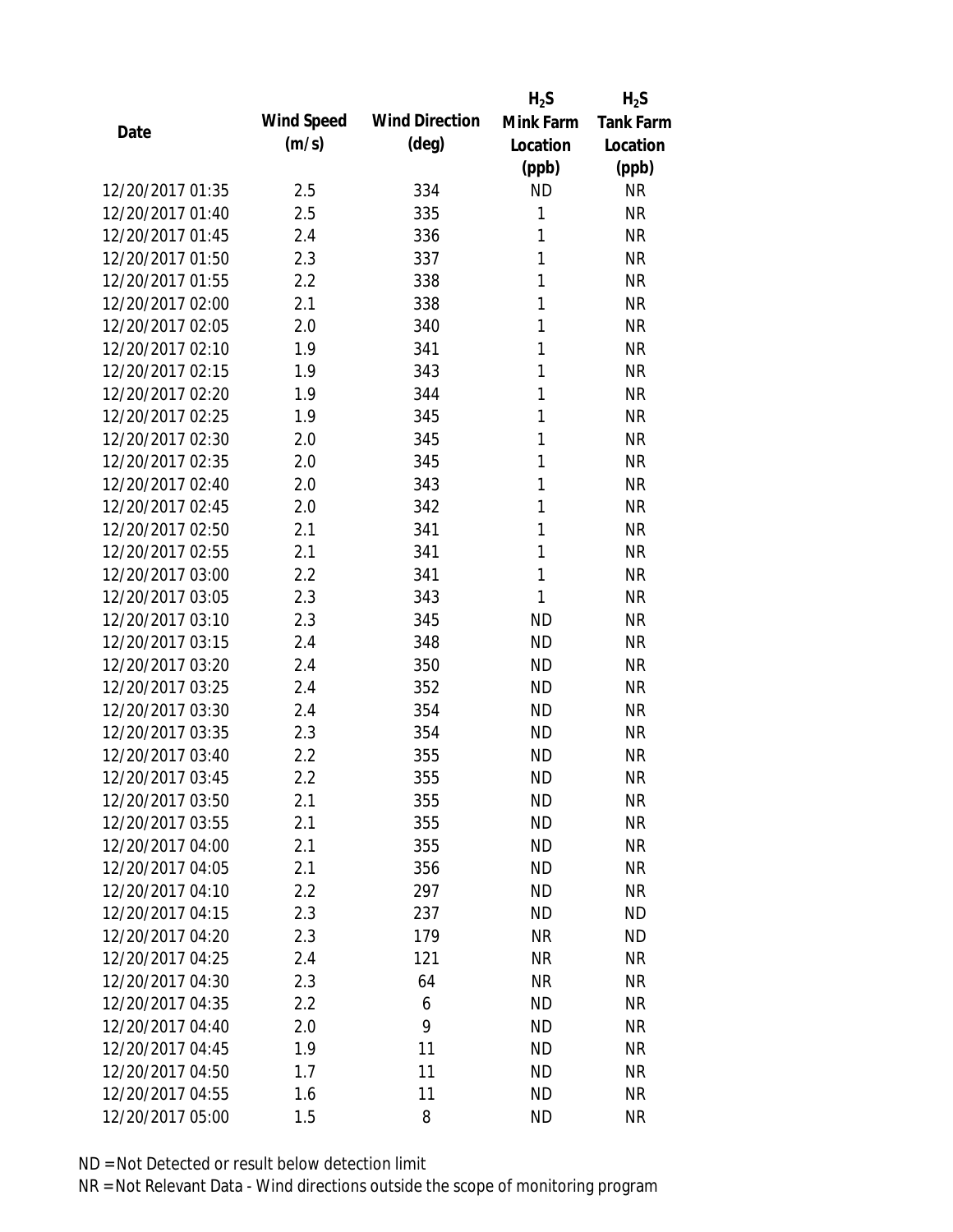|                  |            |                       | $H_2S$       | $H_2S$           |
|------------------|------------|-----------------------|--------------|------------------|
| Date             | Wind Speed | <b>Wind Direction</b> | Mink Farm    | <b>Tank Farm</b> |
|                  | (m/s)      | $(\text{deg})$        | Location     | Location         |
|                  |            |                       | (ppb)        | (ppb)            |
| 12/20/2017 01:35 | 2.5        | 334                   | <b>ND</b>    | <b>NR</b>        |
| 12/20/2017 01:40 | 2.5        | 335                   | 1            | <b>NR</b>        |
| 12/20/2017 01:45 | 2.4        | 336                   | 1            | <b>NR</b>        |
| 12/20/2017 01:50 | 2.3        | 337                   | 1            | <b>NR</b>        |
| 12/20/2017 01:55 | 2.2        | 338                   | 1            | <b>NR</b>        |
| 12/20/2017 02:00 | 2.1        | 338                   | 1            | <b>NR</b>        |
| 12/20/2017 02:05 | 2.0        | 340                   | 1            | <b>NR</b>        |
| 12/20/2017 02:10 | 1.9        | 341                   | 1            | <b>NR</b>        |
| 12/20/2017 02:15 | 1.9        | 343                   | 1            | <b>NR</b>        |
| 12/20/2017 02:20 | 1.9        | 344                   | 1            | <b>NR</b>        |
| 12/20/2017 02:25 | 1.9        | 345                   | 1            | <b>NR</b>        |
| 12/20/2017 02:30 | 2.0        | 345                   | 1            | <b>NR</b>        |
| 12/20/2017 02:35 | 2.0        | 345                   | 1            | <b>NR</b>        |
| 12/20/2017 02:40 | 2.0        | 343                   | 1            | <b>NR</b>        |
| 12/20/2017 02:45 | 2.0        | 342                   | 1            | <b>NR</b>        |
| 12/20/2017 02:50 | 2.1        | 341                   | 1            | <b>NR</b>        |
| 12/20/2017 02:55 | 2.1        | 341                   | 1            | <b>NR</b>        |
| 12/20/2017 03:00 | 2.2        | 341                   | $\mathbf{1}$ | <b>NR</b>        |
| 12/20/2017 03:05 | 2.3        | 343                   | 1            | <b>NR</b>        |
| 12/20/2017 03:10 | 2.3        | 345                   | <b>ND</b>    | <b>NR</b>        |
| 12/20/2017 03:15 | 2.4        | 348                   | <b>ND</b>    | <b>NR</b>        |
| 12/20/2017 03:20 | 2.4        | 350                   | <b>ND</b>    | <b>NR</b>        |
| 12/20/2017 03:25 | 2.4        | 352                   | <b>ND</b>    | <b>NR</b>        |
| 12/20/2017 03:30 | 2.4        | 354                   | <b>ND</b>    | <b>NR</b>        |
| 12/20/2017 03:35 | 2.3        | 354                   | <b>ND</b>    | <b>NR</b>        |
| 12/20/2017 03:40 | 2.2        | 355                   | <b>ND</b>    | <b>NR</b>        |
| 12/20/2017 03:45 | 2.2        | 355                   | <b>ND</b>    | <b>NR</b>        |
| 12/20/2017 03:50 | 2.1        | 355                   | <b>ND</b>    | <b>NR</b>        |
| 12/20/2017 03:55 | 2.1        | 355                   | <b>ND</b>    | <b>NR</b>        |
| 12/20/2017 04:00 | 2.1        | 355                   | ND           | <b>NR</b>        |
| 12/20/2017 04:05 | 2.1        | 356                   | <b>ND</b>    | <b>NR</b>        |
| 12/20/2017 04:10 | 2.2        | 297                   | <b>ND</b>    | <b>NR</b>        |
| 12/20/2017 04:15 | 2.3        | 237                   | <b>ND</b>    | <b>ND</b>        |
| 12/20/2017 04:20 | 2.3        | 179                   | <b>NR</b>    | <b>ND</b>        |
| 12/20/2017 04:25 | 2.4        | 121                   | <b>NR</b>    | <b>NR</b>        |
| 12/20/2017 04:30 | 2.3        | 64                    | <b>NR</b>    | <b>NR</b>        |
| 12/20/2017 04:35 | 2.2        | 6                     | <b>ND</b>    | <b>NR</b>        |
| 12/20/2017 04:40 | 2.0        | 9                     | <b>ND</b>    | <b>NR</b>        |
| 12/20/2017 04:45 | 1.9        | 11                    | <b>ND</b>    | <b>NR</b>        |
| 12/20/2017 04:50 | 1.7        | 11                    | <b>ND</b>    | <b>NR</b>        |
| 12/20/2017 04:55 | 1.6        | 11                    | <b>ND</b>    | <b>NR</b>        |
| 12/20/2017 05:00 | 1.5        | 8                     | <b>ND</b>    | <b>NR</b>        |
|                  |            |                       |              |                  |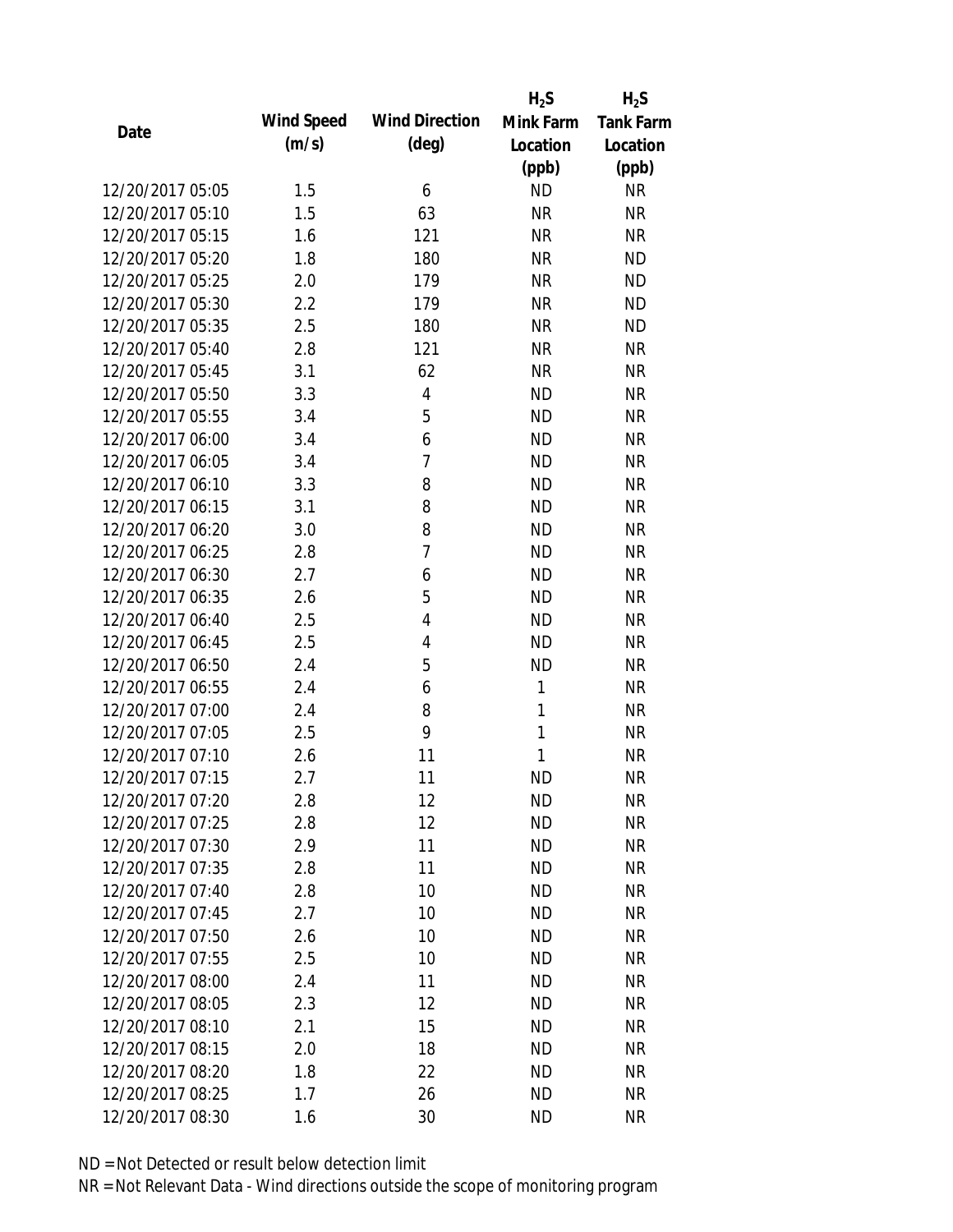|                  |            |                       | $H_2S$    | $H_2S$           |
|------------------|------------|-----------------------|-----------|------------------|
| Date             | Wind Speed | <b>Wind Direction</b> | Mink Farm | <b>Tank Farm</b> |
|                  | (m/s)      | $(\text{deg})$        | Location  | Location         |
|                  |            |                       | (ppb)     | (ppb)            |
| 12/20/2017 05:05 | 1.5        | 6                     | <b>ND</b> | <b>NR</b>        |
| 12/20/2017 05:10 | 1.5        | 63                    | <b>NR</b> | <b>NR</b>        |
| 12/20/2017 05:15 | 1.6        | 121                   | <b>NR</b> | <b>NR</b>        |
| 12/20/2017 05:20 | 1.8        | 180                   | <b>NR</b> | <b>ND</b>        |
| 12/20/2017 05:25 | 2.0        | 179                   | <b>NR</b> | <b>ND</b>        |
| 12/20/2017 05:30 | 2.2        | 179                   | <b>NR</b> | <b>ND</b>        |
| 12/20/2017 05:35 | 2.5        | 180                   | <b>NR</b> | <b>ND</b>        |
| 12/20/2017 05:40 | 2.8        | 121                   | <b>NR</b> | <b>NR</b>        |
| 12/20/2017 05:45 | 3.1        | 62                    | <b>NR</b> | <b>NR</b>        |
| 12/20/2017 05:50 | 3.3        | 4                     | <b>ND</b> | <b>NR</b>        |
| 12/20/2017 05:55 | 3.4        | 5                     | <b>ND</b> | <b>NR</b>        |
| 12/20/2017 06:00 | 3.4        | 6                     | <b>ND</b> | <b>NR</b>        |
| 12/20/2017 06:05 | 3.4        | 7                     | <b>ND</b> | <b>NR</b>        |
| 12/20/2017 06:10 | 3.3        | 8                     | <b>ND</b> | <b>NR</b>        |
| 12/20/2017 06:15 | 3.1        | 8                     | <b>ND</b> | <b>NR</b>        |
| 12/20/2017 06:20 | 3.0        | 8                     | <b>ND</b> | <b>NR</b>        |
| 12/20/2017 06:25 | 2.8        | 7                     | <b>ND</b> | <b>NR</b>        |
| 12/20/2017 06:30 | 2.7        | 6                     | <b>ND</b> | <b>NR</b>        |
| 12/20/2017 06:35 | 2.6        | 5                     | <b>ND</b> | <b>NR</b>        |
| 12/20/2017 06:40 | 2.5        | 4                     | <b>ND</b> | <b>NR</b>        |
| 12/20/2017 06:45 | 2.5        | 4                     | <b>ND</b> | <b>NR</b>        |
| 12/20/2017 06:50 | 2.4        | 5                     | <b>ND</b> | <b>NR</b>        |
| 12/20/2017 06:55 | 2.4        | 6                     | 1         | <b>NR</b>        |
| 12/20/2017 07:00 | 2.4        | 8                     | 1         | <b>NR</b>        |
| 12/20/2017 07:05 | 2.5        | 9                     | 1         | <b>NR</b>        |
| 12/20/2017 07:10 | 2.6        | 11                    | 1         | <b>NR</b>        |
| 12/20/2017 07:15 | 2.7        | 11                    | <b>ND</b> | <b>NR</b>        |
| 12/20/2017 07:20 | 2.8        | 12                    | ND        | <b>NR</b>        |
| 12/20/2017 07:25 | 2.8        | 12                    | <b>ND</b> | <b>NR</b>        |
| 12/20/2017 07:30 | 2.9        | 11                    | ND        | <b>NR</b>        |
| 12/20/2017 07:35 | 2.8        | 11                    | <b>ND</b> | <b>NR</b>        |
| 12/20/2017 07:40 | 2.8        | 10                    | <b>ND</b> | <b>NR</b>        |
| 12/20/2017 07:45 | 2.7        | 10                    | <b>ND</b> | <b>NR</b>        |
| 12/20/2017 07:50 | 2.6        | 10                    | <b>ND</b> | <b>NR</b>        |
| 12/20/2017 07:55 | 2.5        | 10                    | <b>ND</b> | <b>NR</b>        |
| 12/20/2017 08:00 | 2.4        | 11                    | <b>ND</b> | <b>NR</b>        |
| 12/20/2017 08:05 | 2.3        | 12                    | <b>ND</b> | <b>NR</b>        |
| 12/20/2017 08:10 | 2.1        | 15                    | <b>ND</b> | <b>NR</b>        |
| 12/20/2017 08:15 | 2.0        | 18                    | <b>ND</b> | <b>NR</b>        |
| 12/20/2017 08:20 | 1.8        | 22                    | <b>ND</b> | <b>NR</b>        |
| 12/20/2017 08:25 |            | 26                    | <b>ND</b> | <b>NR</b>        |
|                  | 1.7        |                       |           |                  |
| 12/20/2017 08:30 | 1.6        | 30                    | <b>ND</b> | <b>NR</b>        |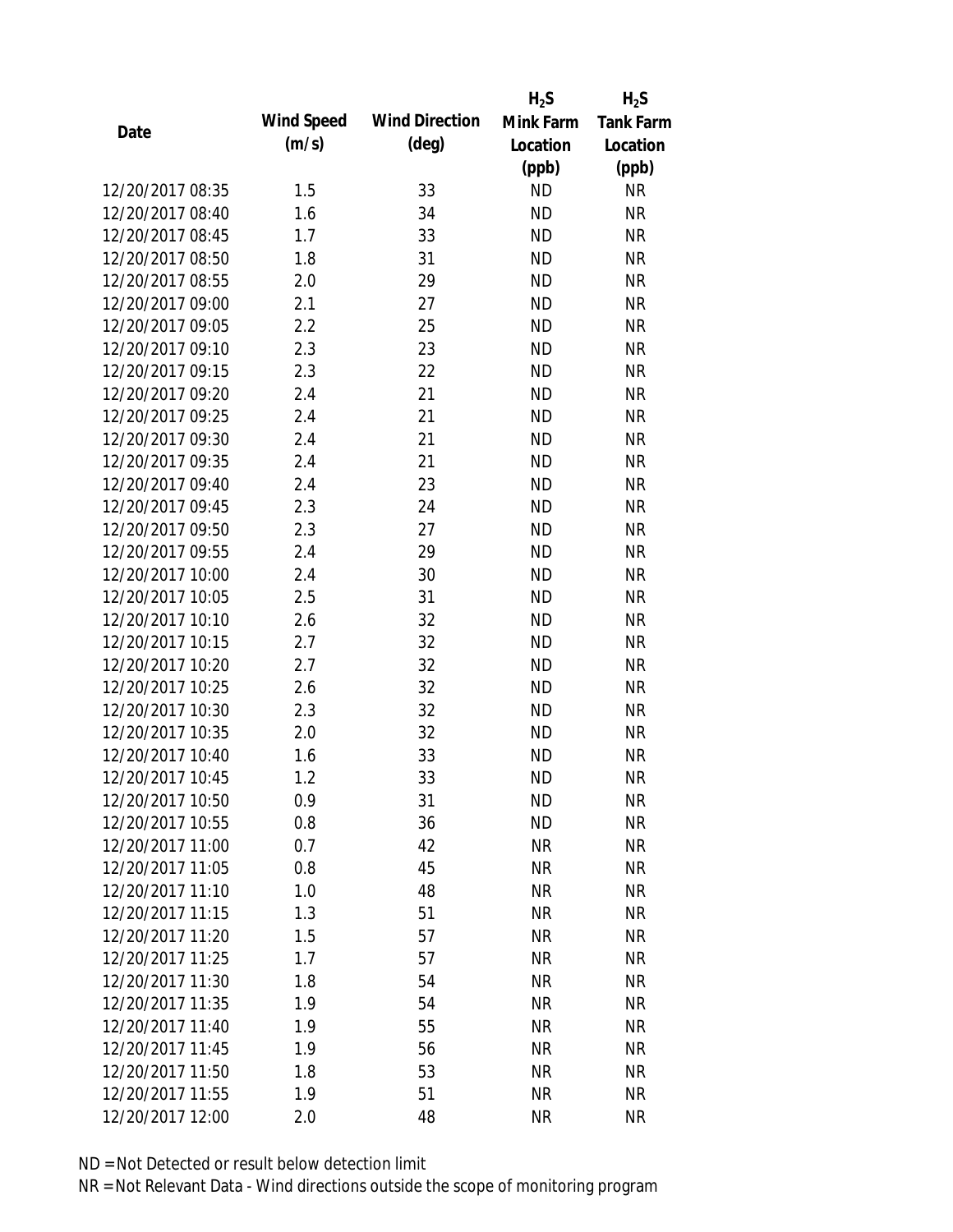|                  |            |                       | $H_2S$    | $H_2S$           |
|------------------|------------|-----------------------|-----------|------------------|
|                  | Wind Speed | <b>Wind Direction</b> | Mink Farm | <b>Tank Farm</b> |
| Date             | (m/s)      | $(\text{deg})$        | Location  | Location         |
|                  |            |                       | (ppb)     | (ppb)            |
| 12/20/2017 08:35 | 1.5        | 33                    | <b>ND</b> | <b>NR</b>        |
| 12/20/2017 08:40 | 1.6        | 34                    | <b>ND</b> | <b>NR</b>        |
| 12/20/2017 08:45 | 1.7        | 33                    | <b>ND</b> | <b>NR</b>        |
| 12/20/2017 08:50 | 1.8        | 31                    | <b>ND</b> | <b>NR</b>        |
| 12/20/2017 08:55 | 2.0        | 29                    | <b>ND</b> | <b>NR</b>        |
| 12/20/2017 09:00 | 2.1        | 27                    | <b>ND</b> | <b>NR</b>        |
| 12/20/2017 09:05 | 2.2        | 25                    | <b>ND</b> | <b>NR</b>        |
| 12/20/2017 09:10 | 2.3        | 23                    | <b>ND</b> | <b>NR</b>        |
| 12/20/2017 09:15 | 2.3        | 22                    | <b>ND</b> | <b>NR</b>        |
| 12/20/2017 09:20 | 2.4        | 21                    | <b>ND</b> | <b>NR</b>        |
| 12/20/2017 09:25 | 2.4        | 21                    | <b>ND</b> | <b>NR</b>        |
| 12/20/2017 09:30 | 2.4        | 21                    | <b>ND</b> | <b>NR</b>        |
| 12/20/2017 09:35 | 2.4        | 21                    | <b>ND</b> | <b>NR</b>        |
| 12/20/2017 09:40 | 2.4        | 23                    | <b>ND</b> | <b>NR</b>        |
| 12/20/2017 09:45 | 2.3        | 24                    | <b>ND</b> | <b>NR</b>        |
| 12/20/2017 09:50 | 2.3        | 27                    | <b>ND</b> | <b>NR</b>        |
| 12/20/2017 09:55 | 2.4        | 29                    | <b>ND</b> | <b>NR</b>        |
| 12/20/2017 10:00 | 2.4        | 30                    | <b>ND</b> | <b>NR</b>        |
| 12/20/2017 10:05 | 2.5        | 31                    | <b>ND</b> | <b>NR</b>        |
| 12/20/2017 10:10 | 2.6        | 32                    | <b>ND</b> | <b>NR</b>        |
| 12/20/2017 10:15 | 2.7        | 32                    | <b>ND</b> | <b>NR</b>        |
| 12/20/2017 10:20 | 2.7        | 32                    | <b>ND</b> | <b>NR</b>        |
| 12/20/2017 10:25 | 2.6        | 32                    | <b>ND</b> | <b>NR</b>        |
| 12/20/2017 10:30 | 2.3        | 32                    | <b>ND</b> | <b>NR</b>        |
| 12/20/2017 10:35 | 2.0        | 32                    | <b>ND</b> | <b>NR</b>        |
| 12/20/2017 10:40 | 1.6        | 33                    | <b>ND</b> | <b>NR</b>        |
| 12/20/2017 10:45 | 1.2        | 33                    | <b>ND</b> | <b>NR</b>        |
| 12/20/2017 10:50 | 0.9        | 31                    | <b>ND</b> | <b>NR</b>        |
| 12/20/2017 10:55 | 0.8        | 36                    | <b>ND</b> | <b>NR</b>        |
| 12/20/2017 11:00 | 0.7        | 42                    | <b>NR</b> | <b>NR</b>        |
| 12/20/2017 11:05 | 0.8        | 45                    | <b>NR</b> | <b>NR</b>        |
| 12/20/2017 11:10 | 1.0        | 48                    | <b>NR</b> | <b>NR</b>        |
| 12/20/2017 11:15 | 1.3        | 51                    | <b>NR</b> | <b>NR</b>        |
| 12/20/2017 11:20 | 1.5        | 57                    | <b>NR</b> | <b>NR</b>        |
| 12/20/2017 11:25 | 1.7        | 57                    | <b>NR</b> | <b>NR</b>        |
| 12/20/2017 11:30 | 1.8        | 54                    | <b>NR</b> | <b>NR</b>        |
| 12/20/2017 11:35 | 1.9        | 54                    | <b>NR</b> | <b>NR</b>        |
| 12/20/2017 11:40 | 1.9        | 55                    | <b>NR</b> | <b>NR</b>        |
| 12/20/2017 11:45 | 1.9        | 56                    | <b>NR</b> | <b>NR</b>        |
| 12/20/2017 11:50 | 1.8        | 53                    | <b>NR</b> | <b>NR</b>        |
| 12/20/2017 11:55 | 1.9        | 51                    | <b>NR</b> | <b>NR</b>        |
| 12/20/2017 12:00 | 2.0        | 48                    | <b>NR</b> | <b>NR</b>        |
|                  |            |                       |           |                  |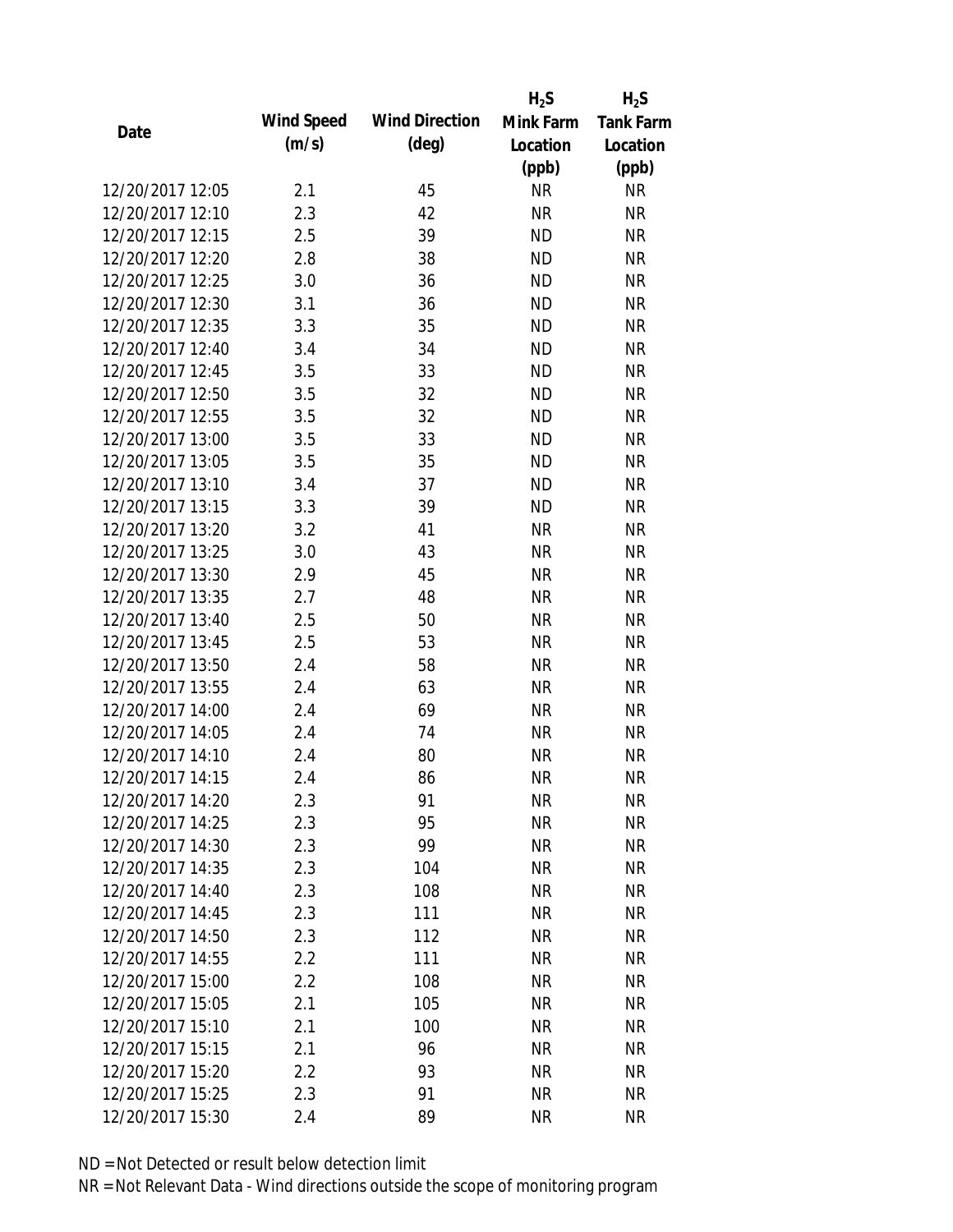|                  |            |                       | $H_2S$    | $H_2S$           |
|------------------|------------|-----------------------|-----------|------------------|
| Date             | Wind Speed | <b>Wind Direction</b> | Mink Farm | <b>Tank Farm</b> |
|                  | (m/s)      | $(\text{deg})$        | Location  | Location         |
|                  |            |                       | (ppb)     | (ppb)            |
| 12/20/2017 12:05 | 2.1        | 45                    | <b>NR</b> | <b>NR</b>        |
| 12/20/2017 12:10 | 2.3        | 42                    | <b>NR</b> | <b>NR</b>        |
| 12/20/2017 12:15 | 2.5        | 39                    | <b>ND</b> | <b>NR</b>        |
| 12/20/2017 12:20 | 2.8        | 38                    | <b>ND</b> | <b>NR</b>        |
| 12/20/2017 12:25 | 3.0        | 36                    | <b>ND</b> | <b>NR</b>        |
| 12/20/2017 12:30 | 3.1        | 36                    | <b>ND</b> | <b>NR</b>        |
| 12/20/2017 12:35 | 3.3        | 35                    | <b>ND</b> | <b>NR</b>        |
| 12/20/2017 12:40 | 3.4        | 34                    | <b>ND</b> | <b>NR</b>        |
| 12/20/2017 12:45 | 3.5        | 33                    | <b>ND</b> | <b>NR</b>        |
| 12/20/2017 12:50 | 3.5        | 32                    | <b>ND</b> | <b>NR</b>        |
| 12/20/2017 12:55 | 3.5        | 32                    | <b>ND</b> | <b>NR</b>        |
| 12/20/2017 13:00 | 3.5        | 33                    | <b>ND</b> | <b>NR</b>        |
| 12/20/2017 13:05 | 3.5        | 35                    | <b>ND</b> | <b>NR</b>        |
| 12/20/2017 13:10 | 3.4        | 37                    | <b>ND</b> | <b>NR</b>        |
| 12/20/2017 13:15 | 3.3        | 39                    | <b>ND</b> | <b>NR</b>        |
| 12/20/2017 13:20 | 3.2        | 41                    | <b>NR</b> | <b>NR</b>        |
| 12/20/2017 13:25 | 3.0        | 43                    | <b>NR</b> | <b>NR</b>        |
| 12/20/2017 13:30 | 2.9        | 45                    | <b>NR</b> | <b>NR</b>        |
| 12/20/2017 13:35 | 2.7        | 48                    | <b>NR</b> | <b>NR</b>        |
| 12/20/2017 13:40 | 2.5        | 50                    | <b>NR</b> | <b>NR</b>        |
| 12/20/2017 13:45 | 2.5        | 53                    | <b>NR</b> | <b>NR</b>        |
| 12/20/2017 13:50 | 2.4        | 58                    | <b>NR</b> | <b>NR</b>        |
| 12/20/2017 13:55 | 2.4        | 63                    | <b>NR</b> | <b>NR</b>        |
| 12/20/2017 14:00 | 2.4        | 69                    | <b>NR</b> | <b>NR</b>        |
| 12/20/2017 14:05 | 2.4        | 74                    | <b>NR</b> | <b>NR</b>        |
| 12/20/2017 14:10 | 2.4        | 80                    | <b>NR</b> | <b>NR</b>        |
| 12/20/2017 14:15 | 2.4        | 86                    | <b>NR</b> | <b>NR</b>        |
| 12/20/2017 14:20 | 2.3        | 91                    | NR        | <b>NR</b>        |
| 12/20/2017 14:25 | 2.3        | 95                    | <b>NR</b> | <b>NR</b>        |
| 12/20/2017 14:30 | 2.3        | 99                    | <b>NR</b> | <b>NR</b>        |
| 12/20/2017 14:35 | 2.3        | 104                   | <b>NR</b> | <b>NR</b>        |
| 12/20/2017 14:40 | 2.3        | 108                   | <b>NR</b> | <b>NR</b>        |
| 12/20/2017 14:45 | 2.3        | 111                   | <b>NR</b> | <b>NR</b>        |
| 12/20/2017 14:50 | 2.3        | 112                   | <b>NR</b> | <b>NR</b>        |
| 12/20/2017 14:55 | 2.2        | 111                   | <b>NR</b> | <b>NR</b>        |
| 12/20/2017 15:00 | 2.2        | 108                   | <b>NR</b> | <b>NR</b>        |
| 12/20/2017 15:05 | 2.1        | 105                   | <b>NR</b> | <b>NR</b>        |
| 12/20/2017 15:10 | 2.1        | 100                   | NR        | <b>NR</b>        |
| 12/20/2017 15:15 | 2.1        | 96                    | <b>NR</b> | <b>NR</b>        |
| 12/20/2017 15:20 | 2.2        | 93                    | <b>NR</b> | <b>NR</b>        |
| 12/20/2017 15:25 | 2.3        | 91                    | <b>NR</b> | <b>NR</b>        |
| 12/20/2017 15:30 | 2.4        | 89                    | <b>NR</b> | <b>NR</b>        |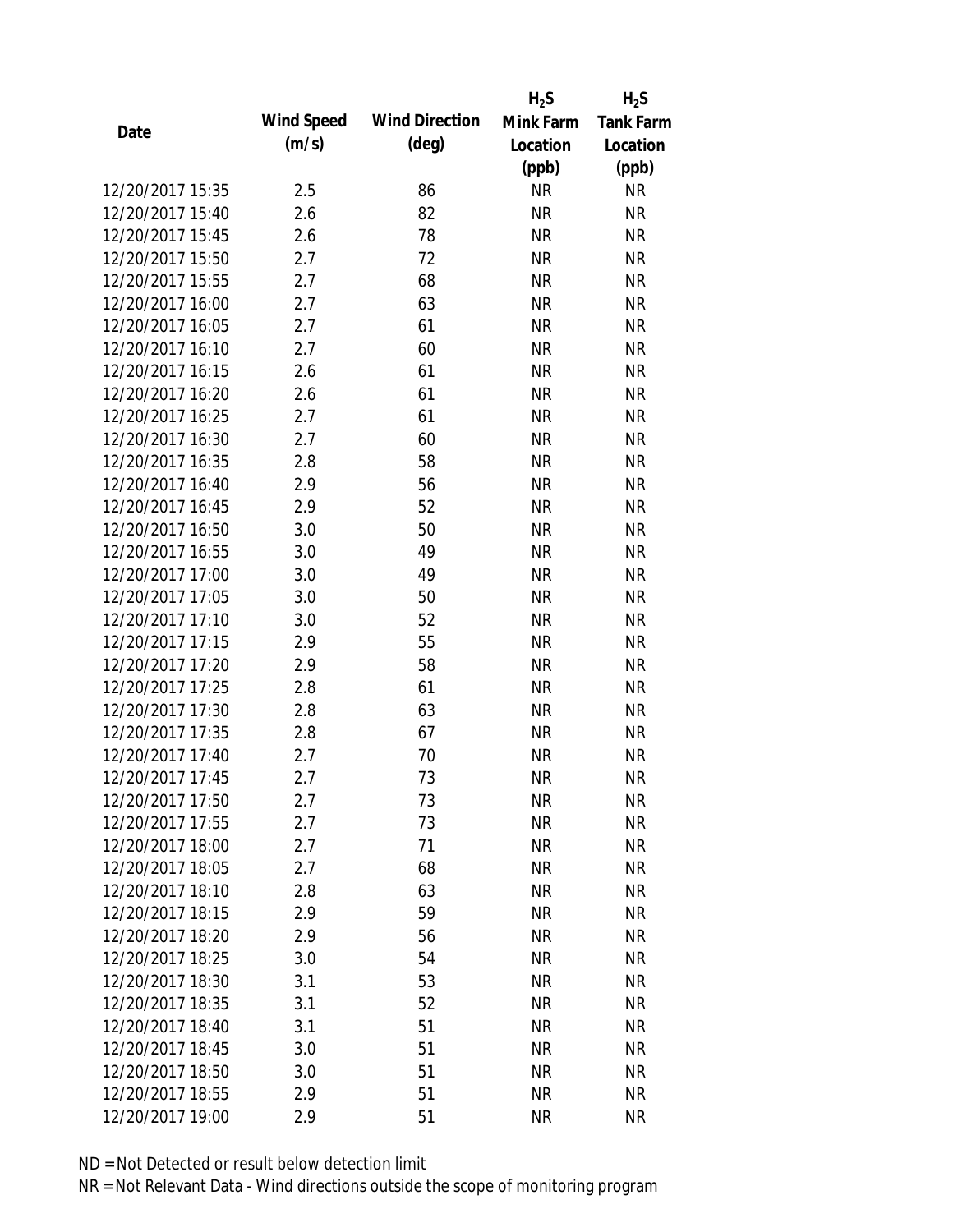|                  |            |                       | $H_2S$    | $H_2S$           |
|------------------|------------|-----------------------|-----------|------------------|
| Date             | Wind Speed | <b>Wind Direction</b> | Mink Farm | <b>Tank Farm</b> |
|                  | (m/s)      | $(\text{deg})$        | Location  | Location         |
|                  |            |                       | (ppb)     | (ppb)            |
| 12/20/2017 15:35 | 2.5        | 86                    | <b>NR</b> | <b>NR</b>        |
| 12/20/2017 15:40 | 2.6        | 82                    | <b>NR</b> | <b>NR</b>        |
| 12/20/2017 15:45 | 2.6        | 78                    | <b>NR</b> | <b>NR</b>        |
| 12/20/2017 15:50 | 2.7        | 72                    | <b>NR</b> | <b>NR</b>        |
| 12/20/2017 15:55 | 2.7        | 68                    | <b>NR</b> | <b>NR</b>        |
| 12/20/2017 16:00 | 2.7        | 63                    | <b>NR</b> | <b>NR</b>        |
| 12/20/2017 16:05 | 2.7        | 61                    | <b>NR</b> | <b>NR</b>        |
| 12/20/2017 16:10 | 2.7        | 60                    | <b>NR</b> | <b>NR</b>        |
| 12/20/2017 16:15 | 2.6        | 61                    | <b>NR</b> | <b>NR</b>        |
| 12/20/2017 16:20 | 2.6        | 61                    | <b>NR</b> | <b>NR</b>        |
| 12/20/2017 16:25 | 2.7        | 61                    | <b>NR</b> | <b>NR</b>        |
| 12/20/2017 16:30 | 2.7        | 60                    | <b>NR</b> | <b>NR</b>        |
| 12/20/2017 16:35 | 2.8        | 58                    | <b>NR</b> | <b>NR</b>        |
| 12/20/2017 16:40 | 2.9        | 56                    | <b>NR</b> | <b>NR</b>        |
| 12/20/2017 16:45 | 2.9        | 52                    | <b>NR</b> | <b>NR</b>        |
| 12/20/2017 16:50 | 3.0        | 50                    | <b>NR</b> | <b>NR</b>        |
| 12/20/2017 16:55 | 3.0        | 49                    | <b>NR</b> | <b>NR</b>        |
| 12/20/2017 17:00 | 3.0        | 49                    | <b>NR</b> | <b>NR</b>        |
| 12/20/2017 17:05 | 3.0        | 50                    | <b>NR</b> | <b>NR</b>        |
| 12/20/2017 17:10 | 3.0        | 52                    | <b>NR</b> | <b>NR</b>        |
| 12/20/2017 17:15 | 2.9        | 55                    | <b>NR</b> | <b>NR</b>        |
| 12/20/2017 17:20 | 2.9        | 58                    | <b>NR</b> | <b>NR</b>        |
| 12/20/2017 17:25 | 2.8        | 61                    | <b>NR</b> | <b>NR</b>        |
| 12/20/2017 17:30 | 2.8        | 63                    | <b>NR</b> | <b>NR</b>        |
| 12/20/2017 17:35 | 2.8        | 67                    | <b>NR</b> | <b>NR</b>        |
| 12/20/2017 17:40 | 2.7        | 70                    | <b>NR</b> | <b>NR</b>        |
| 12/20/2017 17:45 | 2.7        | 73                    | <b>NR</b> | <b>NR</b>        |
| 12/20/2017 17:50 | 2.7        | 73                    | NR        | <b>NR</b>        |
| 12/20/2017 17:55 | 2.7        | 73                    | <b>NR</b> | <b>NR</b>        |
| 12/20/2017 18:00 | 2.7        | 71                    | <b>NR</b> | <b>NR</b>        |
| 12/20/2017 18:05 | 2.7        | 68                    | <b>NR</b> | <b>NR</b>        |
| 12/20/2017 18:10 | 2.8        | 63                    | <b>NR</b> | <b>NR</b>        |
| 12/20/2017 18:15 | 2.9        | 59                    | <b>NR</b> | <b>NR</b>        |
| 12/20/2017 18:20 | 2.9        | 56                    | <b>NR</b> | <b>NR</b>        |
| 12/20/2017 18:25 | 3.0        | 54                    | <b>NR</b> | <b>NR</b>        |
| 12/20/2017 18:30 | 3.1        | 53                    | <b>NR</b> | <b>NR</b>        |
| 12/20/2017 18:35 | 3.1        | 52                    | <b>NR</b> | <b>NR</b>        |
| 12/20/2017 18:40 | 3.1        | 51                    | NR        | <b>NR</b>        |
| 12/20/2017 18:45 | 3.0        | 51                    | <b>NR</b> | <b>NR</b>        |
| 12/20/2017 18:50 | 3.0        | 51                    | <b>NR</b> | <b>NR</b>        |
| 12/20/2017 18:55 | 2.9        | 51                    | <b>NR</b> | <b>NR</b>        |
|                  |            |                       |           |                  |
| 12/20/2017 19:00 | 2.9        | 51                    | <b>NR</b> | <b>NR</b>        |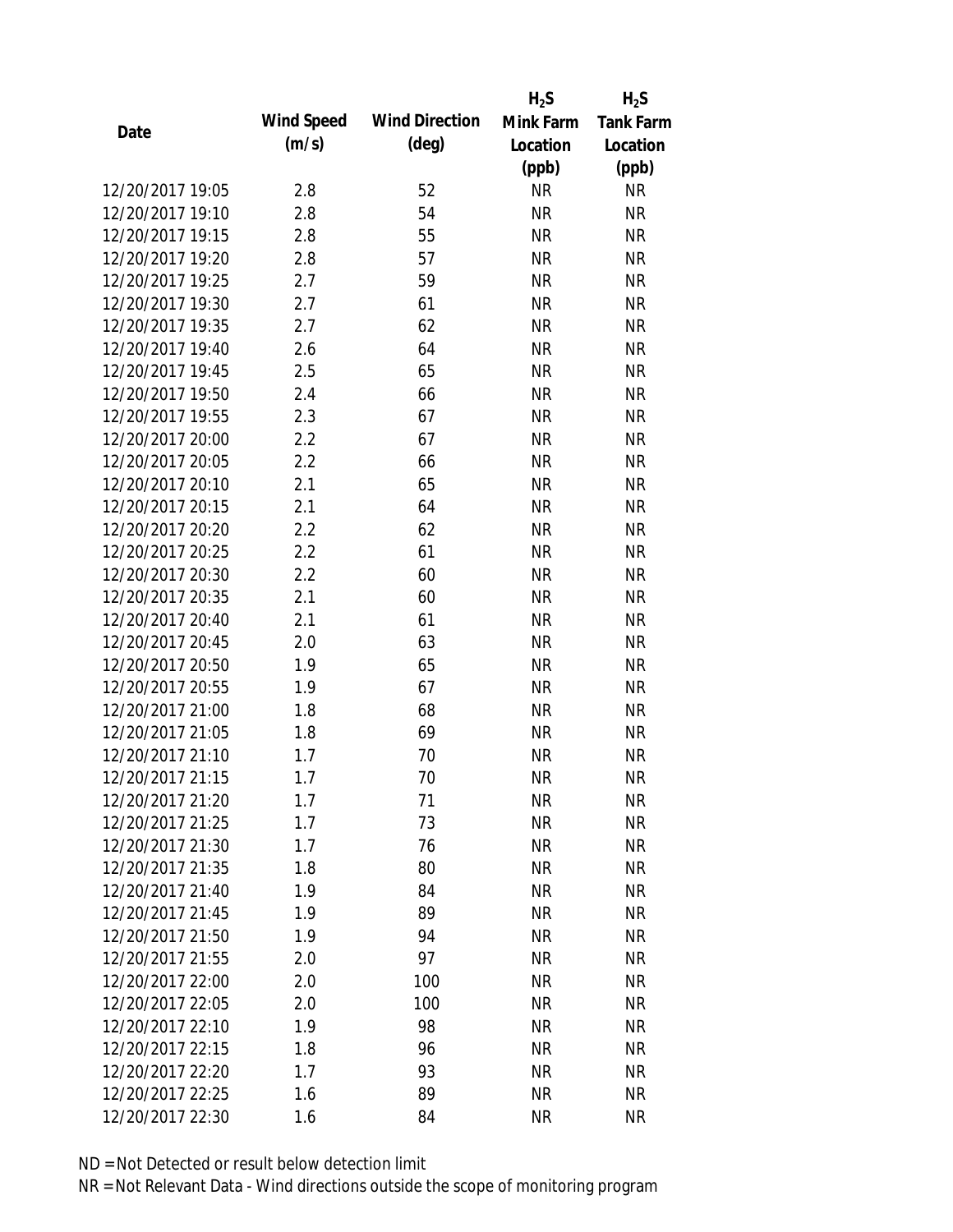|                  |            |                       | $H_2S$    | $H_2S$           |
|------------------|------------|-----------------------|-----------|------------------|
| Date             | Wind Speed | <b>Wind Direction</b> | Mink Farm | <b>Tank Farm</b> |
|                  | (m/s)      | $(\text{deg})$        | Location  | Location         |
|                  |            |                       | (ppb)     | (ppb)            |
| 12/20/2017 19:05 | 2.8        | 52                    | <b>NR</b> | <b>NR</b>        |
| 12/20/2017 19:10 | 2.8        | 54                    | <b>NR</b> | <b>NR</b>        |
| 12/20/2017 19:15 | 2.8        | 55                    | <b>NR</b> | <b>NR</b>        |
| 12/20/2017 19:20 | 2.8        | 57                    | <b>NR</b> | <b>NR</b>        |
| 12/20/2017 19:25 | 2.7        | 59                    | <b>NR</b> | <b>NR</b>        |
| 12/20/2017 19:30 | 2.7        | 61                    | <b>NR</b> | <b>NR</b>        |
| 12/20/2017 19:35 | 2.7        | 62                    | <b>NR</b> | <b>NR</b>        |
| 12/20/2017 19:40 | 2.6        | 64                    | <b>NR</b> | <b>NR</b>        |
| 12/20/2017 19:45 | 2.5        | 65                    | <b>NR</b> | <b>NR</b>        |
| 12/20/2017 19:50 | 2.4        | 66                    | <b>NR</b> | <b>NR</b>        |
| 12/20/2017 19:55 | 2.3        | 67                    | <b>NR</b> | <b>NR</b>        |
| 12/20/2017 20:00 | 2.2        | 67                    | <b>NR</b> | <b>NR</b>        |
| 12/20/2017 20:05 | 2.2        | 66                    | <b>NR</b> | <b>NR</b>        |
| 12/20/2017 20:10 | 2.1        | 65                    | <b>NR</b> | <b>NR</b>        |
| 12/20/2017 20:15 | 2.1        | 64                    | <b>NR</b> | <b>NR</b>        |
| 12/20/2017 20:20 | 2.2        | 62                    | <b>NR</b> | <b>NR</b>        |
| 12/20/2017 20:25 | 2.2        | 61                    | <b>NR</b> | <b>NR</b>        |
| 12/20/2017 20:30 | 2.2        | 60                    | <b>NR</b> | <b>NR</b>        |
| 12/20/2017 20:35 | 2.1        | 60                    | <b>NR</b> | <b>NR</b>        |
| 12/20/2017 20:40 | 2.1        | 61                    | <b>NR</b> | <b>NR</b>        |
| 12/20/2017 20:45 | 2.0        | 63                    | <b>NR</b> | <b>NR</b>        |
| 12/20/2017 20:50 | 1.9        | 65                    | <b>NR</b> | <b>NR</b>        |
| 12/20/2017 20:55 | 1.9        | 67                    | <b>NR</b> | <b>NR</b>        |
| 12/20/2017 21:00 | 1.8        | 68                    | <b>NR</b> | <b>NR</b>        |
| 12/20/2017 21:05 | 1.8        | 69                    | <b>NR</b> | <b>NR</b>        |
| 12/20/2017 21:10 | 1.7        | 70                    | <b>NR</b> | <b>NR</b>        |
| 12/20/2017 21:15 | 1.7        | 70                    | <b>NR</b> | <b>NR</b>        |
| 12/20/2017 21:20 | 1.7        | 71                    | NR        | <b>NR</b>        |
| 12/20/2017 21:25 | 1.7        | 73                    | <b>NR</b> | <b>NR</b>        |
| 12/20/2017 21:30 | 1.7        | 76                    | <b>NR</b> | <b>NR</b>        |
| 12/20/2017 21:35 | 1.8        | 80                    | <b>NR</b> | <b>NR</b>        |
| 12/20/2017 21:40 | 1.9        | 84                    | <b>NR</b> | <b>NR</b>        |
| 12/20/2017 21:45 | 1.9        | 89                    | <b>NR</b> | <b>NR</b>        |
| 12/20/2017 21:50 | 1.9        | 94                    | <b>NR</b> | <b>NR</b>        |
| 12/20/2017 21:55 | 2.0        | 97                    | <b>NR</b> | <b>NR</b>        |
| 12/20/2017 22:00 | 2.0        | 100                   | <b>NR</b> | <b>NR</b>        |
| 12/20/2017 22:05 | 2.0        | 100                   | <b>NR</b> | <b>NR</b>        |
| 12/20/2017 22:10 | 1.9        | 98                    | NR        | <b>NR</b>        |
| 12/20/2017 22:15 | 1.8        | 96                    | <b>NR</b> | <b>NR</b>        |
| 12/20/2017 22:20 | 1.7        | 93                    | <b>NR</b> | <b>NR</b>        |
| 12/20/2017 22:25 | 1.6        | 89                    | <b>NR</b> | <b>NR</b>        |
| 12/20/2017 22:30 | 1.6        | 84                    | <b>NR</b> | <b>NR</b>        |
|                  |            |                       |           |                  |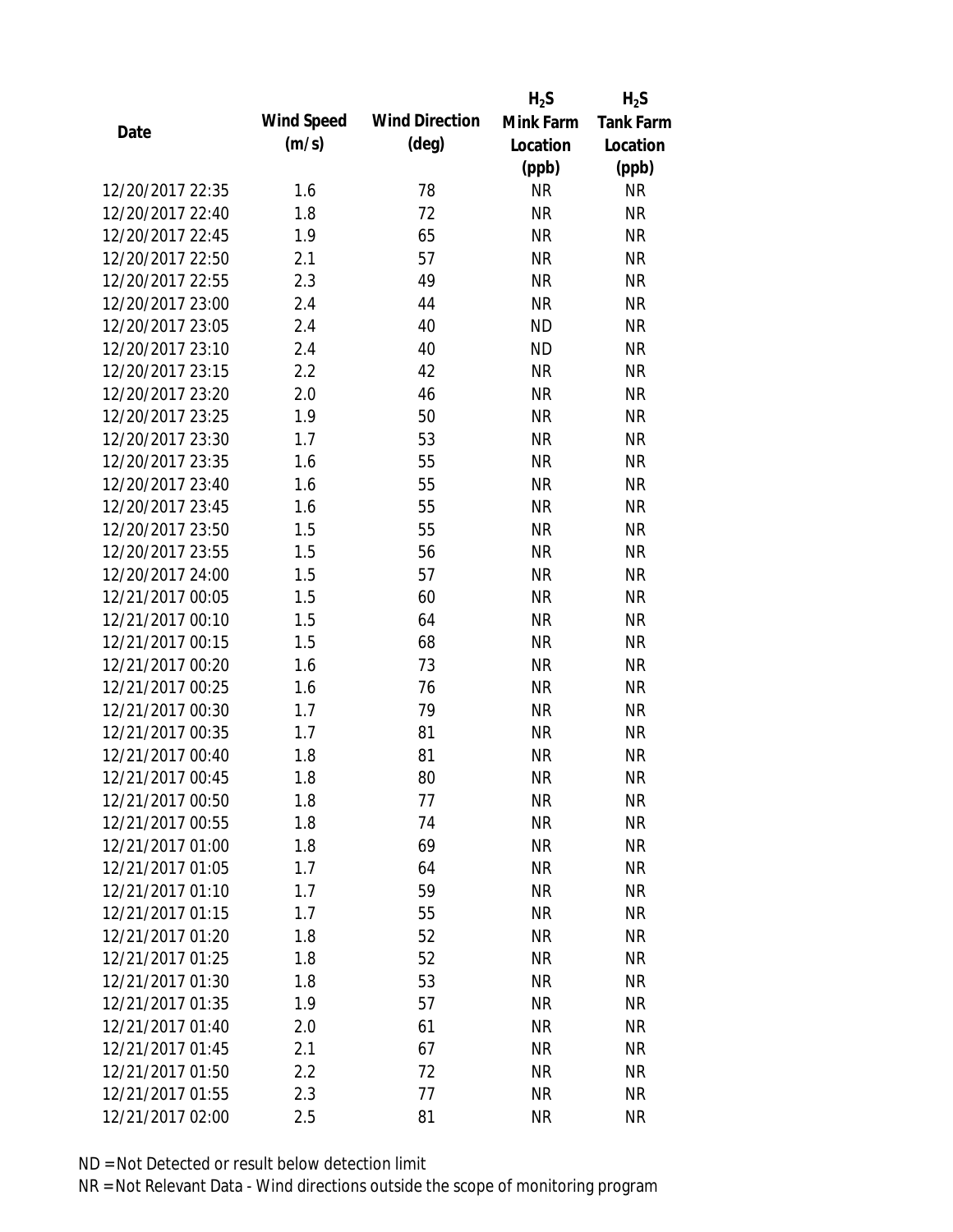|                  |            |                       | $H_2S$    | $H_2S$           |
|------------------|------------|-----------------------|-----------|------------------|
| Date             | Wind Speed | <b>Wind Direction</b> | Mink Farm | <b>Tank Farm</b> |
|                  | (m/s)      | $(\text{deg})$        | Location  | Location         |
|                  |            |                       | (ppb)     | (ppb)            |
| 12/20/2017 22:35 | 1.6        | 78                    | <b>NR</b> | <b>NR</b>        |
| 12/20/2017 22:40 | 1.8        | 72                    | <b>NR</b> | <b>NR</b>        |
| 12/20/2017 22:45 | 1.9        | 65                    | <b>NR</b> | <b>NR</b>        |
| 12/20/2017 22:50 | 2.1        | 57                    | <b>NR</b> | <b>NR</b>        |
| 12/20/2017 22:55 | 2.3        | 49                    | <b>NR</b> | <b>NR</b>        |
| 12/20/2017 23:00 | 2.4        | 44                    | <b>NR</b> | <b>NR</b>        |
| 12/20/2017 23:05 | 2.4        | 40                    | <b>ND</b> | <b>NR</b>        |
| 12/20/2017 23:10 | 2.4        | 40                    | <b>ND</b> | <b>NR</b>        |
| 12/20/2017 23:15 | 2.2        | 42                    | <b>NR</b> | <b>NR</b>        |
| 12/20/2017 23:20 | 2.0        | 46                    | <b>NR</b> | <b>NR</b>        |
| 12/20/2017 23:25 | 1.9        | 50                    | <b>NR</b> | <b>NR</b>        |
| 12/20/2017 23:30 | 1.7        | 53                    | <b>NR</b> | <b>NR</b>        |
| 12/20/2017 23:35 | 1.6        | 55                    | <b>NR</b> | <b>NR</b>        |
| 12/20/2017 23:40 | 1.6        | 55                    | <b>NR</b> | <b>NR</b>        |
| 12/20/2017 23:45 | 1.6        | 55                    | <b>NR</b> | <b>NR</b>        |
| 12/20/2017 23:50 | 1.5        | 55                    | <b>NR</b> | <b>NR</b>        |
| 12/20/2017 23:55 | 1.5        | 56                    | <b>NR</b> | <b>NR</b>        |
| 12/20/2017 24:00 | 1.5        | 57                    | <b>NR</b> | <b>NR</b>        |
| 12/21/2017 00:05 | 1.5        | 60                    | <b>NR</b> | <b>NR</b>        |
| 12/21/2017 00:10 | 1.5        | 64                    | <b>NR</b> | <b>NR</b>        |
| 12/21/2017 00:15 | 1.5        | 68                    | <b>NR</b> | <b>NR</b>        |
| 12/21/2017 00:20 | 1.6        | 73                    | <b>NR</b> | <b>NR</b>        |
| 12/21/2017 00:25 | 1.6        | 76                    | <b>NR</b> | <b>NR</b>        |
| 12/21/2017 00:30 | 1.7        | 79                    | <b>NR</b> | <b>NR</b>        |
| 12/21/2017 00:35 | 1.7        | 81                    | <b>NR</b> | <b>NR</b>        |
| 12/21/2017 00:40 | 1.8        | 81                    | <b>NR</b> | <b>NR</b>        |
| 12/21/2017 00:45 | 1.8        | 80                    | <b>NR</b> | <b>NR</b>        |
| 12/21/2017 00:50 | 1.8        | 77                    | <b>NR</b> | <b>NR</b>        |
| 12/21/2017 00:55 | 1.8        | 74                    | <b>NR</b> | <b>NR</b>        |
| 12/21/2017 01:00 | 1.8        | 69                    | <b>NR</b> | <b>NR</b>        |
| 12/21/2017 01:05 | 1.7        | 64                    | <b>NR</b> | <b>NR</b>        |
| 12/21/2017 01:10 | 1.7        | 59                    | <b>NR</b> | <b>NR</b>        |
| 12/21/2017 01:15 | 1.7        | 55                    | <b>NR</b> | <b>NR</b>        |
| 12/21/2017 01:20 | 1.8        | 52                    | <b>NR</b> | <b>NR</b>        |
| 12/21/2017 01:25 | 1.8        | 52                    | <b>NR</b> | <b>NR</b>        |
| 12/21/2017 01:30 | 1.8        | 53                    | <b>NR</b> | <b>NR</b>        |
| 12/21/2017 01:35 | 1.9        | 57                    | <b>NR</b> | <b>NR</b>        |
| 12/21/2017 01:40 | 2.0        | 61                    | NR        | <b>NR</b>        |
| 12/21/2017 01:45 | 2.1        | 67                    | <b>NR</b> | <b>NR</b>        |
| 12/21/2017 01:50 | 2.2        | 72                    | <b>NR</b> | <b>NR</b>        |
| 12/21/2017 01:55 | 2.3        | 77                    | <b>NR</b> | <b>NR</b>        |
| 12/21/2017 02:00 | 2.5        | 81                    | <b>NR</b> | <b>NR</b>        |
|                  |            |                       |           |                  |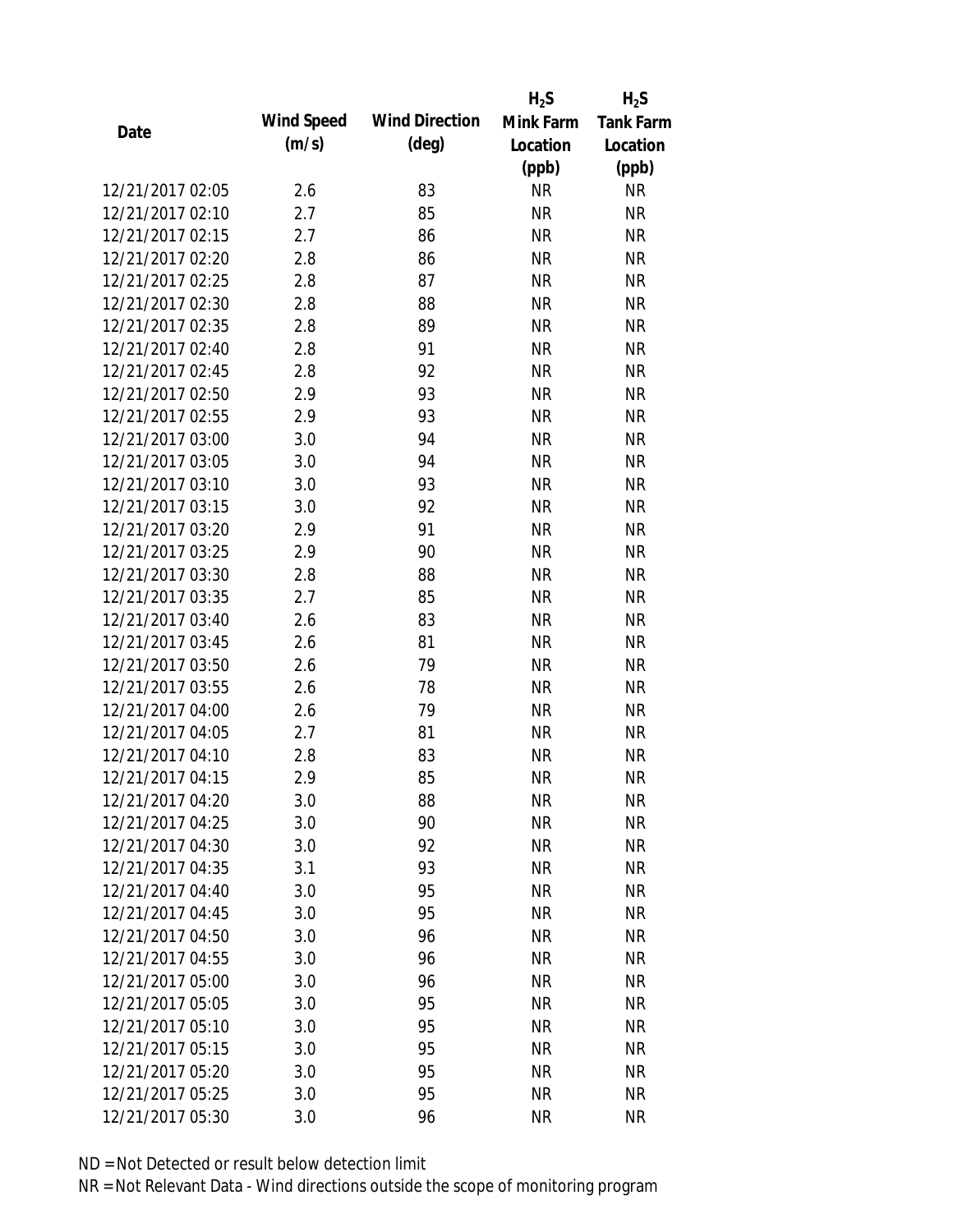|                  |            |                       | $H_2S$    | $H_2S$           |
|------------------|------------|-----------------------|-----------|------------------|
| Date             | Wind Speed | <b>Wind Direction</b> | Mink Farm | <b>Tank Farm</b> |
|                  | (m/s)      | $(\text{deg})$        | Location  | Location         |
|                  |            |                       | (ppb)     | (ppb)            |
| 12/21/2017 02:05 | 2.6        | 83                    | <b>NR</b> | <b>NR</b>        |
| 12/21/2017 02:10 | 2.7        | 85                    | <b>NR</b> | <b>NR</b>        |
| 12/21/2017 02:15 | 2.7        | 86                    | <b>NR</b> | <b>NR</b>        |
| 12/21/2017 02:20 | 2.8        | 86                    | <b>NR</b> | <b>NR</b>        |
| 12/21/2017 02:25 | 2.8        | 87                    | <b>NR</b> | <b>NR</b>        |
| 12/21/2017 02:30 | 2.8        | 88                    | <b>NR</b> | <b>NR</b>        |
| 12/21/2017 02:35 | 2.8        | 89                    | <b>NR</b> | <b>NR</b>        |
| 12/21/2017 02:40 | 2.8        | 91                    | <b>NR</b> | <b>NR</b>        |
| 12/21/2017 02:45 | 2.8        | 92                    | <b>NR</b> | <b>NR</b>        |
| 12/21/2017 02:50 | 2.9        | 93                    | <b>NR</b> | <b>NR</b>        |
| 12/21/2017 02:55 | 2.9        | 93                    | <b>NR</b> | <b>NR</b>        |
| 12/21/2017 03:00 | 3.0        | 94                    | <b>NR</b> | <b>NR</b>        |
| 12/21/2017 03:05 | 3.0        | 94                    | <b>NR</b> | <b>NR</b>        |
| 12/21/2017 03:10 | 3.0        | 93                    | <b>NR</b> | <b>NR</b>        |
| 12/21/2017 03:15 | 3.0        | 92                    | <b>NR</b> | <b>NR</b>        |
| 12/21/2017 03:20 | 2.9        | 91                    | <b>NR</b> | <b>NR</b>        |
| 12/21/2017 03:25 | 2.9        | 90                    | <b>NR</b> | <b>NR</b>        |
| 12/21/2017 03:30 | 2.8        | 88                    | <b>NR</b> | <b>NR</b>        |
| 12/21/2017 03:35 | 2.7        | 85                    | <b>NR</b> | <b>NR</b>        |
| 12/21/2017 03:40 | 2.6        | 83                    | <b>NR</b> | <b>NR</b>        |
| 12/21/2017 03:45 | 2.6        | 81                    | <b>NR</b> | <b>NR</b>        |
| 12/21/2017 03:50 | 2.6        | 79                    | <b>NR</b> | <b>NR</b>        |
| 12/21/2017 03:55 | 2.6        | 78                    | <b>NR</b> | <b>NR</b>        |
| 12/21/2017 04:00 | 2.6        | 79                    | <b>NR</b> | <b>NR</b>        |
| 12/21/2017 04:05 | 2.7        | 81                    | <b>NR</b> | <b>NR</b>        |
| 12/21/2017 04:10 | 2.8        | 83                    | <b>NR</b> | <b>NR</b>        |
| 12/21/2017 04:15 | 2.9        | 85                    | <b>NR</b> | <b>NR</b>        |
| 12/21/2017 04:20 | 3.0        | 88                    | NR        | <b>NR</b>        |
| 12/21/2017 04:25 | 3.0        | 90                    | <b>NR</b> | <b>NR</b>        |
| 12/21/2017 04:30 | 3.0        | 92                    | <b>NR</b> | <b>NR</b>        |
| 12/21/2017 04:35 | 3.1        | 93                    | <b>NR</b> | <b>NR</b>        |
| 12/21/2017 04:40 | 3.0        | 95                    | <b>NR</b> | <b>NR</b>        |
| 12/21/2017 04:45 | 3.0        | 95                    | <b>NR</b> | <b>NR</b>        |
| 12/21/2017 04:50 | 3.0        | 96                    | <b>NR</b> | <b>NR</b>        |
| 12/21/2017 04:55 | 3.0        | 96                    | <b>NR</b> | <b>NR</b>        |
| 12/21/2017 05:00 | 3.0        | 96                    | <b>NR</b> | <b>NR</b>        |
| 12/21/2017 05:05 | 3.0        | 95                    | NR        | <b>NR</b>        |
| 12/21/2017 05:10 | 3.0        | 95                    | NR        | <b>NR</b>        |
| 12/21/2017 05:15 | 3.0        | 95                    | <b>NR</b> | <b>NR</b>        |
| 12/21/2017 05:20 | 3.0        | 95                    | <b>NR</b> | <b>NR</b>        |
| 12/21/2017 05:25 | 3.0        | 95                    | <b>NR</b> | <b>NR</b>        |
| 12/21/2017 05:30 | 3.0        | 96                    | <b>NR</b> | <b>NR</b>        |
|                  |            |                       |           |                  |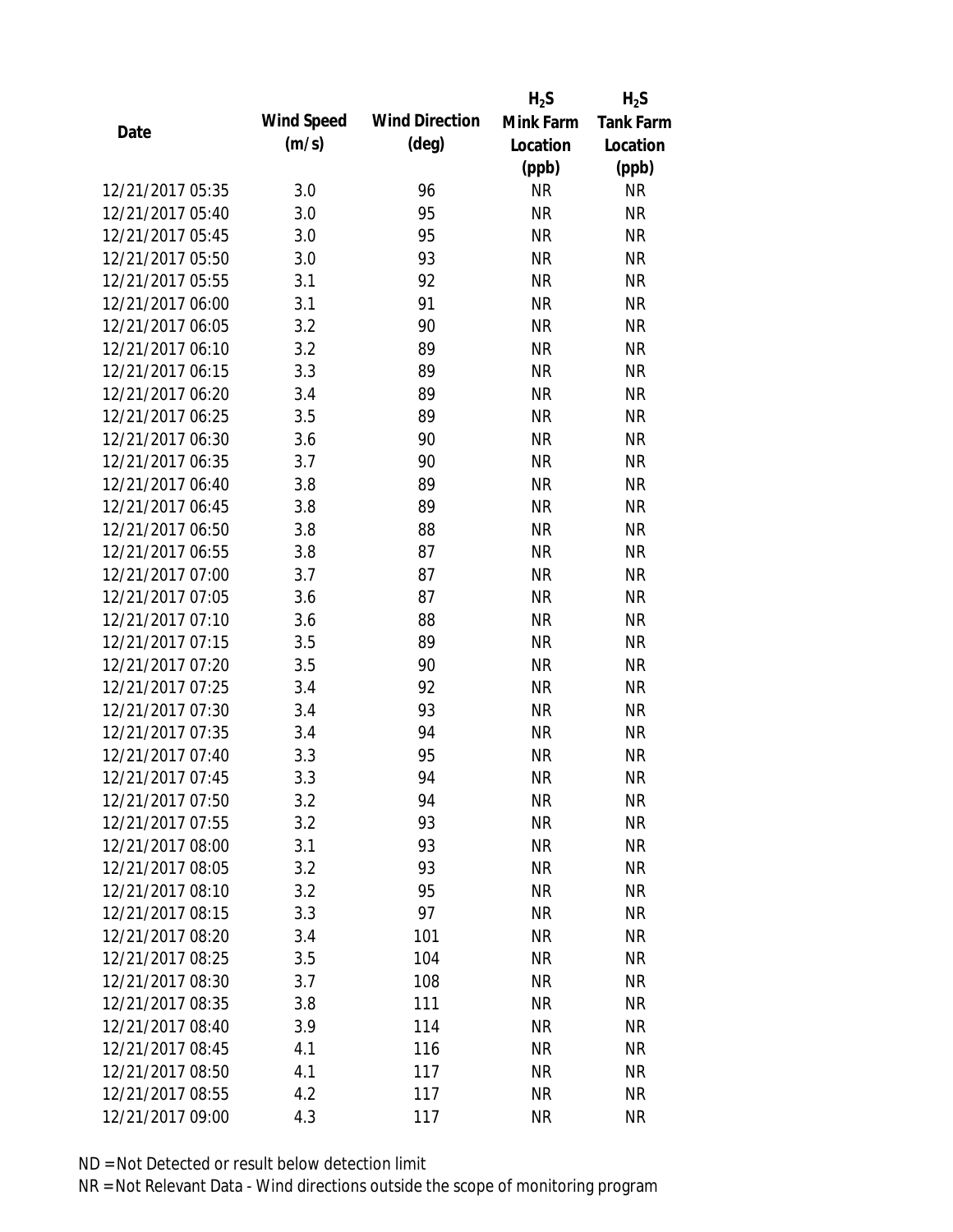|                  |            |                       | $H_2S$    | $H_2S$           |
|------------------|------------|-----------------------|-----------|------------------|
| Date             | Wind Speed | <b>Wind Direction</b> | Mink Farm | <b>Tank Farm</b> |
|                  | (m/s)      | $(\text{deg})$        | Location  | Location         |
|                  |            |                       | (ppb)     | (ppb)            |
| 12/21/2017 05:35 | 3.0        | 96                    | <b>NR</b> | <b>NR</b>        |
| 12/21/2017 05:40 | 3.0        | 95                    | <b>NR</b> | <b>NR</b>        |
| 12/21/2017 05:45 | 3.0        | 95                    | <b>NR</b> | <b>NR</b>        |
| 12/21/2017 05:50 | 3.0        | 93                    | <b>NR</b> | <b>NR</b>        |
| 12/21/2017 05:55 | 3.1        | 92                    | <b>NR</b> | <b>NR</b>        |
| 12/21/2017 06:00 | 3.1        | 91                    | <b>NR</b> | <b>NR</b>        |
| 12/21/2017 06:05 | 3.2        | 90                    | <b>NR</b> | <b>NR</b>        |
| 12/21/2017 06:10 | 3.2        | 89                    | <b>NR</b> | <b>NR</b>        |
| 12/21/2017 06:15 | 3.3        | 89                    | <b>NR</b> | <b>NR</b>        |
| 12/21/2017 06:20 | 3.4        | 89                    | <b>NR</b> | <b>NR</b>        |
| 12/21/2017 06:25 | 3.5        | 89                    | <b>NR</b> | <b>NR</b>        |
| 12/21/2017 06:30 | 3.6        | 90                    | <b>NR</b> | <b>NR</b>        |
| 12/21/2017 06:35 | 3.7        | 90                    | <b>NR</b> | <b>NR</b>        |
| 12/21/2017 06:40 | 3.8        | 89                    | <b>NR</b> | <b>NR</b>        |
| 12/21/2017 06:45 | 3.8        | 89                    | <b>NR</b> | <b>NR</b>        |
| 12/21/2017 06:50 | 3.8        | 88                    | <b>NR</b> | <b>NR</b>        |
| 12/21/2017 06:55 | 3.8        | 87                    | <b>NR</b> | <b>NR</b>        |
| 12/21/2017 07:00 | 3.7        | 87                    | <b>NR</b> | <b>NR</b>        |
| 12/21/2017 07:05 | 3.6        | 87                    | <b>NR</b> | <b>NR</b>        |
| 12/21/2017 07:10 | 3.6        | 88                    | <b>NR</b> | <b>NR</b>        |
| 12/21/2017 07:15 | 3.5        | 89                    | <b>NR</b> | <b>NR</b>        |
| 12/21/2017 07:20 | 3.5        | 90                    | <b>NR</b> | <b>NR</b>        |
| 12/21/2017 07:25 | 3.4        | 92                    | <b>NR</b> | <b>NR</b>        |
| 12/21/2017 07:30 | 3.4        | 93                    | <b>NR</b> | <b>NR</b>        |
| 12/21/2017 07:35 | 3.4        | 94                    | <b>NR</b> | <b>NR</b>        |
| 12/21/2017 07:40 | 3.3        | 95                    | <b>NR</b> | <b>NR</b>        |
| 12/21/2017 07:45 | 3.3        | 94                    | <b>NR</b> | <b>NR</b>        |
| 12/21/2017 07:50 | 3.2        | 94                    | NR        | <b>NR</b>        |
| 12/21/2017 07:55 | 3.2        | 93                    | <b>NR</b> | <b>NR</b>        |
| 12/21/2017 08:00 | 3.1        | 93                    | <b>NR</b> | <b>NR</b>        |
| 12/21/2017 08:05 | 3.2        | 93                    | <b>NR</b> | <b>NR</b>        |
| 12/21/2017 08:10 | 3.2        | 95                    | <b>NR</b> | <b>NR</b>        |
| 12/21/2017 08:15 | 3.3        | 97                    | <b>NR</b> | <b>NR</b>        |
| 12/21/2017 08:20 | 3.4        | 101                   | <b>NR</b> | <b>NR</b>        |
| 12/21/2017 08:25 | 3.5        | 104                   | <b>NR</b> | <b>NR</b>        |
| 12/21/2017 08:30 | 3.7        | 108                   | <b>NR</b> | <b>NR</b>        |
| 12/21/2017 08:35 | 3.8        | 111                   | <b>NR</b> | <b>NR</b>        |
| 12/21/2017 08:40 | 3.9        | 114                   | <b>NR</b> | <b>NR</b>        |
| 12/21/2017 08:45 | 4.1        | 116                   | <b>NR</b> | <b>NR</b>        |
| 12/21/2017 08:50 | 4.1        | 117                   | <b>NR</b> | <b>NR</b>        |
| 12/21/2017 08:55 | 4.2        | 117                   | <b>NR</b> | <b>NR</b>        |
| 12/21/2017 09:00 | 4.3        | 117                   | <b>NR</b> | <b>NR</b>        |
|                  |            |                       |           |                  |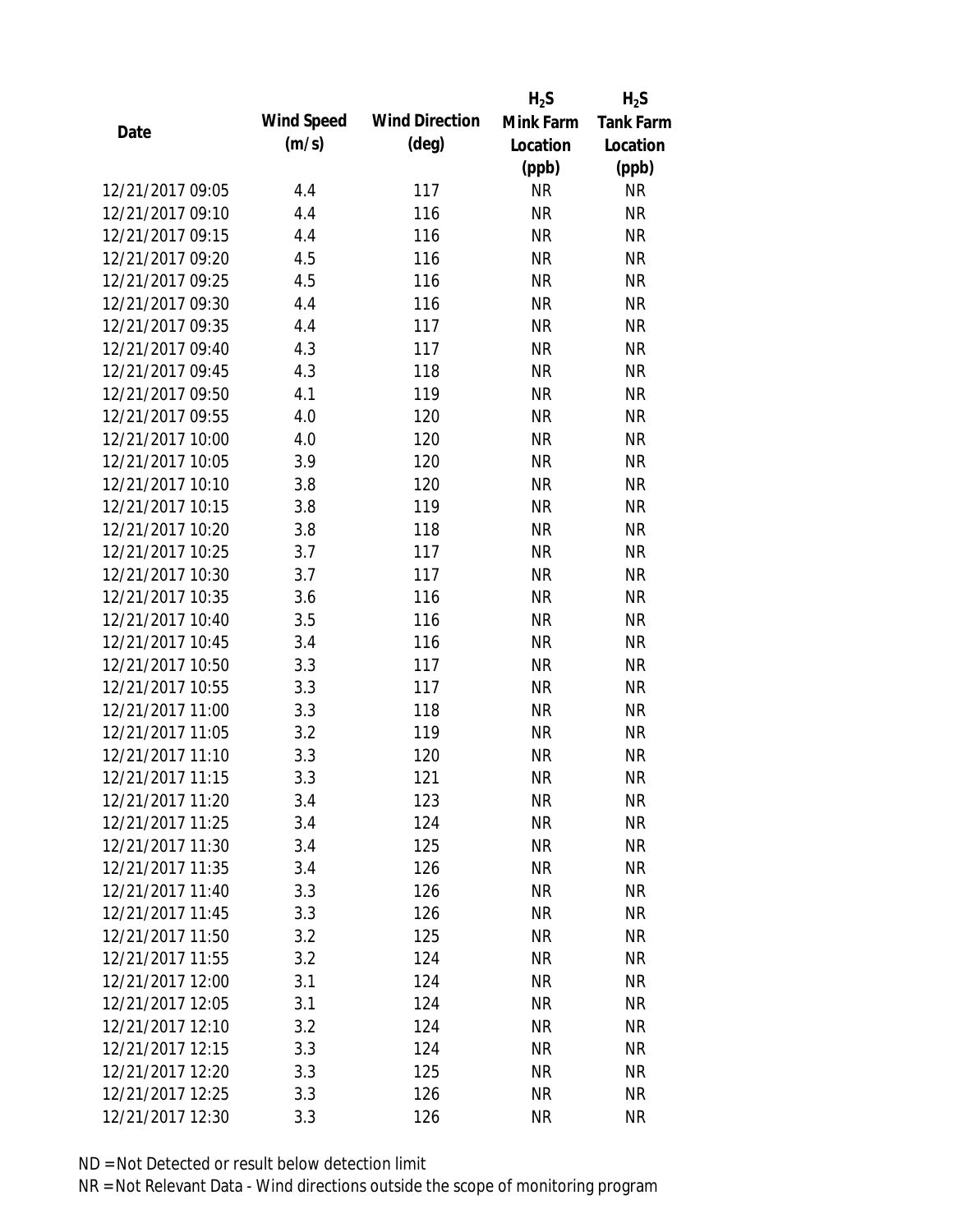|                  |            |                       | $H_2S$    | $H_2S$           |
|------------------|------------|-----------------------|-----------|------------------|
|                  | Wind Speed | <b>Wind Direction</b> | Mink Farm | <b>Tank Farm</b> |
| Date             | (m/s)      | $(\text{deg})$        | Location  | Location         |
|                  |            |                       | (ppb)     | (ppb)            |
| 12/21/2017 09:05 | 4.4        | 117                   | <b>NR</b> | <b>NR</b>        |
| 12/21/2017 09:10 | 4.4        | 116                   | <b>NR</b> | <b>NR</b>        |
| 12/21/2017 09:15 | 4.4        | 116                   | <b>NR</b> | <b>NR</b>        |
| 12/21/2017 09:20 | 4.5        | 116                   | <b>NR</b> | <b>NR</b>        |
| 12/21/2017 09:25 | 4.5        | 116                   | <b>NR</b> | <b>NR</b>        |
| 12/21/2017 09:30 | 4.4        | 116                   | <b>NR</b> | <b>NR</b>        |
| 12/21/2017 09:35 | 4.4        | 117                   | <b>NR</b> | <b>NR</b>        |
| 12/21/2017 09:40 | 4.3        | 117                   | <b>NR</b> | <b>NR</b>        |
| 12/21/2017 09:45 | 4.3        | 118                   | <b>NR</b> | <b>NR</b>        |
| 12/21/2017 09:50 | 4.1        | 119                   | <b>NR</b> | <b>NR</b>        |
| 12/21/2017 09:55 | 4.0        | 120                   | <b>NR</b> | <b>NR</b>        |
| 12/21/2017 10:00 | 4.0        | 120                   | <b>NR</b> | <b>NR</b>        |
| 12/21/2017 10:05 | 3.9        | 120                   | <b>NR</b> | <b>NR</b>        |
| 12/21/2017 10:10 | 3.8        | 120                   | <b>NR</b> | <b>NR</b>        |
| 12/21/2017 10:15 | 3.8        | 119                   | <b>NR</b> | <b>NR</b>        |
| 12/21/2017 10:20 | 3.8        | 118                   | <b>NR</b> | <b>NR</b>        |
| 12/21/2017 10:25 | 3.7        | 117                   | <b>NR</b> | <b>NR</b>        |
| 12/21/2017 10:30 | 3.7        | 117                   | <b>NR</b> | <b>NR</b>        |
| 12/21/2017 10:35 | 3.6        | 116                   | <b>NR</b> | <b>NR</b>        |
| 12/21/2017 10:40 | 3.5        | 116                   | <b>NR</b> | <b>NR</b>        |
| 12/21/2017 10:45 | 3.4        | 116                   | <b>NR</b> | <b>NR</b>        |
| 12/21/2017 10:50 | 3.3        | 117                   | <b>NR</b> | <b>NR</b>        |
| 12/21/2017 10:55 | 3.3        | 117                   | <b>NR</b> | <b>NR</b>        |
| 12/21/2017 11:00 | 3.3        | 118                   | <b>NR</b> | <b>NR</b>        |
| 12/21/2017 11:05 | 3.2        | 119                   | <b>NR</b> | <b>NR</b>        |
| 12/21/2017 11:10 | 3.3        | 120                   | <b>NR</b> | <b>NR</b>        |
| 12/21/2017 11:15 | 3.3        | 121                   | <b>NR</b> | <b>NR</b>        |
| 12/21/2017 11:20 | 3.4        | 123                   | <b>NR</b> | <b>NR</b>        |
| 12/21/2017 11:25 | 3.4        | 124                   | <b>NR</b> | <b>NR</b>        |
| 12/21/2017 11:30 | 3.4        | 125                   | NR        | <b>NR</b>        |
| 12/21/2017 11:35 | 3.4        | 126                   | <b>NR</b> | <b>NR</b>        |
| 12/21/2017 11:40 | 3.3        | 126                   | <b>NR</b> | <b>NR</b>        |
| 12/21/2017 11:45 | 3.3        | 126                   | <b>NR</b> | <b>NR</b>        |
| 12/21/2017 11:50 | 3.2        | 125                   | <b>NR</b> | <b>NR</b>        |
| 12/21/2017 11:55 | 3.2        | 124                   | <b>NR</b> | <b>NR</b>        |
| 12/21/2017 12:00 | 3.1        | 124                   | <b>NR</b> | <b>NR</b>        |
| 12/21/2017 12:05 | 3.1        | 124                   | <b>NR</b> | <b>NR</b>        |
| 12/21/2017 12:10 | 3.2        | 124                   | NR        | <b>NR</b>        |
| 12/21/2017 12:15 | 3.3        | 124                   | <b>NR</b> | <b>NR</b>        |
| 12/21/2017 12:20 | 3.3        | 125                   | <b>NR</b> | NR               |
| 12/21/2017 12:25 | 3.3        | 126                   | <b>NR</b> | <b>NR</b>        |
| 12/21/2017 12:30 | 3.3        | 126                   | <b>NR</b> | <b>NR</b>        |
|                  |            |                       |           |                  |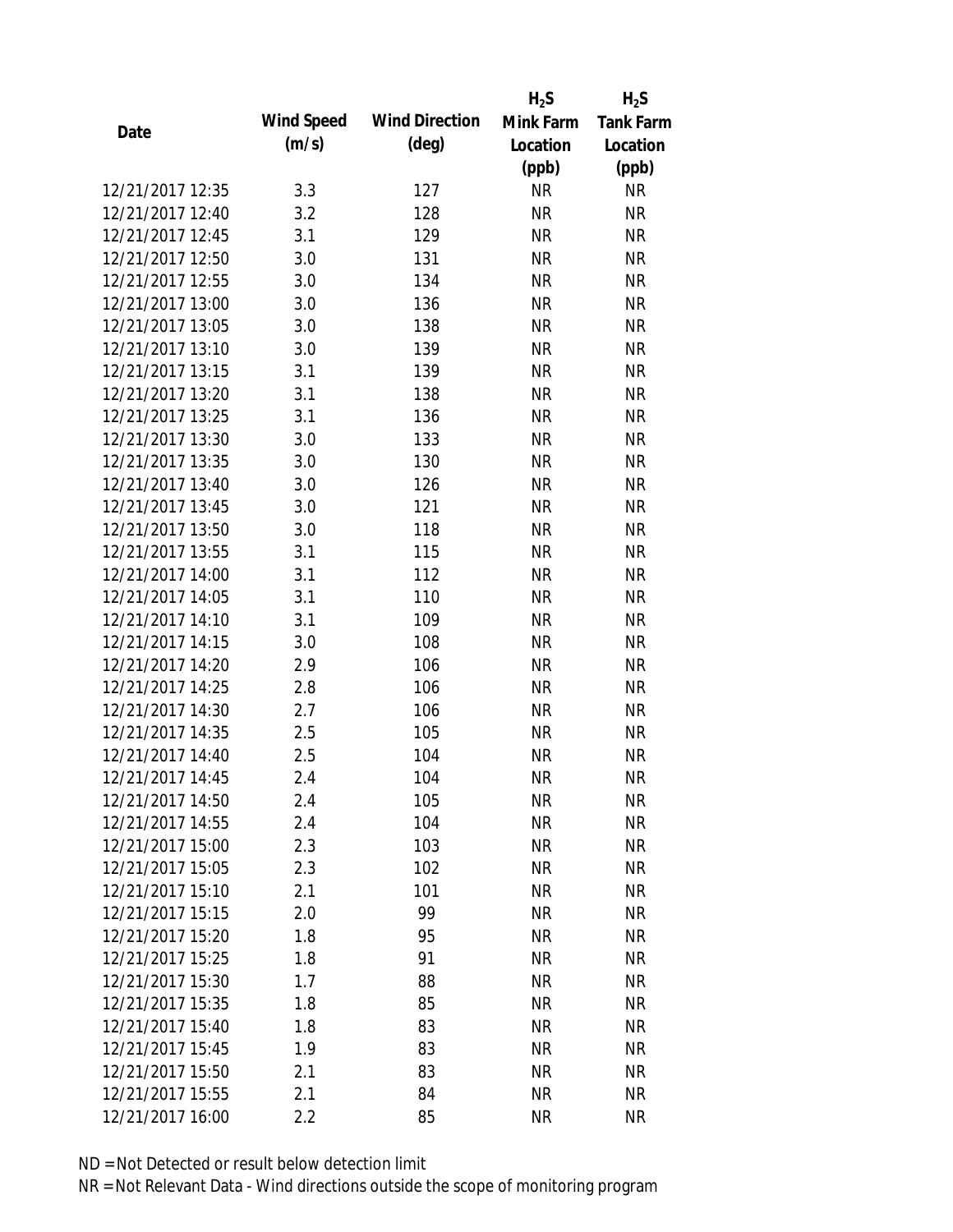|                  |            |                       | $H_2S$    | $H_2S$           |
|------------------|------------|-----------------------|-----------|------------------|
| Date             | Wind Speed | <b>Wind Direction</b> | Mink Farm | <b>Tank Farm</b> |
|                  | (m/s)      | $(\text{deg})$        | Location  | Location         |
|                  |            |                       | (ppb)     | (ppb)            |
| 12/21/2017 12:35 | 3.3        | 127                   | <b>NR</b> | <b>NR</b>        |
| 12/21/2017 12:40 | 3.2        | 128                   | <b>NR</b> | <b>NR</b>        |
| 12/21/2017 12:45 | 3.1        | 129                   | <b>NR</b> | <b>NR</b>        |
| 12/21/2017 12:50 | 3.0        | 131                   | <b>NR</b> | <b>NR</b>        |
| 12/21/2017 12:55 | 3.0        | 134                   | <b>NR</b> | <b>NR</b>        |
| 12/21/2017 13:00 | 3.0        | 136                   | <b>NR</b> | <b>NR</b>        |
| 12/21/2017 13:05 | 3.0        | 138                   | <b>NR</b> | <b>NR</b>        |
| 12/21/2017 13:10 | 3.0        | 139                   | <b>NR</b> | <b>NR</b>        |
| 12/21/2017 13:15 | 3.1        | 139                   | <b>NR</b> | <b>NR</b>        |
| 12/21/2017 13:20 | 3.1        | 138                   | <b>NR</b> | <b>NR</b>        |
| 12/21/2017 13:25 | 3.1        | 136                   | <b>NR</b> | <b>NR</b>        |
| 12/21/2017 13:30 | 3.0        | 133                   | <b>NR</b> | <b>NR</b>        |
| 12/21/2017 13:35 | 3.0        | 130                   | <b>NR</b> | <b>NR</b>        |
| 12/21/2017 13:40 | 3.0        | 126                   | <b>NR</b> | <b>NR</b>        |
| 12/21/2017 13:45 | 3.0        | 121                   | <b>NR</b> | <b>NR</b>        |
| 12/21/2017 13:50 | 3.0        | 118                   | <b>NR</b> | <b>NR</b>        |
| 12/21/2017 13:55 | 3.1        | 115                   | <b>NR</b> | <b>NR</b>        |
| 12/21/2017 14:00 | 3.1        | 112                   | <b>NR</b> | <b>NR</b>        |
| 12/21/2017 14:05 | 3.1        | 110                   | <b>NR</b> | <b>NR</b>        |
| 12/21/2017 14:10 | 3.1        | 109                   | <b>NR</b> | <b>NR</b>        |
| 12/21/2017 14:15 | 3.0        | 108                   | <b>NR</b> | <b>NR</b>        |
| 12/21/2017 14:20 | 2.9        | 106                   | <b>NR</b> | <b>NR</b>        |
| 12/21/2017 14:25 | 2.8        | 106                   | <b>NR</b> | <b>NR</b>        |
| 12/21/2017 14:30 | 2.7        | 106                   | <b>NR</b> | <b>NR</b>        |
| 12/21/2017 14:35 | 2.5        | 105                   | <b>NR</b> | <b>NR</b>        |
| 12/21/2017 14:40 | 2.5        | 104                   | <b>NR</b> | <b>NR</b>        |
| 12/21/2017 14:45 | 2.4        | 104                   | <b>NR</b> | <b>NR</b>        |
| 12/21/2017 14:50 | 2.4        | 105                   | <b>NR</b> | NR               |
| 12/21/2017 14:55 | 2.4        | 104                   | <b>NR</b> | <b>NR</b>        |
| 12/21/2017 15:00 | 2.3        | 103                   | NR        | <b>NR</b>        |
| 12/21/2017 15:05 | 2.3        | 102                   | <b>NR</b> | <b>NR</b>        |
| 12/21/2017 15:10 | 2.1        | 101                   | <b>NR</b> | <b>NR</b>        |
| 12/21/2017 15:15 | 2.0        | 99                    | <b>NR</b> | <b>NR</b>        |
| 12/21/2017 15:20 | 1.8        | 95                    | <b>NR</b> | <b>NR</b>        |
| 12/21/2017 15:25 | 1.8        | 91                    | <b>NR</b> | <b>NR</b>        |
| 12/21/2017 15:30 | 1.7        | 88                    | <b>NR</b> | <b>NR</b>        |
| 12/21/2017 15:35 | 1.8        | 85                    | <b>NR</b> | <b>NR</b>        |
|                  |            |                       |           |                  |
| 12/21/2017 15:40 | 1.8        | 83                    | <b>NR</b> | <b>NR</b>        |
| 12/21/2017 15:45 | 1.9        | 83                    | <b>NR</b> | <b>NR</b>        |
| 12/21/2017 15:50 | 2.1        | 83                    | NR        | <b>NR</b>        |
| 12/21/2017 15:55 | 2.1        | 84                    | <b>NR</b> | <b>NR</b>        |
| 12/21/2017 16:00 | 2.2        | 85                    | <b>NR</b> | <b>NR</b>        |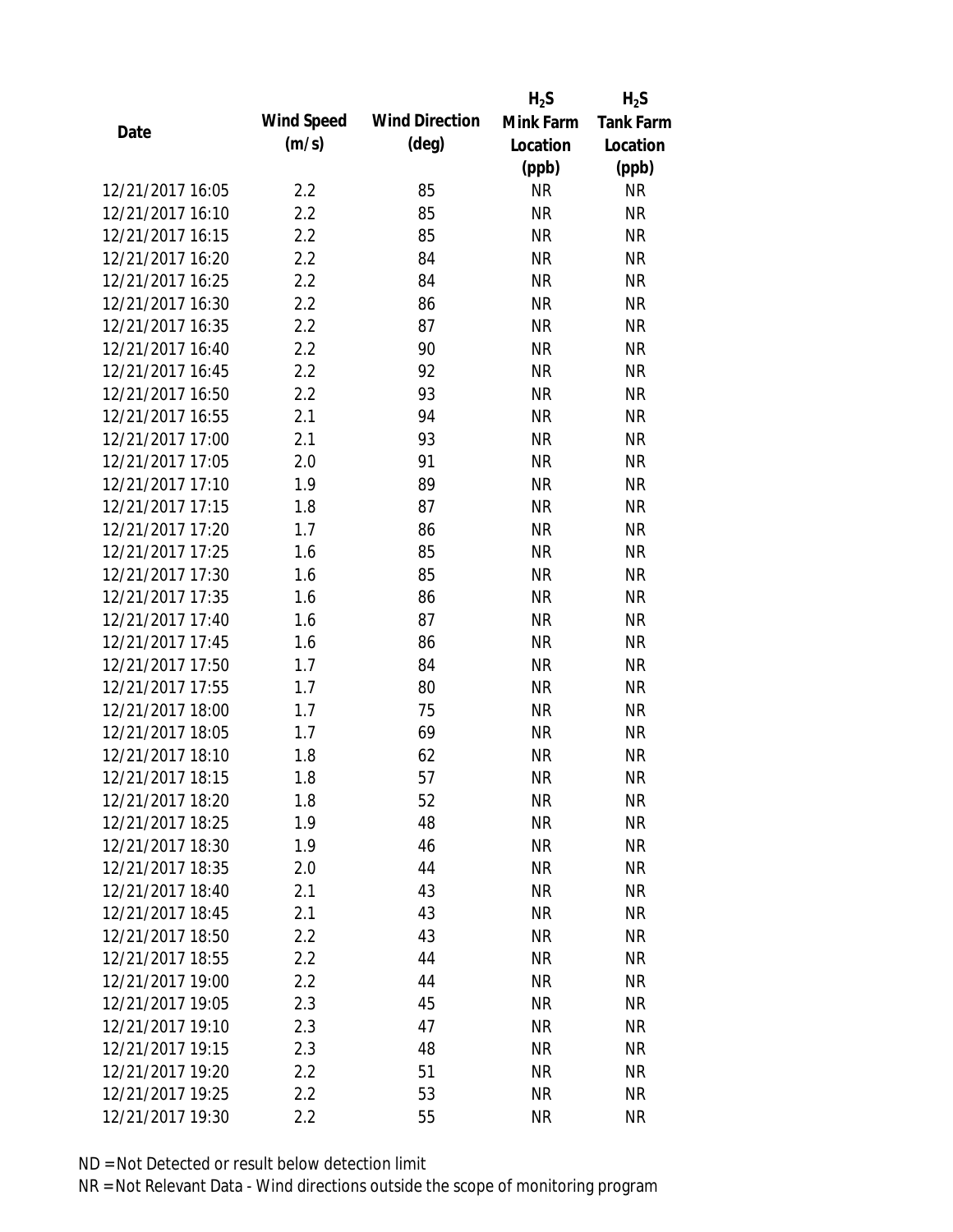|                  |            |                       | $H_2S$    | $H_2S$           |
|------------------|------------|-----------------------|-----------|------------------|
| Date             | Wind Speed | <b>Wind Direction</b> | Mink Farm | <b>Tank Farm</b> |
|                  | (m/s)      | $(\text{deg})$        | Location  | Location         |
|                  |            |                       | (ppb)     | (ppb)            |
| 12/21/2017 16:05 | 2.2        | 85                    | <b>NR</b> | <b>NR</b>        |
| 12/21/2017 16:10 | 2.2        | 85                    | <b>NR</b> | <b>NR</b>        |
| 12/21/2017 16:15 | 2.2        | 85                    | <b>NR</b> | <b>NR</b>        |
| 12/21/2017 16:20 | 2.2        | 84                    | <b>NR</b> | <b>NR</b>        |
| 12/21/2017 16:25 | 2.2        | 84                    | <b>NR</b> | <b>NR</b>        |
| 12/21/2017 16:30 | 2.2        | 86                    | <b>NR</b> | <b>NR</b>        |
| 12/21/2017 16:35 | 2.2        | 87                    | <b>NR</b> | <b>NR</b>        |
| 12/21/2017 16:40 | 2.2        | 90                    | <b>NR</b> | <b>NR</b>        |
| 12/21/2017 16:45 | 2.2        | 92                    | <b>NR</b> | <b>NR</b>        |
| 12/21/2017 16:50 | 2.2        | 93                    | <b>NR</b> | <b>NR</b>        |
| 12/21/2017 16:55 | 2.1        | 94                    | <b>NR</b> | <b>NR</b>        |
| 12/21/2017 17:00 | 2.1        | 93                    | <b>NR</b> | <b>NR</b>        |
| 12/21/2017 17:05 | 2.0        | 91                    | <b>NR</b> | <b>NR</b>        |
| 12/21/2017 17:10 | 1.9        | 89                    | <b>NR</b> | <b>NR</b>        |
| 12/21/2017 17:15 | 1.8        | 87                    | <b>NR</b> | <b>NR</b>        |
| 12/21/2017 17:20 | 1.7        | 86                    | <b>NR</b> | <b>NR</b>        |
| 12/21/2017 17:25 | 1.6        | 85                    | <b>NR</b> | <b>NR</b>        |
| 12/21/2017 17:30 | 1.6        | 85                    | <b>NR</b> | <b>NR</b>        |
| 12/21/2017 17:35 | 1.6        | 86                    | <b>NR</b> | <b>NR</b>        |
| 12/21/2017 17:40 | 1.6        | 87                    | <b>NR</b> | <b>NR</b>        |
| 12/21/2017 17:45 | 1.6        | 86                    | <b>NR</b> | <b>NR</b>        |
| 12/21/2017 17:50 | 1.7        | 84                    | <b>NR</b> | <b>NR</b>        |
| 12/21/2017 17:55 | 1.7        | 80                    | <b>NR</b> | <b>NR</b>        |
| 12/21/2017 18:00 | 1.7        | 75                    | <b>NR</b> | <b>NR</b>        |
| 12/21/2017 18:05 | 1.7        | 69                    | <b>NR</b> | <b>NR</b>        |
| 12/21/2017 18:10 | 1.8        | 62                    | <b>NR</b> | <b>NR</b>        |
| 12/21/2017 18:15 | 1.8        | 57                    | <b>NR</b> | <b>NR</b>        |
| 12/21/2017 18:20 | 1.8        | 52                    | <b>NR</b> | <b>NR</b>        |
| 12/21/2017 18:25 | 1.9        | 48                    | <b>NR</b> | <b>NR</b>        |
| 12/21/2017 18:30 | 1.9        | 46                    | <b>NR</b> | <b>NR</b>        |
| 12/21/2017 18:35 | 2.0        | 44                    | <b>NR</b> | <b>NR</b>        |
| 12/21/2017 18:40 | 2.1        | 43                    | <b>NR</b> | <b>NR</b>        |
| 12/21/2017 18:45 | 2.1        | 43                    | <b>NR</b> | <b>NR</b>        |
| 12/21/2017 18:50 | 2.2        | 43                    | <b>NR</b> | <b>NR</b>        |
| 12/21/2017 18:55 | 2.2        | 44                    | <b>NR</b> | <b>NR</b>        |
| 12/21/2017 19:00 | 2.2        | 44                    | <b>NR</b> | <b>NR</b>        |
| 12/21/2017 19:05 | 2.3        | 45                    | NR        | <b>NR</b>        |
| 12/21/2017 19:10 |            |                       |           |                  |
|                  | 2.3        | 47                    | NR        | <b>NR</b>        |
| 12/21/2017 19:15 | 2.3        | 48                    | <b>NR</b> | <b>NR</b>        |
| 12/21/2017 19:20 | 2.2        | 51                    | <b>NR</b> | <b>NR</b>        |
| 12/21/2017 19:25 | 2.2        | 53                    | <b>NR</b> | <b>NR</b>        |
| 12/21/2017 19:30 | 2.2        | 55                    | <b>NR</b> | <b>NR</b>        |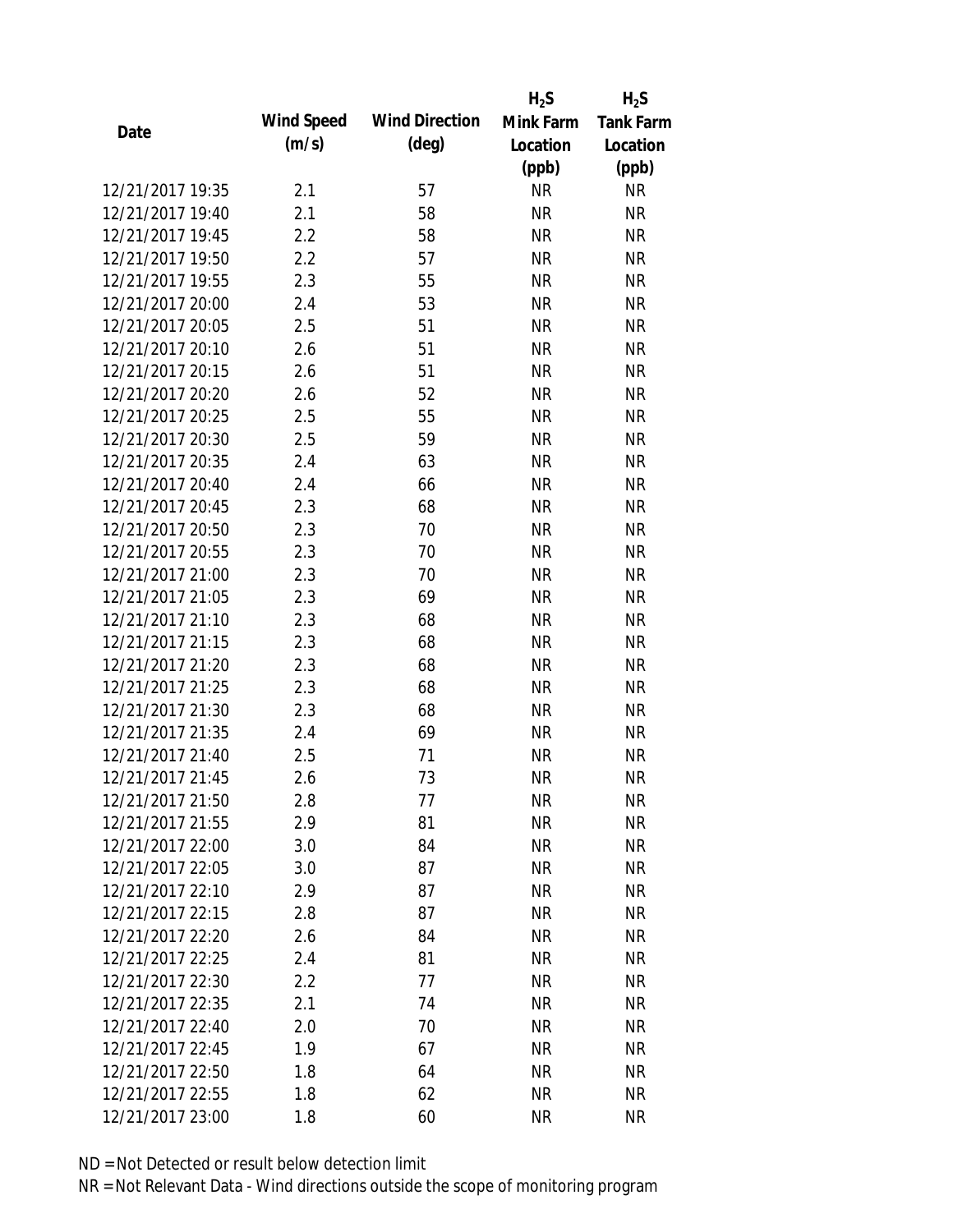|                  |            |                       | $H_2S$    | $H_2S$           |
|------------------|------------|-----------------------|-----------|------------------|
| Date             | Wind Speed | <b>Wind Direction</b> | Mink Farm | <b>Tank Farm</b> |
|                  | (m/s)      | $(\text{deg})$        | Location  | Location         |
|                  |            |                       | (ppb)     | (ppb)            |
| 12/21/2017 19:35 | 2.1        | 57                    | <b>NR</b> | <b>NR</b>        |
| 12/21/2017 19:40 | 2.1        | 58                    | <b>NR</b> | <b>NR</b>        |
| 12/21/2017 19:45 | 2.2        | 58                    | <b>NR</b> | <b>NR</b>        |
| 12/21/2017 19:50 | 2.2        | 57                    | <b>NR</b> | <b>NR</b>        |
| 12/21/2017 19:55 | 2.3        | 55                    | <b>NR</b> | <b>NR</b>        |
| 12/21/2017 20:00 | 2.4        | 53                    | <b>NR</b> | <b>NR</b>        |
| 12/21/2017 20:05 | 2.5        | 51                    | <b>NR</b> | <b>NR</b>        |
| 12/21/2017 20:10 | 2.6        | 51                    | <b>NR</b> | <b>NR</b>        |
| 12/21/2017 20:15 | 2.6        | 51                    | <b>NR</b> | <b>NR</b>        |
| 12/21/2017 20:20 | 2.6        | 52                    | <b>NR</b> | <b>NR</b>        |
| 12/21/2017 20:25 | 2.5        | 55                    | <b>NR</b> | <b>NR</b>        |
| 12/21/2017 20:30 | 2.5        | 59                    | <b>NR</b> | <b>NR</b>        |
| 12/21/2017 20:35 | 2.4        | 63                    | <b>NR</b> | <b>NR</b>        |
| 12/21/2017 20:40 | 2.4        | 66                    | <b>NR</b> | <b>NR</b>        |
| 12/21/2017 20:45 | 2.3        | 68                    | <b>NR</b> | <b>NR</b>        |
| 12/21/2017 20:50 | 2.3        | 70                    | <b>NR</b> | <b>NR</b>        |
| 12/21/2017 20:55 | 2.3        | 70                    | <b>NR</b> | <b>NR</b>        |
| 12/21/2017 21:00 | 2.3        | 70                    | <b>NR</b> | <b>NR</b>        |
| 12/21/2017 21:05 | 2.3        | 69                    | <b>NR</b> | <b>NR</b>        |
| 12/21/2017 21:10 | 2.3        | 68                    | <b>NR</b> | <b>NR</b>        |
| 12/21/2017 21:15 | 2.3        | 68                    | <b>NR</b> | <b>NR</b>        |
| 12/21/2017 21:20 | 2.3        | 68                    | <b>NR</b> | <b>NR</b>        |
| 12/21/2017 21:25 | 2.3        | 68                    | <b>NR</b> | <b>NR</b>        |
| 12/21/2017 21:30 | 2.3        | 68                    | <b>NR</b> | <b>NR</b>        |
| 12/21/2017 21:35 | 2.4        | 69                    | <b>NR</b> | <b>NR</b>        |
| 12/21/2017 21:40 | 2.5        | 71                    | <b>NR</b> | <b>NR</b>        |
| 12/21/2017 21:45 | 2.6        | 73                    | <b>NR</b> | <b>NR</b>        |
| 12/21/2017 21:50 | 2.8        | 77                    | <b>NR</b> | <b>NR</b>        |
| 12/21/2017 21:55 | 2.9        | 81                    | <b>NR</b> | <b>NR</b>        |
| 12/21/2017 22:00 | 3.0        | 84                    | <b>NR</b> | <b>NR</b>        |
| 12/21/2017 22:05 | 3.0        | 87                    | <b>NR</b> | <b>NR</b>        |
| 12/21/2017 22:10 | 2.9        | 87                    | <b>NR</b> | <b>NR</b>        |
| 12/21/2017 22:15 | 2.8        | 87                    | <b>NR</b> | <b>NR</b>        |
| 12/21/2017 22:20 | 2.6        | 84                    | <b>NR</b> | <b>NR</b>        |
| 12/21/2017 22:25 | 2.4        | 81                    | <b>NR</b> | <b>NR</b>        |
| 12/21/2017 22:30 | 2.2        | 77                    | <b>NR</b> | <b>NR</b>        |
| 12/21/2017 22:35 | 2.1        | 74                    | NR        | <b>NR</b>        |
| 12/21/2017 22:40 | 2.0        | 70                    | NR        | <b>NR</b>        |
| 12/21/2017 22:45 | 1.9        | 67                    | <b>NR</b> | <b>NR</b>        |
| 12/21/2017 22:50 | 1.8        | 64                    | <b>NR</b> | <b>NR</b>        |
| 12/21/2017 22:55 | 1.8        | 62                    | <b>NR</b> | <b>NR</b>        |
| 12/21/2017 23:00 |            | 60                    | <b>NR</b> | <b>NR</b>        |
|                  | 1.8        |                       |           |                  |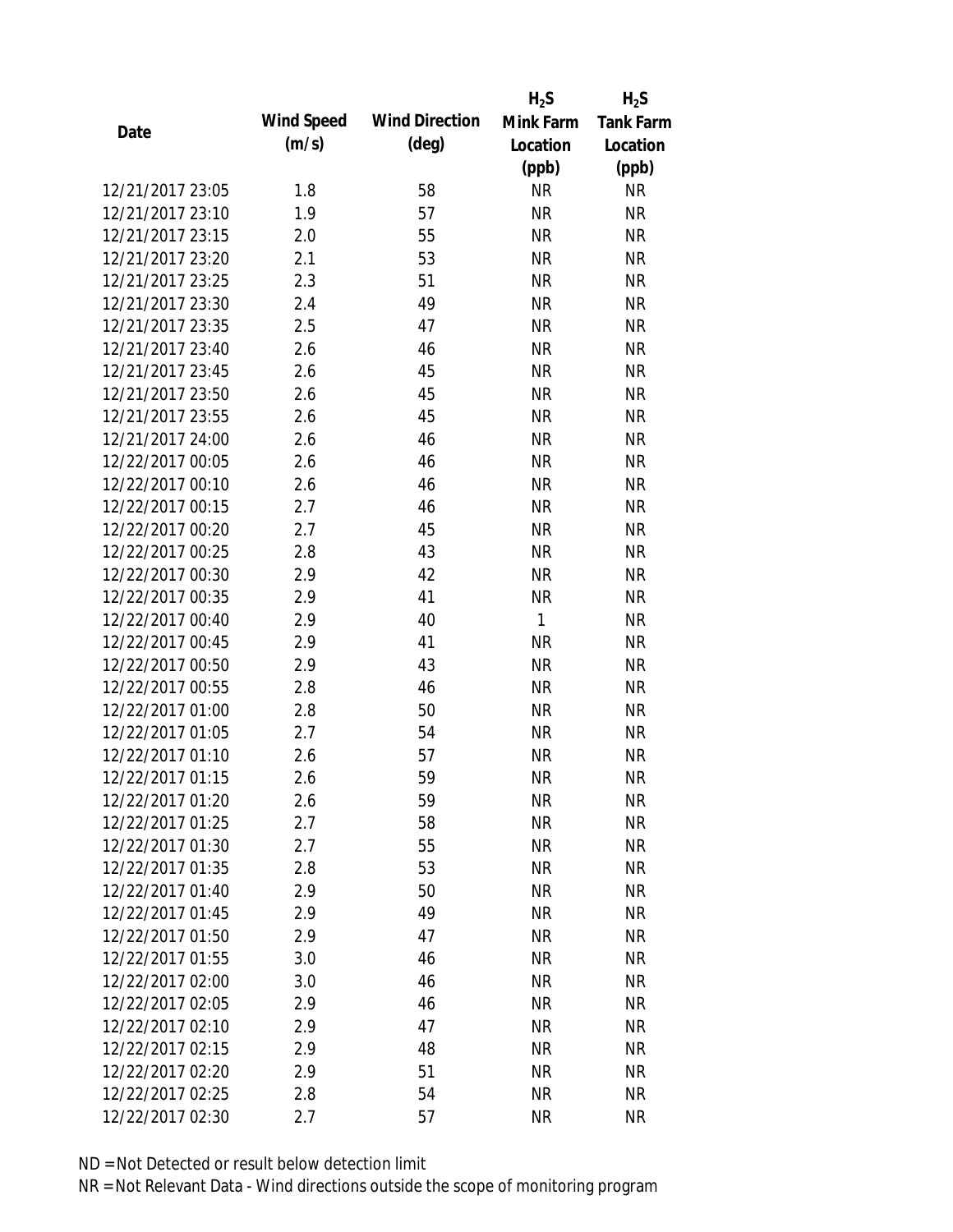|                  |            |                       | $H_2S$       | $H_2S$           |
|------------------|------------|-----------------------|--------------|------------------|
|                  | Wind Speed | <b>Wind Direction</b> | Mink Farm    | <b>Tank Farm</b> |
| Date             | (m/s)      | $(\text{deg})$        | Location     | Location         |
|                  |            |                       | (ppb)        | (ppb)            |
| 12/21/2017 23:05 | 1.8        | 58                    | <b>NR</b>    | <b>NR</b>        |
| 12/21/2017 23:10 | 1.9        | 57                    | <b>NR</b>    | <b>NR</b>        |
| 12/21/2017 23:15 | 2.0        | 55                    | <b>NR</b>    | <b>NR</b>        |
| 12/21/2017 23:20 | 2.1        | 53                    | <b>NR</b>    | <b>NR</b>        |
| 12/21/2017 23:25 | 2.3        | 51                    | <b>NR</b>    | <b>NR</b>        |
| 12/21/2017 23:30 | 2.4        | 49                    | <b>NR</b>    | <b>NR</b>        |
| 12/21/2017 23:35 | 2.5        | 47                    | <b>NR</b>    | <b>NR</b>        |
| 12/21/2017 23:40 | 2.6        | 46                    | <b>NR</b>    | <b>NR</b>        |
| 12/21/2017 23:45 | 2.6        | 45                    | <b>NR</b>    | <b>NR</b>        |
| 12/21/2017 23:50 | 2.6        | 45                    | <b>NR</b>    | <b>NR</b>        |
| 12/21/2017 23:55 | 2.6        | 45                    | <b>NR</b>    | <b>NR</b>        |
| 12/21/2017 24:00 | 2.6        | 46                    | <b>NR</b>    | <b>NR</b>        |
| 12/22/2017 00:05 | 2.6        | 46                    | <b>NR</b>    | <b>NR</b>        |
| 12/22/2017 00:10 | 2.6        | 46                    | <b>NR</b>    | <b>NR</b>        |
| 12/22/2017 00:15 | 2.7        | 46                    | <b>NR</b>    | <b>NR</b>        |
| 12/22/2017 00:20 | 2.7        | 45                    | <b>NR</b>    | <b>NR</b>        |
| 12/22/2017 00:25 | 2.8        | 43                    | <b>NR</b>    | <b>NR</b>        |
| 12/22/2017 00:30 | 2.9        | 42                    | <b>NR</b>    | <b>NR</b>        |
| 12/22/2017 00:35 | 2.9        | 41                    | <b>NR</b>    | <b>NR</b>        |
| 12/22/2017 00:40 | 2.9        | 40                    | $\mathbf{1}$ | <b>NR</b>        |
| 12/22/2017 00:45 | 2.9        | 41                    | <b>NR</b>    | <b>NR</b>        |
| 12/22/2017 00:50 | 2.9        | 43                    | <b>NR</b>    | <b>NR</b>        |
| 12/22/2017 00:55 | 2.8        | 46                    | <b>NR</b>    | <b>NR</b>        |
| 12/22/2017 01:00 | 2.8        | 50                    | <b>NR</b>    | <b>NR</b>        |
| 12/22/2017 01:05 | 2.7        | 54                    | <b>NR</b>    | <b>NR</b>        |
| 12/22/2017 01:10 | 2.6        | 57                    | <b>NR</b>    | <b>NR</b>        |
| 12/22/2017 01:15 | 2.6        | 59                    | <b>NR</b>    | <b>NR</b>        |
| 12/22/2017 01:20 | 2.6        | 59                    | <b>NR</b>    | <b>NR</b>        |
| 12/22/2017 01:25 | 2.7        | 58                    | <b>NR</b>    | <b>NR</b>        |
| 12/22/2017 01:30 | 2.7        | 55                    | NR           | <b>NR</b>        |
| 12/22/2017 01:35 | 2.8        | 53                    | <b>NR</b>    | <b>NR</b>        |
| 12/22/2017 01:40 | 2.9        | 50                    | <b>NR</b>    | <b>NR</b>        |
| 12/22/2017 01:45 | 2.9        | 49                    | <b>NR</b>    | <b>NR</b>        |
| 12/22/2017 01:50 | 2.9        | 47                    | <b>NR</b>    | <b>NR</b>        |
| 12/22/2017 01:55 | 3.0        | 46                    | <b>NR</b>    | <b>NR</b>        |
| 12/22/2017 02:00 | 3.0        | 46                    | <b>NR</b>    | <b>NR</b>        |
| 12/22/2017 02:05 | 2.9        | 46                    | <b>NR</b>    | <b>NR</b>        |
| 12/22/2017 02:10 | 2.9        | 47                    | NR           | <b>NR</b>        |
| 12/22/2017 02:15 | 2.9        | 48                    | <b>NR</b>    | <b>NR</b>        |
| 12/22/2017 02:20 | 2.9        | 51                    | <b>NR</b>    | NR               |
| 12/22/2017 02:25 | 2.8        | 54                    | <b>NR</b>    | <b>NR</b>        |
| 12/22/2017 02:30 | 2.7        | 57                    | <b>NR</b>    | <b>NR</b>        |
|                  |            |                       |              |                  |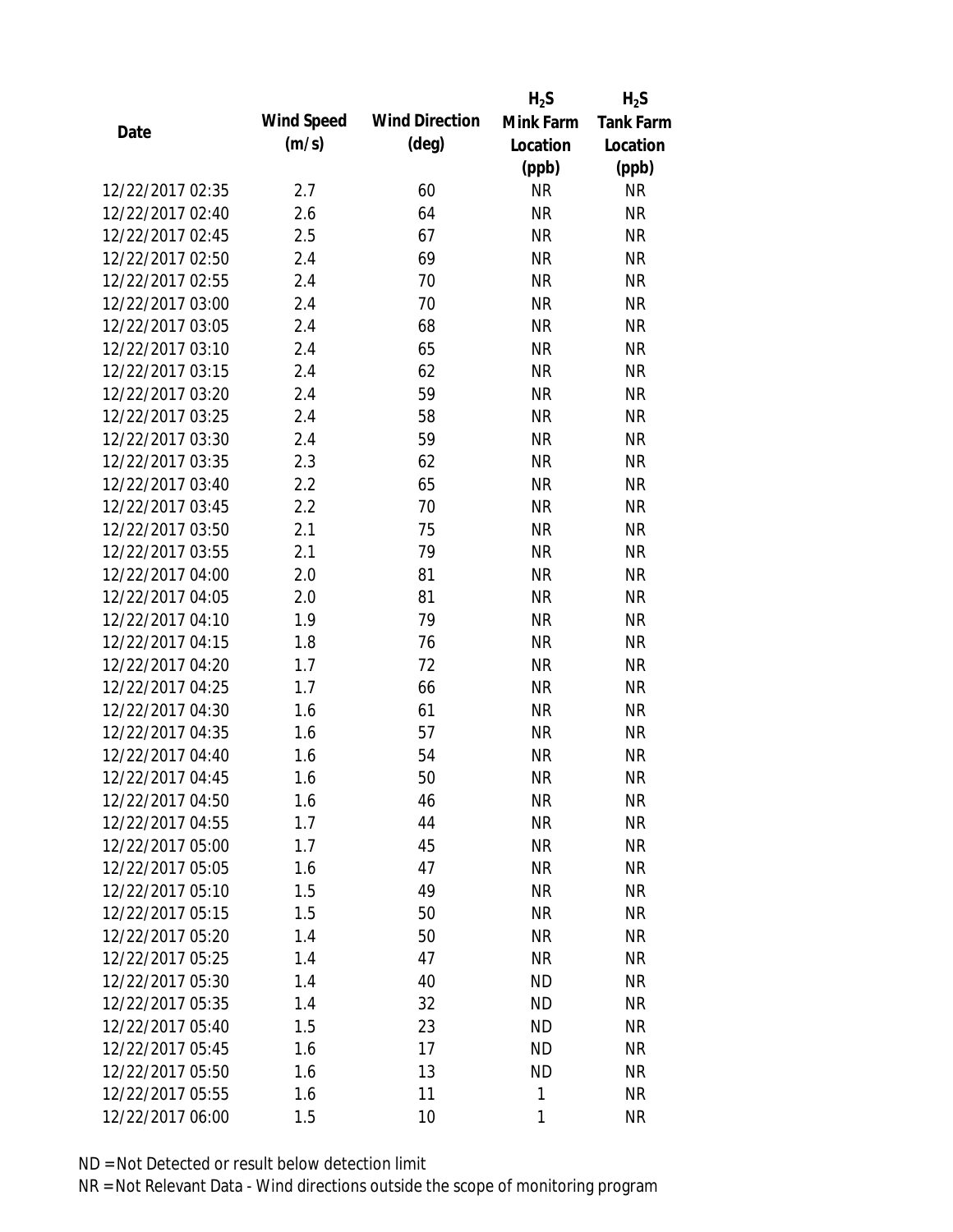|                  |            |                       | $H_2S$    | $H_2S$           |
|------------------|------------|-----------------------|-----------|------------------|
| Date             | Wind Speed | <b>Wind Direction</b> | Mink Farm | <b>Tank Farm</b> |
|                  | (m/s)      | $(\text{deg})$        | Location  | Location         |
|                  |            |                       | (ppb)     | (ppb)            |
| 12/22/2017 02:35 | 2.7        | 60                    | <b>NR</b> | <b>NR</b>        |
| 12/22/2017 02:40 | 2.6        | 64                    | <b>NR</b> | <b>NR</b>        |
| 12/22/2017 02:45 | 2.5        | 67                    | <b>NR</b> | <b>NR</b>        |
| 12/22/2017 02:50 | 2.4        | 69                    | <b>NR</b> | <b>NR</b>        |
| 12/22/2017 02:55 | 2.4        | 70                    | <b>NR</b> | <b>NR</b>        |
| 12/22/2017 03:00 | 2.4        | 70                    | <b>NR</b> | <b>NR</b>        |
| 12/22/2017 03:05 | 2.4        | 68                    | <b>NR</b> | <b>NR</b>        |
| 12/22/2017 03:10 | 2.4        | 65                    | <b>NR</b> | <b>NR</b>        |
| 12/22/2017 03:15 | 2.4        | 62                    | <b>NR</b> | <b>NR</b>        |
| 12/22/2017 03:20 | 2.4        | 59                    | <b>NR</b> | <b>NR</b>        |
| 12/22/2017 03:25 | 2.4        | 58                    | <b>NR</b> | <b>NR</b>        |
| 12/22/2017 03:30 | 2.4        | 59                    | <b>NR</b> | <b>NR</b>        |
| 12/22/2017 03:35 | 2.3        | 62                    | <b>NR</b> | <b>NR</b>        |
| 12/22/2017 03:40 | 2.2        | 65                    | <b>NR</b> | <b>NR</b>        |
| 12/22/2017 03:45 | 2.2        | 70                    | <b>NR</b> | <b>NR</b>        |
| 12/22/2017 03:50 | 2.1        | 75                    | <b>NR</b> | <b>NR</b>        |
| 12/22/2017 03:55 | 2.1        | 79                    | <b>NR</b> | <b>NR</b>        |
| 12/22/2017 04:00 | 2.0        | 81                    | <b>NR</b> | <b>NR</b>        |
| 12/22/2017 04:05 | 2.0        | 81                    | <b>NR</b> | <b>NR</b>        |
| 12/22/2017 04:10 | 1.9        | 79                    | <b>NR</b> | <b>NR</b>        |
| 12/22/2017 04:15 | 1.8        | 76                    | <b>NR</b> | <b>NR</b>        |
| 12/22/2017 04:20 | 1.7        | 72                    | <b>NR</b> | <b>NR</b>        |
| 12/22/2017 04:25 | 1.7        | 66                    | <b>NR</b> | <b>NR</b>        |
| 12/22/2017 04:30 | 1.6        | 61                    | <b>NR</b> | <b>NR</b>        |
| 12/22/2017 04:35 | 1.6        | 57                    | <b>NR</b> | <b>NR</b>        |
| 12/22/2017 04:40 | 1.6        | 54                    | <b>NR</b> | <b>NR</b>        |
| 12/22/2017 04:45 | 1.6        | 50                    | <b>NR</b> | <b>NR</b>        |
| 12/22/2017 04:50 | 1.6        | 46                    | NR        | <b>NR</b>        |
| 12/22/2017 04:55 | 1.7        | 44                    | <b>NR</b> | <b>NR</b>        |
| 12/22/2017 05:00 | 1.7        | 45                    | <b>NR</b> | <b>NR</b>        |
| 12/22/2017 05:05 | 1.6        | 47                    | <b>NR</b> | <b>NR</b>        |
| 12/22/2017 05:10 | 1.5        | 49                    | <b>NR</b> | <b>NR</b>        |
| 12/22/2017 05:15 | 1.5        | 50                    | <b>NR</b> | <b>NR</b>        |
| 12/22/2017 05:20 | 1.4        | 50                    | <b>NR</b> | <b>NR</b>        |
| 12/22/2017 05:25 | 1.4        | 47                    | <b>NR</b> | <b>NR</b>        |
| 12/22/2017 05:30 | 1.4        | 40                    | <b>ND</b> | <b>NR</b>        |
| 12/22/2017 05:35 | 1.4        | 32                    | <b>ND</b> | <b>NR</b>        |
| 12/22/2017 05:40 | 1.5        | 23                    | <b>ND</b> | <b>NR</b>        |
| 12/22/2017 05:45 | 1.6        | 17                    | <b>ND</b> | <b>NR</b>        |
| 12/22/2017 05:50 | 1.6        | 13                    | <b>ND</b> | <b>NR</b>        |
| 12/22/2017 05:55 | 1.6        | 11                    | 1         | <b>NR</b>        |
| 12/22/2017 06:00 | 1.5        | 10                    | 1         | <b>NR</b>        |
|                  |            |                       |           |                  |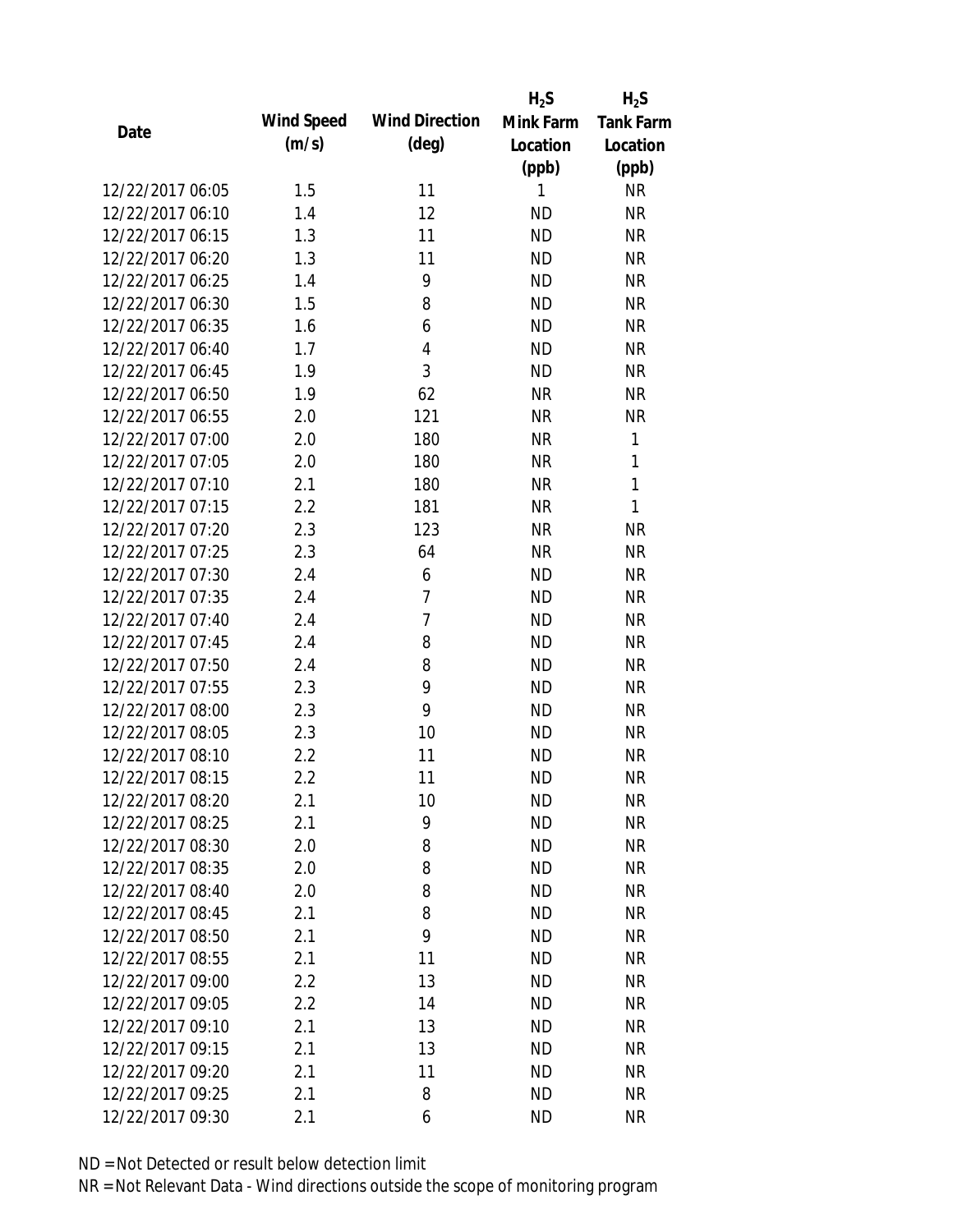|                  |            |                       | $H_2S$    | $H_2S$           |
|------------------|------------|-----------------------|-----------|------------------|
|                  | Wind Speed | <b>Wind Direction</b> | Mink Farm | <b>Tank Farm</b> |
| Date             | (m/s)      | $(\text{deg})$        | Location  | Location         |
|                  |            |                       | (ppb)     | (ppb)            |
| 12/22/2017 06:05 | 1.5        | 11                    | 1         | <b>NR</b>        |
| 12/22/2017 06:10 | 1.4        | 12                    | <b>ND</b> | <b>NR</b>        |
| 12/22/2017 06:15 | 1.3        | 11                    | <b>ND</b> | <b>NR</b>        |
| 12/22/2017 06:20 | 1.3        | 11                    | <b>ND</b> | <b>NR</b>        |
| 12/22/2017 06:25 | 1.4        | 9                     | <b>ND</b> | <b>NR</b>        |
| 12/22/2017 06:30 | 1.5        | 8                     | <b>ND</b> | <b>NR</b>        |
| 12/22/2017 06:35 | 1.6        | 6                     | <b>ND</b> | <b>NR</b>        |
| 12/22/2017 06:40 | 1.7        | 4                     | <b>ND</b> | <b>NR</b>        |
| 12/22/2017 06:45 | 1.9        | 3                     | <b>ND</b> | <b>NR</b>        |
| 12/22/2017 06:50 | 1.9        | 62                    | <b>NR</b> | <b>NR</b>        |
| 12/22/2017 06:55 | 2.0        | 121                   | <b>NR</b> | <b>NR</b>        |
| 12/22/2017 07:00 | 2.0        | 180                   | <b>NR</b> | 1                |
| 12/22/2017 07:05 | 2.0        | 180                   | <b>NR</b> | 1                |
| 12/22/2017 07:10 | 2.1        | 180                   | <b>NR</b> | $\mathbf{1}$     |
| 12/22/2017 07:15 | 2.2        | 181                   | <b>NR</b> | $\mathbf{1}$     |
| 12/22/2017 07:20 | 2.3        | 123                   | <b>NR</b> | <b>NR</b>        |
| 12/22/2017 07:25 | 2.3        | 64                    | <b>NR</b> | <b>NR</b>        |
| 12/22/2017 07:30 | 2.4        | 6                     | <b>ND</b> | <b>NR</b>        |
| 12/22/2017 07:35 | 2.4        | 7                     | <b>ND</b> | <b>NR</b>        |
| 12/22/2017 07:40 | 2.4        | 7                     | <b>ND</b> | <b>NR</b>        |
| 12/22/2017 07:45 | 2.4        | 8                     | <b>ND</b> | <b>NR</b>        |
| 12/22/2017 07:50 | 2.4        | 8                     | <b>ND</b> | <b>NR</b>        |
| 12/22/2017 07:55 | 2.3        | 9                     | <b>ND</b> | <b>NR</b>        |
| 12/22/2017 08:00 | 2.3        | 9                     | <b>ND</b> | <b>NR</b>        |
| 12/22/2017 08:05 | 2.3        | 10                    | <b>ND</b> | <b>NR</b>        |
| 12/22/2017 08:10 | 2.2        | 11                    | <b>ND</b> | <b>NR</b>        |
| 12/22/2017 08:15 | 2.2        | 11                    | <b>ND</b> | <b>NR</b>        |
| 12/22/2017 08:20 | 2.1        | 10                    | <b>ND</b> | <b>NR</b>        |
| 12/22/2017 08:25 | 2.1        | 9                     | <b>ND</b> | <b>NR</b>        |
| 12/22/2017 08:30 | 2.0        | 8                     | <b>ND</b> | <b>NR</b>        |
| 12/22/2017 08:35 | 2.0        | 8                     | <b>ND</b> | <b>NR</b>        |
| 12/22/2017 08:40 | 2.0        | 8                     | <b>ND</b> | <b>NR</b>        |
| 12/22/2017 08:45 | 2.1        | 8                     | <b>ND</b> | <b>NR</b>        |
| 12/22/2017 08:50 | 2.1        | 9                     | <b>ND</b> | <b>NR</b>        |
| 12/22/2017 08:55 | 2.1        | 11                    | <b>ND</b> | <b>NR</b>        |
| 12/22/2017 09:00 | 2.2        | 13                    | <b>ND</b> | <b>NR</b>        |
| 12/22/2017 09:05 | 2.2        | 14                    | <b>ND</b> | <b>NR</b>        |
| 12/22/2017 09:10 | 2.1        | 13                    | <b>ND</b> | <b>NR</b>        |
| 12/22/2017 09:15 | 2.1        | 13                    | <b>ND</b> | <b>NR</b>        |
| 12/22/2017 09:20 | 2.1        | 11                    | <b>ND</b> | NR               |
| 12/22/2017 09:25 | 2.1        | 8                     | <b>ND</b> | <b>NR</b>        |
| 12/22/2017 09:30 | 2.1        | 6                     | <b>ND</b> | <b>NR</b>        |
|                  |            |                       |           |                  |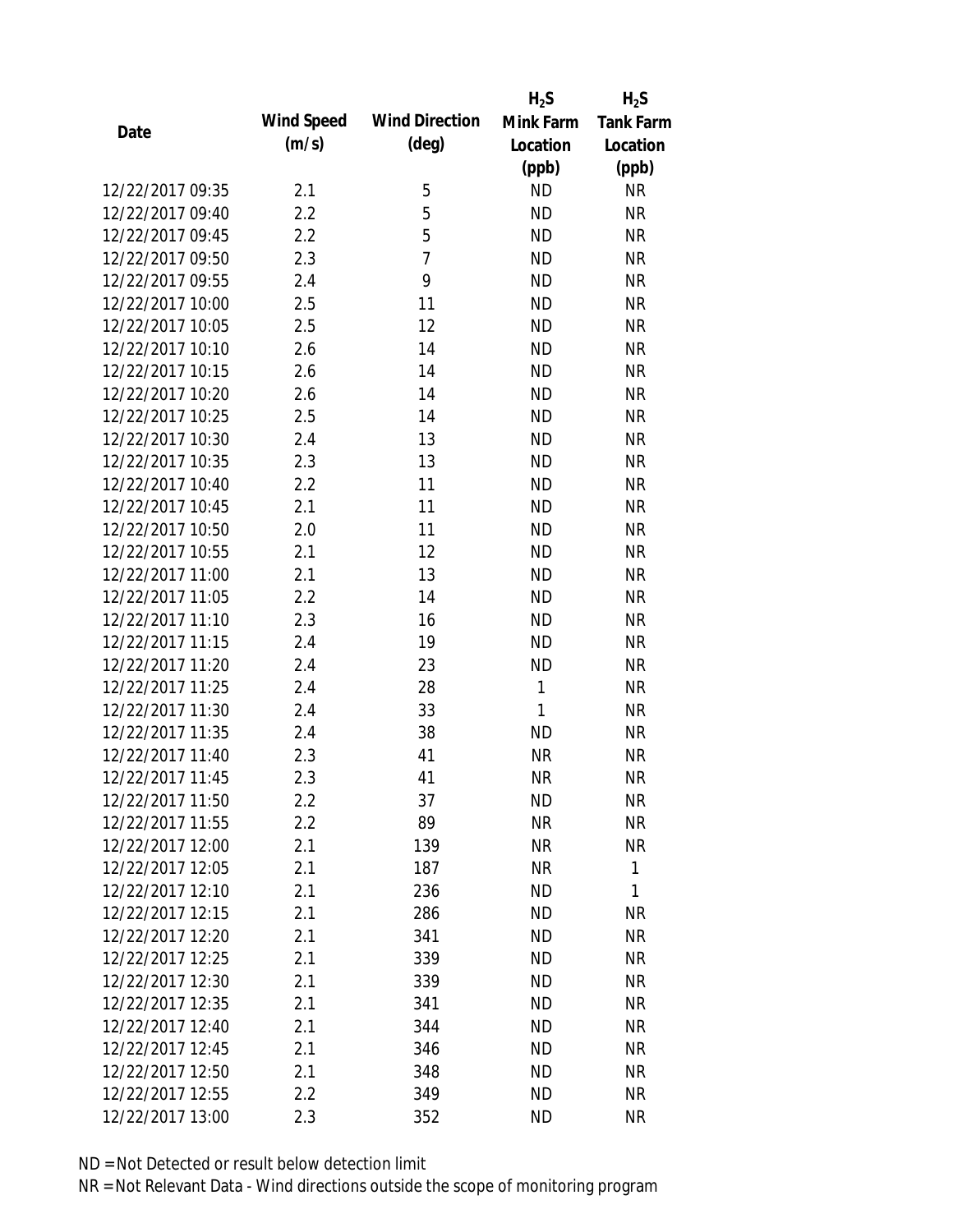|                  |            |                       | $H_2S$       | $H_2S$           |
|------------------|------------|-----------------------|--------------|------------------|
|                  | Wind Speed | <b>Wind Direction</b> | Mink Farm    | <b>Tank Farm</b> |
| Date             | (m/s)      | $(\text{deg})$        | Location     | Location         |
|                  |            |                       | (ppb)        | (ppb)            |
| 12/22/2017 09:35 | 2.1        | 5                     | <b>ND</b>    | <b>NR</b>        |
| 12/22/2017 09:40 | 2.2        | 5                     | <b>ND</b>    | <b>NR</b>        |
| 12/22/2017 09:45 | 2.2        | 5                     | <b>ND</b>    | <b>NR</b>        |
| 12/22/2017 09:50 | 2.3        | $\overline{7}$        | <b>ND</b>    | <b>NR</b>        |
| 12/22/2017 09:55 | 2.4        | 9                     | <b>ND</b>    | <b>NR</b>        |
| 12/22/2017 10:00 | 2.5        | 11                    | <b>ND</b>    | <b>NR</b>        |
| 12/22/2017 10:05 | 2.5        | 12                    | <b>ND</b>    | <b>NR</b>        |
| 12/22/2017 10:10 | 2.6        | 14                    | <b>ND</b>    | <b>NR</b>        |
| 12/22/2017 10:15 | 2.6        | 14                    | <b>ND</b>    | <b>NR</b>        |
| 12/22/2017 10:20 | 2.6        | 14                    | <b>ND</b>    | <b>NR</b>        |
| 12/22/2017 10:25 | 2.5        | 14                    | <b>ND</b>    | <b>NR</b>        |
| 12/22/2017 10:30 | 2.4        | 13                    | <b>ND</b>    | <b>NR</b>        |
| 12/22/2017 10:35 | 2.3        | 13                    | <b>ND</b>    | <b>NR</b>        |
| 12/22/2017 10:40 | 2.2        | 11                    | <b>ND</b>    | <b>NR</b>        |
| 12/22/2017 10:45 | 2.1        | 11                    | <b>ND</b>    | <b>NR</b>        |
| 12/22/2017 10:50 | 2.0        | 11                    | <b>ND</b>    | <b>NR</b>        |
| 12/22/2017 10:55 | 2.1        | 12                    | <b>ND</b>    | <b>NR</b>        |
| 12/22/2017 11:00 | 2.1        | 13                    | <b>ND</b>    | <b>NR</b>        |
| 12/22/2017 11:05 | 2.2        | 14                    | <b>ND</b>    | <b>NR</b>        |
| 12/22/2017 11:10 | 2.3        | 16                    | <b>ND</b>    | <b>NR</b>        |
| 12/22/2017 11:15 | 2.4        | 19                    | <b>ND</b>    | <b>NR</b>        |
| 12/22/2017 11:20 | 2.4        | 23                    | <b>ND</b>    | <b>NR</b>        |
| 12/22/2017 11:25 | 2.4        | 28                    | $\mathbf{1}$ | <b>NR</b>        |
| 12/22/2017 11:30 | 2.4        | 33                    | $\mathbf{1}$ | <b>NR</b>        |
| 12/22/2017 11:35 | 2.4        | 38                    | <b>ND</b>    | <b>NR</b>        |
| 12/22/2017 11:40 | 2.3        | 41                    | <b>NR</b>    | <b>NR</b>        |
| 12/22/2017 11:45 | 2.3        | 41                    | <b>NR</b>    | <b>NR</b>        |
| 12/22/2017 11:50 | $2.2\,$    | 37                    | ND           | <b>NR</b>        |
| 12/22/2017 11:55 | 2.2        | 89                    | <b>NR</b>    | <b>NR</b>        |
| 12/22/2017 12:00 | 2.1        | 139                   | NR           | <b>NR</b>        |
| 12/22/2017 12:05 | 2.1        | 187                   | <b>NR</b>    | 1                |
| 12/22/2017 12:10 | 2.1        | 236                   | <b>ND</b>    | 1                |
| 12/22/2017 12:15 | 2.1        | 286                   | <b>ND</b>    | NR               |
| 12/22/2017 12:20 | 2.1        | 341                   | <b>ND</b>    | <b>NR</b>        |
| 12/22/2017 12:25 | 2.1        | 339                   | <b>ND</b>    | <b>NR</b>        |
| 12/22/2017 12:30 | 2.1        | 339                   | <b>ND</b>    | <b>NR</b>        |
| 12/22/2017 12:35 | 2.1        | 341                   | <b>ND</b>    | <b>NR</b>        |
| 12/22/2017 12:40 | 2.1        | 344                   | <b>ND</b>    | <b>NR</b>        |
| 12/22/2017 12:45 | 2.1        | 346                   | <b>ND</b>    | <b>NR</b>        |
| 12/22/2017 12:50 | 2.1        | 348                   | <b>ND</b>    | NR               |
| 12/22/2017 12:55 | 2.2        | 349                   | <b>ND</b>    | <b>NR</b>        |
| 12/22/2017 13:00 | 2.3        | 352                   | <b>ND</b>    | <b>NR</b>        |
|                  |            |                       |              |                  |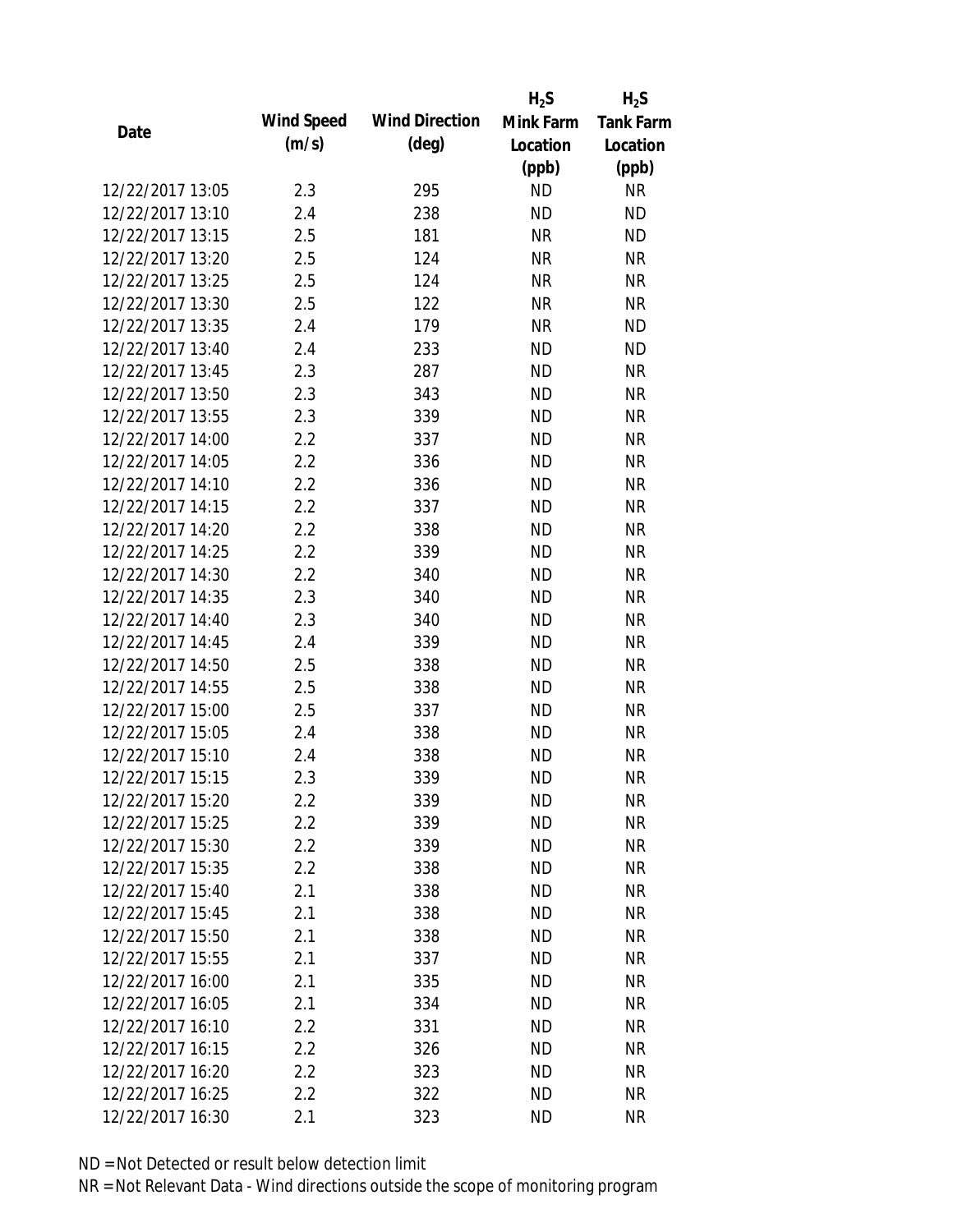|                  |            |                       | $H_2S$    | $H_2S$           |
|------------------|------------|-----------------------|-----------|------------------|
| Date             | Wind Speed | <b>Wind Direction</b> | Mink Farm | <b>Tank Farm</b> |
|                  | (m/s)      | $(\text{deg})$        | Location  | Location         |
|                  |            |                       | (ppb)     | (ppb)            |
| 12/22/2017 13:05 | 2.3        | 295                   | <b>ND</b> | <b>NR</b>        |
| 12/22/2017 13:10 | 2.4        | 238                   | <b>ND</b> | <b>ND</b>        |
| 12/22/2017 13:15 | 2.5        | 181                   | <b>NR</b> | <b>ND</b>        |
| 12/22/2017 13:20 | 2.5        | 124                   | <b>NR</b> | <b>NR</b>        |
| 12/22/2017 13:25 | 2.5        | 124                   | <b>NR</b> | <b>NR</b>        |
| 12/22/2017 13:30 | 2.5        | 122                   | <b>NR</b> | <b>NR</b>        |
| 12/22/2017 13:35 | 2.4        | 179                   | <b>NR</b> | <b>ND</b>        |
| 12/22/2017 13:40 | 2.4        | 233                   | <b>ND</b> | <b>ND</b>        |
| 12/22/2017 13:45 | 2.3        | 287                   | <b>ND</b> | <b>NR</b>        |
| 12/22/2017 13:50 | 2.3        | 343                   | <b>ND</b> | <b>NR</b>        |
| 12/22/2017 13:55 | 2.3        | 339                   | <b>ND</b> | <b>NR</b>        |
| 12/22/2017 14:00 | 2.2        | 337                   | <b>ND</b> | <b>NR</b>        |
| 12/22/2017 14:05 | 2.2        | 336                   | <b>ND</b> | <b>NR</b>        |
| 12/22/2017 14:10 | 2.2        | 336                   | <b>ND</b> | <b>NR</b>        |
| 12/22/2017 14:15 | 2.2        | 337                   | <b>ND</b> | <b>NR</b>        |
| 12/22/2017 14:20 | 2.2        | 338                   | <b>ND</b> | <b>NR</b>        |
| 12/22/2017 14:25 | 2.2        | 339                   | <b>ND</b> | <b>NR</b>        |
| 12/22/2017 14:30 | 2.2        | 340                   | <b>ND</b> | <b>NR</b>        |
| 12/22/2017 14:35 | 2.3        | 340                   | <b>ND</b> | <b>NR</b>        |
| 12/22/2017 14:40 | 2.3        | 340                   | <b>ND</b> | <b>NR</b>        |
| 12/22/2017 14:45 | 2.4        | 339                   | <b>ND</b> | <b>NR</b>        |
| 12/22/2017 14:50 | 2.5        | 338                   | <b>ND</b> | <b>NR</b>        |
| 12/22/2017 14:55 | 2.5        | 338                   | <b>ND</b> | <b>NR</b>        |
| 12/22/2017 15:00 | 2.5        | 337                   | <b>ND</b> | <b>NR</b>        |
| 12/22/2017 15:05 | 2.4        | 338                   | <b>ND</b> | <b>NR</b>        |
| 12/22/2017 15:10 | 2.4        | 338                   | <b>ND</b> | <b>NR</b>        |
| 12/22/2017 15:15 | 2.3        | 339                   | <b>ND</b> | <b>NR</b>        |
| 12/22/2017 15:20 | $2.2\,$    | 339                   | <b>ND</b> | <b>NR</b>        |
| 12/22/2017 15:25 | 2.2        | 339                   | <b>ND</b> | <b>NR</b>        |
| 12/22/2017 15:30 | 2.2        | 339                   | <b>ND</b> | <b>NR</b>        |
| 12/22/2017 15:35 | 2.2        | 338                   | <b>ND</b> | <b>NR</b>        |
| 12/22/2017 15:40 | 2.1        | 338                   | <b>ND</b> | <b>NR</b>        |
| 12/22/2017 15:45 | 2.1        | 338                   | <b>ND</b> | <b>NR</b>        |
| 12/22/2017 15:50 | 2.1        | 338                   | <b>ND</b> | <b>NR</b>        |
| 12/22/2017 15:55 | 2.1        | 337                   | <b>ND</b> | <b>NR</b>        |
| 12/22/2017 16:00 | 2.1        | 335                   | <b>ND</b> | <b>NR</b>        |
| 12/22/2017 16:05 |            |                       | <b>ND</b> | <b>NR</b>        |
| 12/22/2017 16:10 | 2.1<br>2.2 | 334<br>331            | <b>ND</b> | <b>NR</b>        |
|                  |            |                       |           |                  |
| 12/22/2017 16:15 | 2.2        | 326                   | <b>ND</b> | <b>NR</b>        |
| 12/22/2017 16:20 | 2.2        | 323                   | <b>ND</b> | <b>NR</b>        |
| 12/22/2017 16:25 | 2.2        | 322                   | <b>ND</b> | <b>NR</b>        |
| 12/22/2017 16:30 | 2.1        | 323                   | <b>ND</b> | <b>NR</b>        |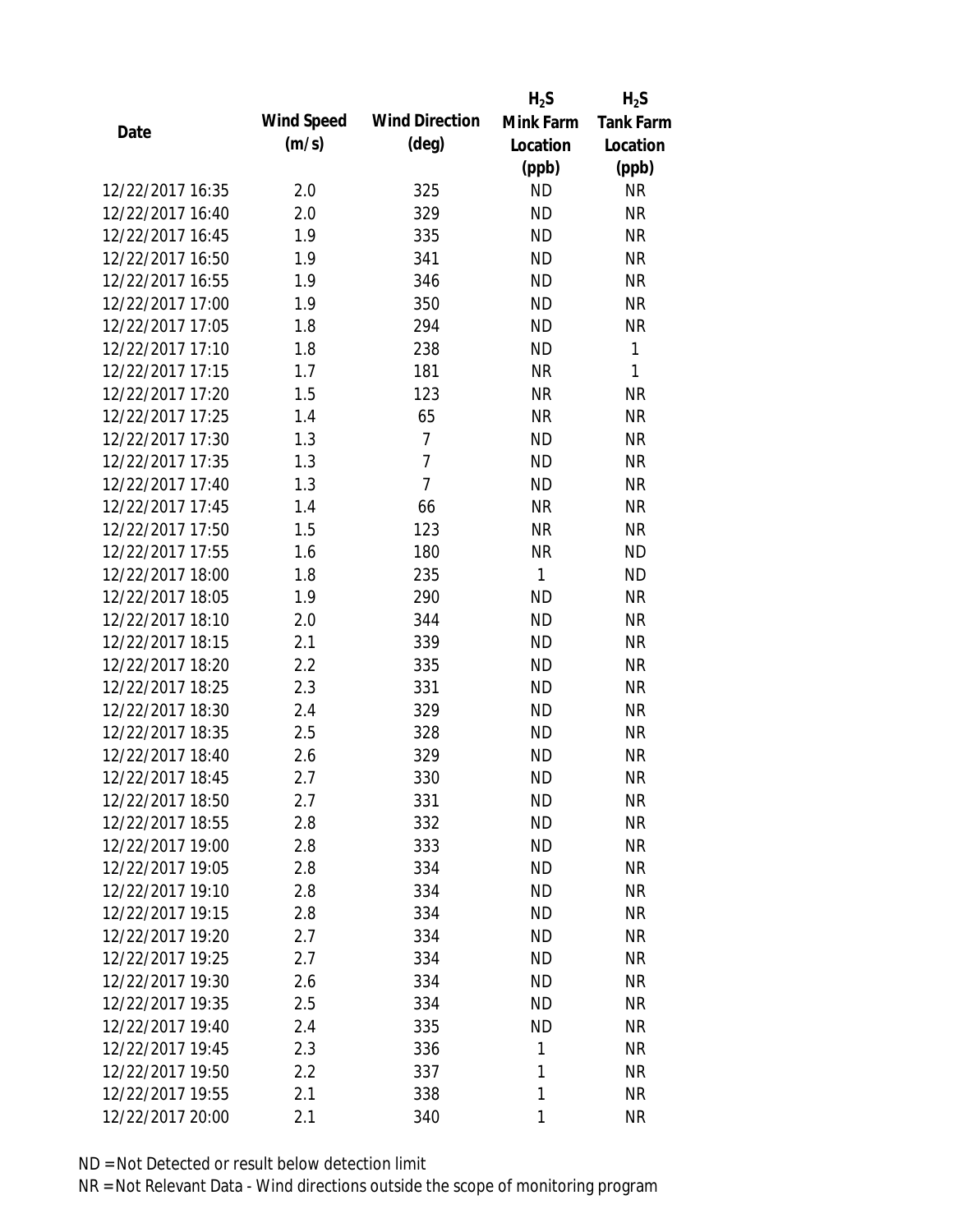|                  |            |                       | $H_2S$       | $H_2S$           |
|------------------|------------|-----------------------|--------------|------------------|
| Date             | Wind Speed | <b>Wind Direction</b> | Mink Farm    | <b>Tank Farm</b> |
|                  | (m/s)      | $(\text{deg})$        | Location     | Location         |
|                  |            |                       | (ppb)        | (ppb)            |
| 12/22/2017 16:35 | 2.0        | 325                   | <b>ND</b>    | <b>NR</b>        |
| 12/22/2017 16:40 | 2.0        | 329                   | <b>ND</b>    | <b>NR</b>        |
| 12/22/2017 16:45 | 1.9        | 335                   | <b>ND</b>    | <b>NR</b>        |
| 12/22/2017 16:50 | 1.9        | 341                   | <b>ND</b>    | <b>NR</b>        |
| 12/22/2017 16:55 | 1.9        | 346                   | <b>ND</b>    | <b>NR</b>        |
| 12/22/2017 17:00 | 1.9        | 350                   | <b>ND</b>    | <b>NR</b>        |
| 12/22/2017 17:05 | 1.8        | 294                   | <b>ND</b>    | <b>NR</b>        |
| 12/22/2017 17:10 | 1.8        | 238                   | <b>ND</b>    | 1                |
| 12/22/2017 17:15 | 1.7        | 181                   | <b>NR</b>    | $\mathbf{1}$     |
| 12/22/2017 17:20 | 1.5        | 123                   | <b>NR</b>    | <b>NR</b>        |
| 12/22/2017 17:25 | 1.4        | 65                    | <b>NR</b>    | <b>NR</b>        |
| 12/22/2017 17:30 | 1.3        | 7                     | <b>ND</b>    | <b>NR</b>        |
| 12/22/2017 17:35 | 1.3        | $\overline{7}$        | <b>ND</b>    | <b>NR</b>        |
| 12/22/2017 17:40 | 1.3        | $\overline{7}$        | <b>ND</b>    | <b>NR</b>        |
| 12/22/2017 17:45 | 1.4        | 66                    | <b>NR</b>    | <b>NR</b>        |
| 12/22/2017 17:50 | 1.5        | 123                   | <b>NR</b>    | <b>NR</b>        |
| 12/22/2017 17:55 | 1.6        | 180                   | <b>NR</b>    | <b>ND</b>        |
| 12/22/2017 18:00 | 1.8        | 235                   | $\mathbf{1}$ | <b>ND</b>        |
| 12/22/2017 18:05 | 1.9        | 290                   | <b>ND</b>    | <b>NR</b>        |
| 12/22/2017 18:10 | 2.0        | 344                   | <b>ND</b>    | <b>NR</b>        |
| 12/22/2017 18:15 | 2.1        | 339                   | <b>ND</b>    | <b>NR</b>        |
| 12/22/2017 18:20 | 2.2        | 335                   | <b>ND</b>    | <b>NR</b>        |
| 12/22/2017 18:25 | 2.3        | 331                   | <b>ND</b>    | <b>NR</b>        |
| 12/22/2017 18:30 | 2.4        | 329                   | <b>ND</b>    | <b>NR</b>        |
| 12/22/2017 18:35 | 2.5        | 328                   | <b>ND</b>    | <b>NR</b>        |
| 12/22/2017 18:40 | 2.6        | 329                   | <b>ND</b>    | <b>NR</b>        |
| 12/22/2017 18:45 | 2.7        | 330                   | <b>ND</b>    | <b>NR</b>        |
| 12/22/2017 18:50 | 2.7        | 331                   | <b>ND</b>    | <b>NR</b>        |
| 12/22/2017 18:55 | 2.8        | 332                   | <b>ND</b>    | <b>NR</b>        |
| 12/22/2017 19:00 | 2.8        | 333                   | <b>ND</b>    | <b>NR</b>        |
| 12/22/2017 19:05 | 2.8        | 334                   | <b>ND</b>    | <b>NR</b>        |
| 12/22/2017 19:10 | 2.8        | 334                   | <b>ND</b>    | <b>NR</b>        |
| 12/22/2017 19:15 | 2.8        | 334                   | <b>ND</b>    | <b>NR</b>        |
| 12/22/2017 19:20 | 2.7        | 334                   | <b>ND</b>    | <b>NR</b>        |
| 12/22/2017 19:25 | 2.7        | 334                   | <b>ND</b>    | <b>NR</b>        |
| 12/22/2017 19:30 | 2.6        | 334                   | <b>ND</b>    | <b>NR</b>        |
| 12/22/2017 19:35 | 2.5        | 334                   | ND.          | <b>NR</b>        |
| 12/22/2017 19:40 | 2.4        | 335                   | <b>ND</b>    | <b>NR</b>        |
| 12/22/2017 19:45 | 2.3        | 336                   | 1            | <b>NR</b>        |
| 12/22/2017 19:50 | 2.2        | 337                   | 1            | <b>NR</b>        |
| 12/22/2017 19:55 | 2.1        | 338                   | 1            | <b>NR</b>        |
| 12/22/2017 20:00 | 2.1        | 340                   | 1            | <b>NR</b>        |
|                  |            |                       |              |                  |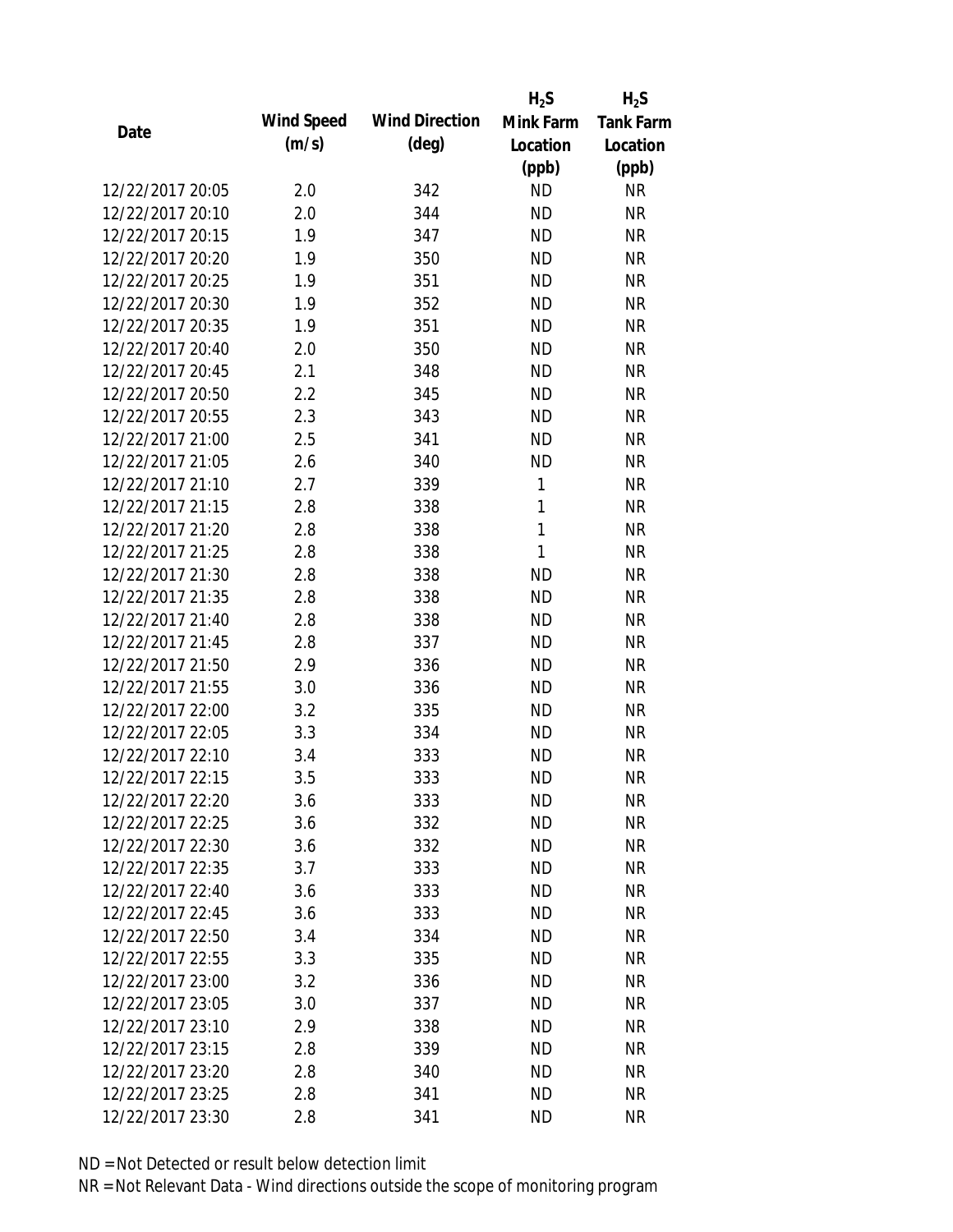|                  |            |                       | $H_2S$    | $H_2S$           |
|------------------|------------|-----------------------|-----------|------------------|
| Date             | Wind Speed | <b>Wind Direction</b> | Mink Farm | <b>Tank Farm</b> |
|                  | (m/s)      | $(\text{deg})$        | Location  | Location         |
|                  |            |                       | (ppb)     | (ppb)            |
| 12/22/2017 20:05 | 2.0        | 342                   | <b>ND</b> | <b>NR</b>        |
| 12/22/2017 20:10 | 2.0        | 344                   | <b>ND</b> | <b>NR</b>        |
| 12/22/2017 20:15 | 1.9        | 347                   | <b>ND</b> | <b>NR</b>        |
| 12/22/2017 20:20 | 1.9        | 350                   | <b>ND</b> | <b>NR</b>        |
| 12/22/2017 20:25 | 1.9        | 351                   | <b>ND</b> | <b>NR</b>        |
| 12/22/2017 20:30 | 1.9        | 352                   | <b>ND</b> | <b>NR</b>        |
| 12/22/2017 20:35 | 1.9        | 351                   | <b>ND</b> | <b>NR</b>        |
| 12/22/2017 20:40 | 2.0        | 350                   | <b>ND</b> | <b>NR</b>        |
| 12/22/2017 20:45 | 2.1        | 348                   | <b>ND</b> | <b>NR</b>        |
| 12/22/2017 20:50 | 2.2        | 345                   | <b>ND</b> | <b>NR</b>        |
| 12/22/2017 20:55 | 2.3        | 343                   | <b>ND</b> | <b>NR</b>        |
| 12/22/2017 21:00 | 2.5        | 341                   | <b>ND</b> | <b>NR</b>        |
| 12/22/2017 21:05 | 2.6        | 340                   | <b>ND</b> | <b>NR</b>        |
| 12/22/2017 21:10 | 2.7        | 339                   | 1         | <b>NR</b>        |
| 12/22/2017 21:15 | 2.8        | 338                   | 1         | <b>NR</b>        |
| 12/22/2017 21:20 | 2.8        | 338                   | 1         | <b>NR</b>        |
| 12/22/2017 21:25 | 2.8        | 338                   | 1         | <b>NR</b>        |
| 12/22/2017 21:30 | 2.8        | 338                   | <b>ND</b> | <b>NR</b>        |
| 12/22/2017 21:35 | 2.8        | 338                   | <b>ND</b> | <b>NR</b>        |
| 12/22/2017 21:40 | 2.8        | 338                   | <b>ND</b> | <b>NR</b>        |
| 12/22/2017 21:45 | 2.8        | 337                   | <b>ND</b> | <b>NR</b>        |
| 12/22/2017 21:50 | 2.9        | 336                   | <b>ND</b> | <b>NR</b>        |
| 12/22/2017 21:55 | 3.0        | 336                   | <b>ND</b> | <b>NR</b>        |
| 12/22/2017 22:00 | 3.2        | 335                   | <b>ND</b> | <b>NR</b>        |
| 12/22/2017 22:05 | 3.3        | 334                   | <b>ND</b> | <b>NR</b>        |
| 12/22/2017 22:10 | 3.4        | 333                   | <b>ND</b> | <b>NR</b>        |
| 12/22/2017 22:15 | 3.5        | 333                   | <b>ND</b> | <b>NR</b>        |
| 12/22/2017 22:20 | 3.6        | 333                   | ND        | <b>NR</b>        |
| 12/22/2017 22:25 | 3.6        | 332                   | <b>ND</b> | <b>NR</b>        |
| 12/22/2017 22:30 | 3.6        | 332                   | <b>ND</b> | <b>NR</b>        |
| 12/22/2017 22:35 | 3.7        | 333                   | <b>ND</b> | <b>NR</b>        |
| 12/22/2017 22:40 | 3.6        | 333                   | <b>ND</b> | <b>NR</b>        |
| 12/22/2017 22:45 | 3.6        | 333                   | <b>ND</b> | <b>NR</b>        |
| 12/22/2017 22:50 | 3.4        | 334                   | <b>ND</b> | <b>NR</b>        |
| 12/22/2017 22:55 | 3.3        | 335                   | <b>ND</b> | <b>NR</b>        |
| 12/22/2017 23:00 | 3.2        | 336                   | <b>ND</b> | <b>NR</b>        |
| 12/22/2017 23:05 | 3.0        | 337                   | ND.       | <b>NR</b>        |
| 12/22/2017 23:10 | 2.9        | 338                   | <b>ND</b> | <b>NR</b>        |
| 12/22/2017 23:15 | 2.8        | 339                   | <b>ND</b> | <b>NR</b>        |
| 12/22/2017 23:20 | 2.8        | 340                   | <b>ND</b> | <b>NR</b>        |
| 12/22/2017 23:25 | 2.8        | 341                   | <b>ND</b> | <b>NR</b>        |
| 12/22/2017 23:30 | 2.8        | 341                   | <b>ND</b> | <b>NR</b>        |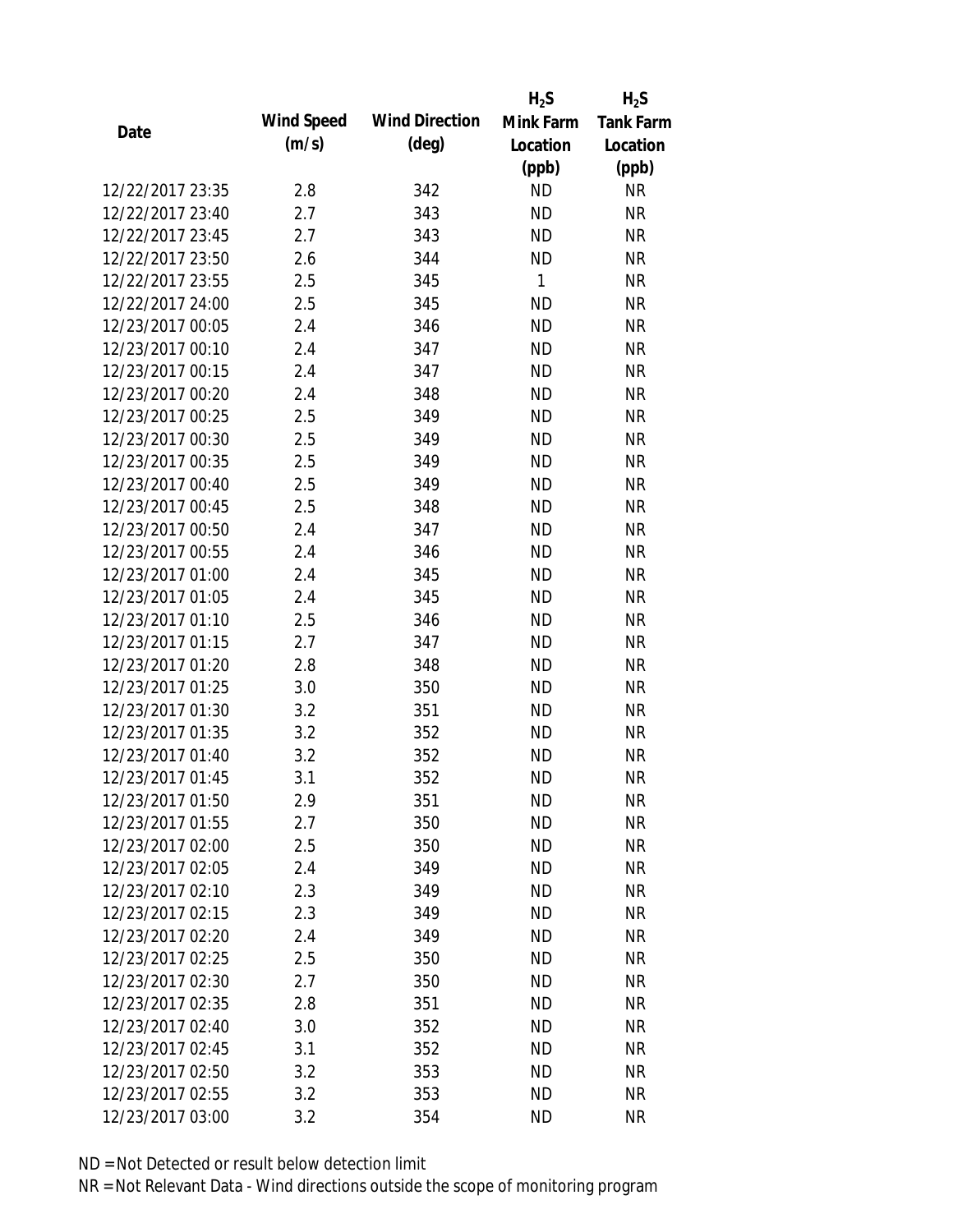|                  |            |                       | $H_2S$    | $H_2S$           |
|------------------|------------|-----------------------|-----------|------------------|
|                  | Wind Speed | <b>Wind Direction</b> | Mink Farm | <b>Tank Farm</b> |
| Date             | (m/s)      | $(\text{deg})$        | Location  | Location         |
|                  |            |                       | (ppb)     | (ppb)            |
| 12/22/2017 23:35 | 2.8        | 342                   | <b>ND</b> | <b>NR</b>        |
| 12/22/2017 23:40 | 2.7        | 343                   | <b>ND</b> | <b>NR</b>        |
| 12/22/2017 23:45 | 2.7        | 343                   | <b>ND</b> | <b>NR</b>        |
| 12/22/2017 23:50 | 2.6        | 344                   | <b>ND</b> | <b>NR</b>        |
| 12/22/2017 23:55 | 2.5        | 345                   | 1         | <b>NR</b>        |
| 12/22/2017 24:00 | 2.5        | 345                   | <b>ND</b> | <b>NR</b>        |
| 12/23/2017 00:05 | 2.4        | 346                   | <b>ND</b> | <b>NR</b>        |
| 12/23/2017 00:10 | 2.4        | 347                   | <b>ND</b> | <b>NR</b>        |
| 12/23/2017 00:15 | 2.4        | 347                   | <b>ND</b> | <b>NR</b>        |
| 12/23/2017 00:20 | 2.4        | 348                   | <b>ND</b> | <b>NR</b>        |
| 12/23/2017 00:25 | 2.5        | 349                   | <b>ND</b> | <b>NR</b>        |
| 12/23/2017 00:30 | 2.5        | 349                   | <b>ND</b> | <b>NR</b>        |
| 12/23/2017 00:35 | 2.5        | 349                   | <b>ND</b> | <b>NR</b>        |
| 12/23/2017 00:40 | 2.5        | 349                   | <b>ND</b> | <b>NR</b>        |
| 12/23/2017 00:45 | 2.5        | 348                   | <b>ND</b> | <b>NR</b>        |
| 12/23/2017 00:50 | 2.4        | 347                   | <b>ND</b> | <b>NR</b>        |
| 12/23/2017 00:55 | 2.4        | 346                   | <b>ND</b> | <b>NR</b>        |
| 12/23/2017 01:00 | 2.4        | 345                   | <b>ND</b> | <b>NR</b>        |
| 12/23/2017 01:05 | 2.4        | 345                   | <b>ND</b> | <b>NR</b>        |
| 12/23/2017 01:10 | 2.5        | 346                   | <b>ND</b> | <b>NR</b>        |
| 12/23/2017 01:15 | 2.7        | 347                   | <b>ND</b> | <b>NR</b>        |
| 12/23/2017 01:20 | 2.8        | 348                   | <b>ND</b> | <b>NR</b>        |
| 12/23/2017 01:25 | 3.0        | 350                   | <b>ND</b> | <b>NR</b>        |
| 12/23/2017 01:30 | 3.2        | 351                   | <b>ND</b> | <b>NR</b>        |
| 12/23/2017 01:35 | 3.2        | 352                   | <b>ND</b> | <b>NR</b>        |
| 12/23/2017 01:40 | 3.2        | 352                   | <b>ND</b> | <b>NR</b>        |
| 12/23/2017 01:45 | 3.1        | 352                   | <b>ND</b> | <b>NR</b>        |
| 12/23/2017 01:50 | 2.9        | 351                   | <b>ND</b> | <b>NR</b>        |
| 12/23/2017 01:55 | 2.7        | 350                   | <b>ND</b> | <b>NR</b>        |
| 12/23/2017 02:00 | 2.5        | 350                   | <b>ND</b> | <b>NR</b>        |
| 12/23/2017 02:05 | 2.4        | 349                   | <b>ND</b> | <b>NR</b>        |
| 12/23/2017 02:10 | 2.3        | 349                   | <b>ND</b> | <b>NR</b>        |
| 12/23/2017 02:15 | 2.3        | 349                   | <b>ND</b> | <b>NR</b>        |
| 12/23/2017 02:20 | 2.4        | 349                   | <b>ND</b> | <b>NR</b>        |
| 12/23/2017 02:25 | 2.5        | 350                   | <b>ND</b> | <b>NR</b>        |
| 12/23/2017 02:30 | 2.7        | 350                   | <b>ND</b> | <b>NR</b>        |
| 12/23/2017 02:35 | 2.8        | 351                   | <b>ND</b> | <b>NR</b>        |
| 12/23/2017 02:40 | 3.0        | 352                   | <b>ND</b> | <b>NR</b>        |
| 12/23/2017 02:45 | 3.1        | 352                   | <b>ND</b> | <b>NR</b>        |
| 12/23/2017 02:50 | 3.2        | 353                   | <b>ND</b> | NR               |
| 12/23/2017 02:55 | 3.2        | 353                   | <b>ND</b> | <b>NR</b>        |
| 12/23/2017 03:00 | 3.2        | 354                   | <b>ND</b> | <b>NR</b>        |
|                  |            |                       |           |                  |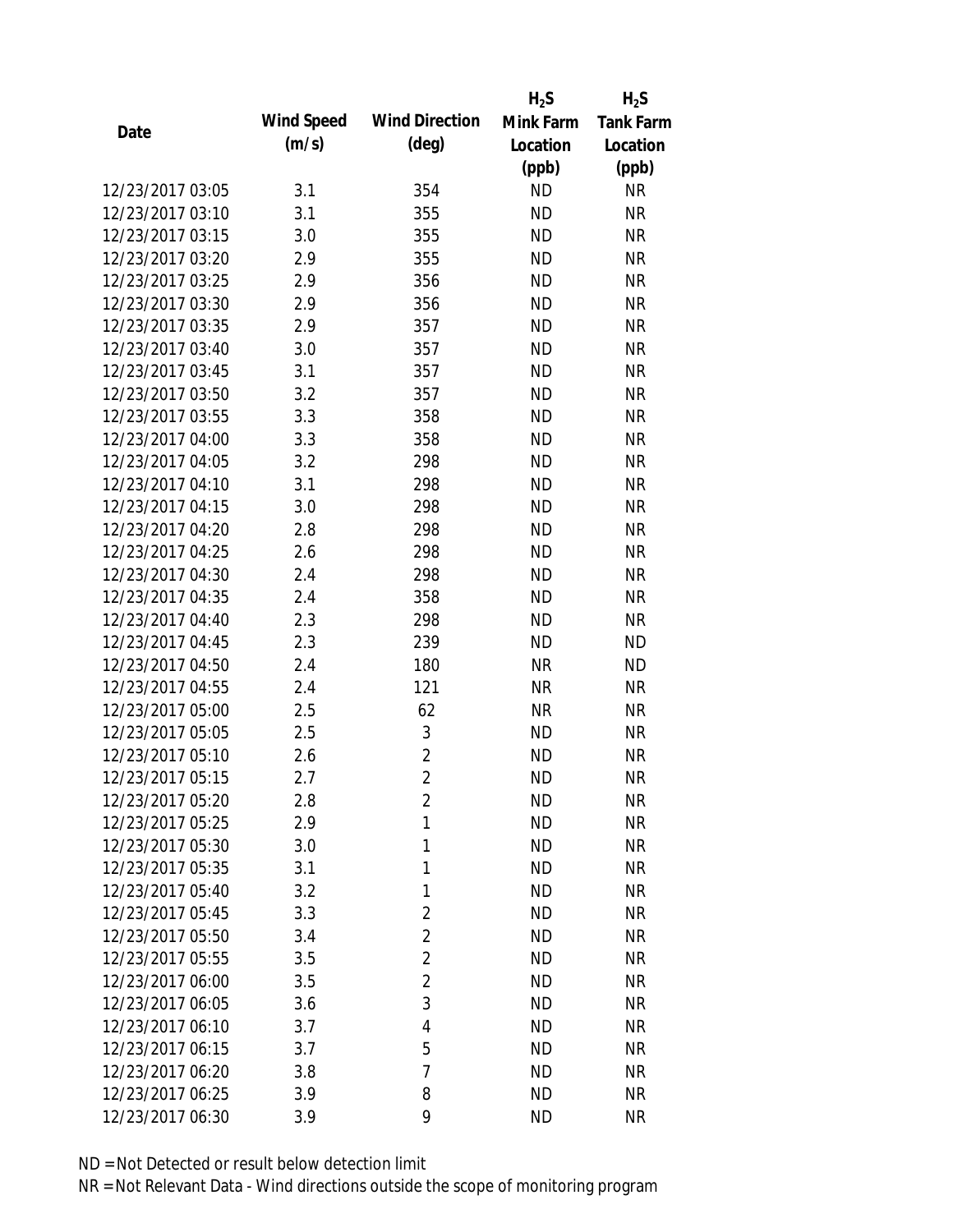|                  |            |                       | $H_2S$    | $H_2S$           |
|------------------|------------|-----------------------|-----------|------------------|
| Date             | Wind Speed | <b>Wind Direction</b> | Mink Farm | <b>Tank Farm</b> |
|                  | (m/s)      | $(\text{deg})$        | Location  | Location         |
|                  |            |                       | (ppb)     | (ppb)            |
| 12/23/2017 03:05 | 3.1        | 354                   | <b>ND</b> | <b>NR</b>        |
| 12/23/2017 03:10 | 3.1        | 355                   | <b>ND</b> | <b>NR</b>        |
| 12/23/2017 03:15 | 3.0        | 355                   | <b>ND</b> | <b>NR</b>        |
| 12/23/2017 03:20 | 2.9        | 355                   | <b>ND</b> | <b>NR</b>        |
| 12/23/2017 03:25 | 2.9        | 356                   | <b>ND</b> | <b>NR</b>        |
| 12/23/2017 03:30 | 2.9        | 356                   | <b>ND</b> | <b>NR</b>        |
| 12/23/2017 03:35 | 2.9        | 357                   | <b>ND</b> | <b>NR</b>        |
| 12/23/2017 03:40 | 3.0        | 357                   | <b>ND</b> | <b>NR</b>        |
| 12/23/2017 03:45 | 3.1        | 357                   | <b>ND</b> | <b>NR</b>        |
| 12/23/2017 03:50 | 3.2        | 357                   | <b>ND</b> | <b>NR</b>        |
| 12/23/2017 03:55 | 3.3        | 358                   | <b>ND</b> | <b>NR</b>        |
| 12/23/2017 04:00 | 3.3        | 358                   | <b>ND</b> | <b>NR</b>        |
| 12/23/2017 04:05 | 3.2        | 298                   | <b>ND</b> | <b>NR</b>        |
| 12/23/2017 04:10 | 3.1        | 298                   | <b>ND</b> | <b>NR</b>        |
| 12/23/2017 04:15 | 3.0        | 298                   | <b>ND</b> | <b>NR</b>        |
| 12/23/2017 04:20 | 2.8        | 298                   | <b>ND</b> | <b>NR</b>        |
| 12/23/2017 04:25 | 2.6        | 298                   | <b>ND</b> | <b>NR</b>        |
| 12/23/2017 04:30 | 2.4        | 298                   | <b>ND</b> | <b>NR</b>        |
| 12/23/2017 04:35 | 2.4        | 358                   | <b>ND</b> | <b>NR</b>        |
| 12/23/2017 04:40 | 2.3        | 298                   | <b>ND</b> | <b>NR</b>        |
| 12/23/2017 04:45 | 2.3        | 239                   | <b>ND</b> | <b>ND</b>        |
| 12/23/2017 04:50 | 2.4        | 180                   | <b>NR</b> | <b>ND</b>        |
| 12/23/2017 04:55 | 2.4        | 121                   | <b>NR</b> | <b>NR</b>        |
| 12/23/2017 05:00 | 2.5        | 62                    | <b>NR</b> | <b>NR</b>        |
| 12/23/2017 05:05 | 2.5        | 3                     | <b>ND</b> | <b>NR</b>        |
| 12/23/2017 05:10 | 2.6        | $\overline{2}$        | <b>ND</b> | <b>NR</b>        |
| 12/23/2017 05:15 | 2.7        | $\overline{2}$        | <b>ND</b> | <b>NR</b>        |
| 12/23/2017 05:20 | 2.8        | $\overline{c}$        | <b>ND</b> | <b>NR</b>        |
| 12/23/2017 05:25 | 2.9        | 1                     | <b>ND</b> | <b>NR</b>        |
| 12/23/2017 05:30 | 3.0        | 1                     | <b>ND</b> | <b>NR</b>        |
| 12/23/2017 05:35 | 3.1        | 1                     | <b>ND</b> | <b>NR</b>        |
| 12/23/2017 05:40 | 3.2        | 1                     | <b>ND</b> | <b>NR</b>        |
| 12/23/2017 05:45 | 3.3        | $\overline{2}$        | <b>ND</b> | <b>NR</b>        |
| 12/23/2017 05:50 | 3.4        | $\overline{2}$        | <b>ND</b> | <b>NR</b>        |
| 12/23/2017 05:55 | 3.5        | 2                     | <b>ND</b> | <b>NR</b>        |
| 12/23/2017 06:00 | 3.5        | 2                     | <b>ND</b> | <b>NR</b>        |
| 12/23/2017 06:05 | 3.6        | 3                     | <b>ND</b> | <b>NR</b>        |
| 12/23/2017 06:10 | 3.7        | 4                     | <b>ND</b> | <b>NR</b>        |
| 12/23/2017 06:15 | 3.7        | 5                     | <b>ND</b> | <b>NR</b>        |
| 12/23/2017 06:20 | 3.8        | 7                     | <b>ND</b> | <b>NR</b>        |
| 12/23/2017 06:25 | 3.9        | 8                     | <b>ND</b> | <b>NR</b>        |
| 12/23/2017 06:30 | 3.9        | 9                     | <b>ND</b> | <b>NR</b>        |
|                  |            |                       |           |                  |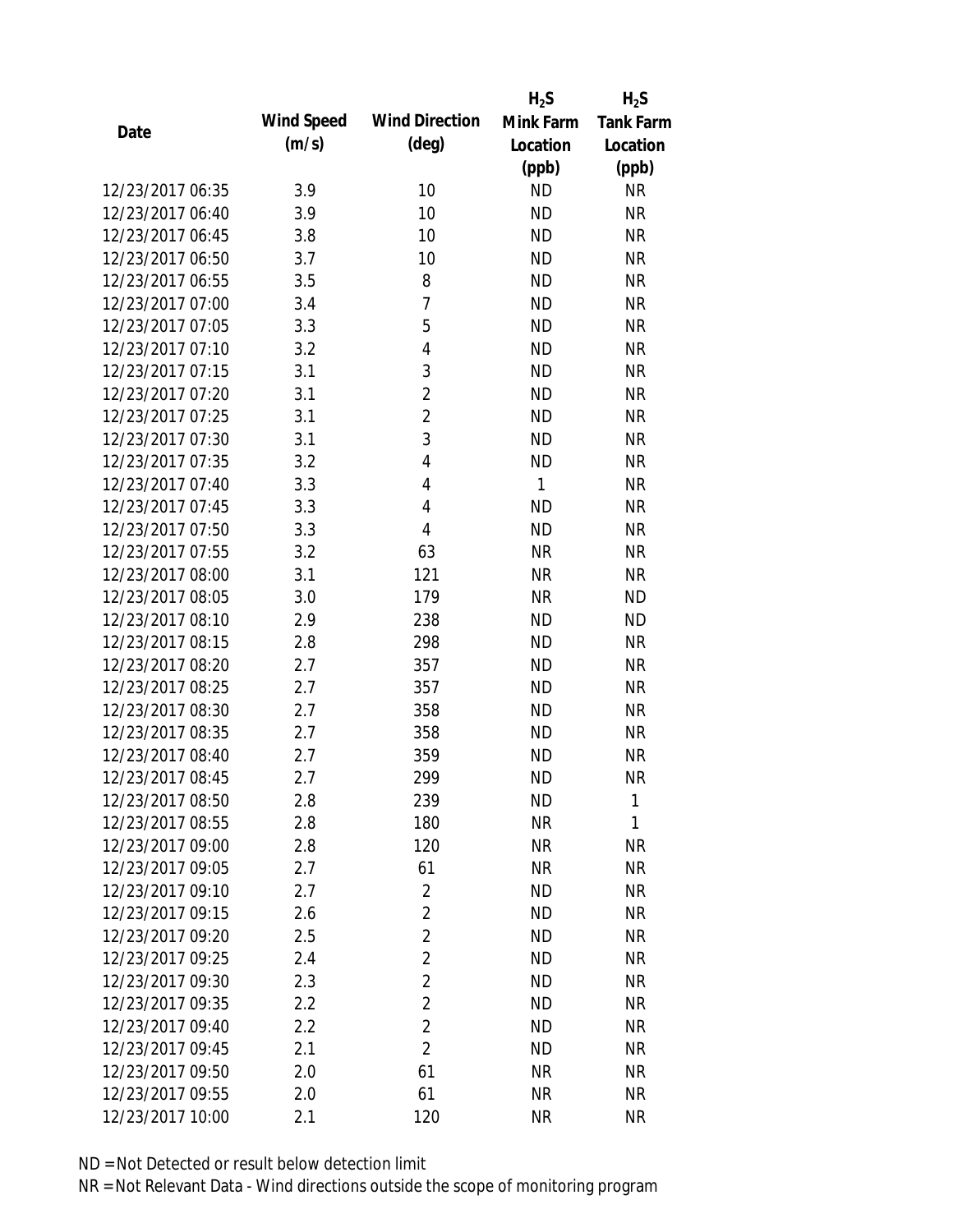|                  |            |                       | $H_2S$    | $H_2S$           |
|------------------|------------|-----------------------|-----------|------------------|
| Date             | Wind Speed | <b>Wind Direction</b> | Mink Farm | <b>Tank Farm</b> |
|                  | (m/s)      | $(\text{deg})$        | Location  | Location         |
|                  |            |                       | (ppb)     | (ppb)            |
| 12/23/2017 06:35 | 3.9        | 10                    | <b>ND</b> | <b>NR</b>        |
| 12/23/2017 06:40 | 3.9        | 10                    | <b>ND</b> | <b>NR</b>        |
| 12/23/2017 06:45 | 3.8        | 10                    | <b>ND</b> | <b>NR</b>        |
| 12/23/2017 06:50 | 3.7        | 10                    | <b>ND</b> | <b>NR</b>        |
| 12/23/2017 06:55 | 3.5        | 8                     | <b>ND</b> | <b>NR</b>        |
| 12/23/2017 07:00 | 3.4        | 7                     | <b>ND</b> | <b>NR</b>        |
| 12/23/2017 07:05 | 3.3        | 5                     | <b>ND</b> | <b>NR</b>        |
| 12/23/2017 07:10 | 3.2        | 4                     | <b>ND</b> | <b>NR</b>        |
| 12/23/2017 07:15 | 3.1        | 3                     | <b>ND</b> | <b>NR</b>        |
| 12/23/2017 07:20 | 3.1        | $\overline{2}$        | <b>ND</b> | <b>NR</b>        |
| 12/23/2017 07:25 | 3.1        | $\overline{2}$        | <b>ND</b> | <b>NR</b>        |
| 12/23/2017 07:30 | 3.1        | 3                     | <b>ND</b> | <b>NR</b>        |
| 12/23/2017 07:35 | 3.2        | 4                     | <b>ND</b> | <b>NR</b>        |
| 12/23/2017 07:40 | 3.3        | 4                     | 1         | <b>NR</b>        |
| 12/23/2017 07:45 | 3.3        | 4                     | <b>ND</b> | <b>NR</b>        |
| 12/23/2017 07:50 | 3.3        | 4                     | <b>ND</b> | <b>NR</b>        |
| 12/23/2017 07:55 | 3.2        | 63                    | <b>NR</b> | <b>NR</b>        |
| 12/23/2017 08:00 | 3.1        | 121                   | <b>NR</b> | <b>NR</b>        |
| 12/23/2017 08:05 | 3.0        | 179                   | <b>NR</b> | <b>ND</b>        |
| 12/23/2017 08:10 | 2.9        | 238                   | <b>ND</b> | <b>ND</b>        |
| 12/23/2017 08:15 | 2.8        | 298                   | <b>ND</b> | <b>NR</b>        |
| 12/23/2017 08:20 | 2.7        | 357                   | <b>ND</b> | <b>NR</b>        |
| 12/23/2017 08:25 | 2.7        | 357                   | <b>ND</b> | <b>NR</b>        |
| 12/23/2017 08:30 | 2.7        | 358                   | <b>ND</b> | <b>NR</b>        |
| 12/23/2017 08:35 | 2.7        | 358                   | <b>ND</b> | <b>NR</b>        |
| 12/23/2017 08:40 | 2.7        | 359                   | <b>ND</b> | <b>NR</b>        |
| 12/23/2017 08:45 | 2.7        | 299                   | <b>ND</b> | <b>NR</b>        |
| 12/23/2017 08:50 | 2.8        | 239                   | <b>ND</b> | 1                |
| 12/23/2017 08:55 | 2.8        | 180                   | <b>NR</b> | 1                |
| 12/23/2017 09:00 | 2.8        | 120                   | NR        | <b>NR</b>        |
| 12/23/2017 09:05 | 2.7        | 61                    | <b>NR</b> | <b>NR</b>        |
| 12/23/2017 09:10 | 2.7        | $\overline{2}$        | <b>ND</b> | <b>NR</b>        |
| 12/23/2017 09:15 | 2.6        | $\overline{2}$        | <b>ND</b> | <b>NR</b>        |
| 12/23/2017 09:20 | 2.5        | $\overline{2}$        | <b>ND</b> | <b>NR</b>        |
| 12/23/2017 09:25 | 2.4        | 2                     | <b>ND</b> | <b>NR</b>        |
| 12/23/2017 09:30 | 2.3        | $\overline{2}$        | <b>ND</b> | <b>NR</b>        |
| 12/23/2017 09:35 | 2.2        | 2                     | <b>ND</b> | <b>NR</b>        |
| 12/23/2017 09:40 | 2.2        | $\overline{2}$        | <b>ND</b> | <b>NR</b>        |
| 12/23/2017 09:45 | 2.1        | $\overline{2}$        | <b>ND</b> | <b>NR</b>        |
| 12/23/2017 09:50 | 2.0        | 61                    | <b>NR</b> | <b>NR</b>        |
| 12/23/2017 09:55 | 2.0        | 61                    | <b>NR</b> | <b>NR</b>        |
| 12/23/2017 10:00 | 2.1        | 120                   | <b>NR</b> | <b>NR</b>        |
|                  |            |                       |           |                  |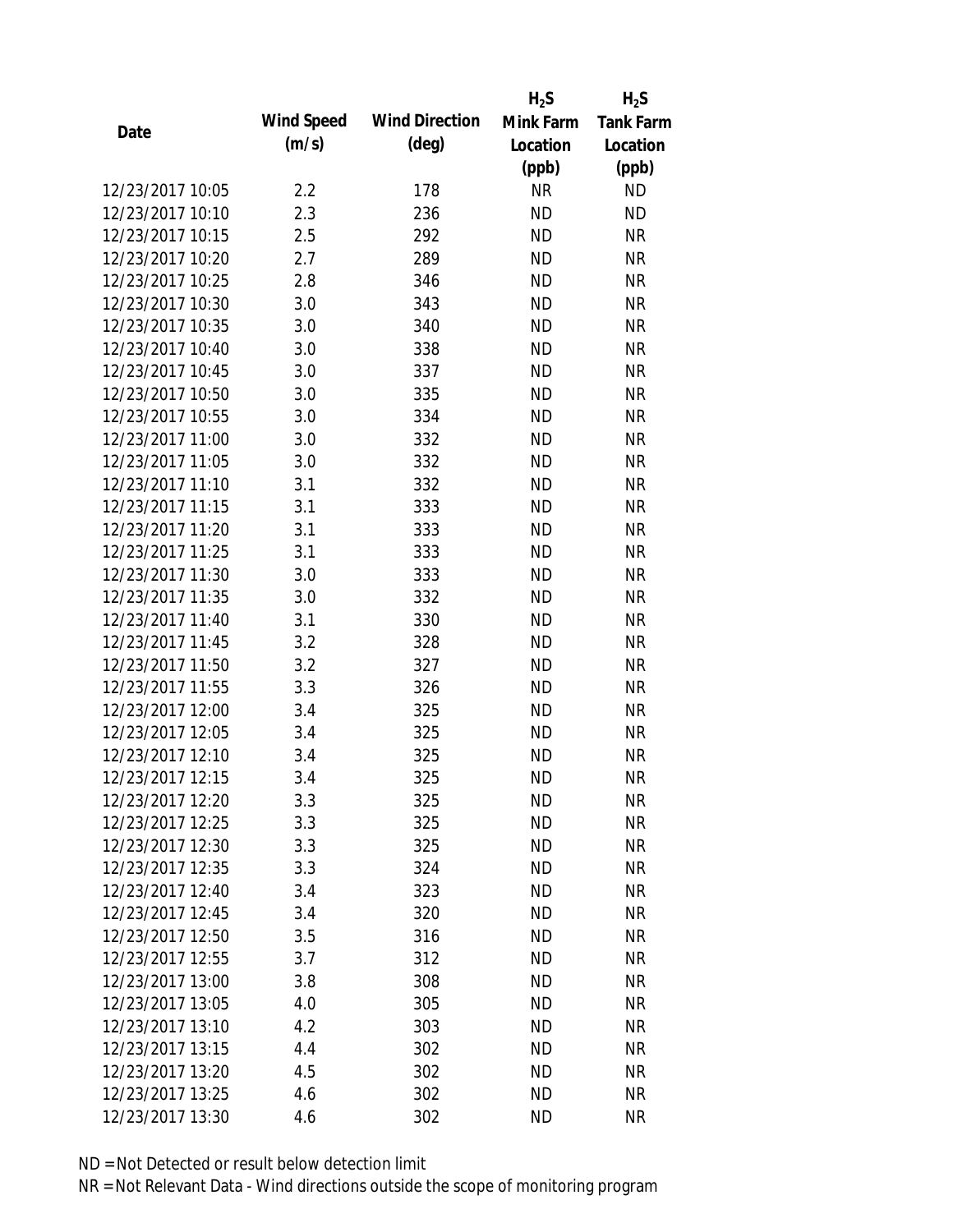|                  |            |                       | $H_2S$    | $H_2S$           |
|------------------|------------|-----------------------|-----------|------------------|
| Date             | Wind Speed | <b>Wind Direction</b> | Mink Farm | <b>Tank Farm</b> |
|                  | (m/s)      | $(\text{deg})$        | Location  | Location         |
|                  |            |                       | (ppb)     | (ppb)            |
| 12/23/2017 10:05 | 2.2        | 178                   | <b>NR</b> | <b>ND</b>        |
| 12/23/2017 10:10 | 2.3        | 236                   | <b>ND</b> | <b>ND</b>        |
| 12/23/2017 10:15 | 2.5        | 292                   | <b>ND</b> | <b>NR</b>        |
| 12/23/2017 10:20 | 2.7        | 289                   | <b>ND</b> | <b>NR</b>        |
| 12/23/2017 10:25 | 2.8        | 346                   | <b>ND</b> | <b>NR</b>        |
| 12/23/2017 10:30 | 3.0        | 343                   | <b>ND</b> | <b>NR</b>        |
| 12/23/2017 10:35 | 3.0        | 340                   | <b>ND</b> | <b>NR</b>        |
| 12/23/2017 10:40 | 3.0        | 338                   | <b>ND</b> | <b>NR</b>        |
| 12/23/2017 10:45 | 3.0        | 337                   | <b>ND</b> | <b>NR</b>        |
| 12/23/2017 10:50 | 3.0        | 335                   | <b>ND</b> | <b>NR</b>        |
| 12/23/2017 10:55 | 3.0        | 334                   | <b>ND</b> | <b>NR</b>        |
| 12/23/2017 11:00 | 3.0        | 332                   | <b>ND</b> | <b>NR</b>        |
| 12/23/2017 11:05 | 3.0        | 332                   | <b>ND</b> | <b>NR</b>        |
| 12/23/2017 11:10 | 3.1        | 332                   | <b>ND</b> | <b>NR</b>        |
| 12/23/2017 11:15 | 3.1        | 333                   | <b>ND</b> | <b>NR</b>        |
| 12/23/2017 11:20 | 3.1        | 333                   | <b>ND</b> | <b>NR</b>        |
| 12/23/2017 11:25 | 3.1        | 333                   | <b>ND</b> | <b>NR</b>        |
| 12/23/2017 11:30 | 3.0        | 333                   | <b>ND</b> | <b>NR</b>        |
| 12/23/2017 11:35 | 3.0        | 332                   | <b>ND</b> | <b>NR</b>        |
| 12/23/2017 11:40 | 3.1        | 330                   | <b>ND</b> | <b>NR</b>        |
| 12/23/2017 11:45 | 3.2        | 328                   | <b>ND</b> | <b>NR</b>        |
| 12/23/2017 11:50 | 3.2        | 327                   | <b>ND</b> | <b>NR</b>        |
| 12/23/2017 11:55 | 3.3        | 326                   | <b>ND</b> | <b>NR</b>        |
| 12/23/2017 12:00 | 3.4        | 325                   | <b>ND</b> | <b>NR</b>        |
| 12/23/2017 12:05 | 3.4        | 325                   | <b>ND</b> | <b>NR</b>        |
| 12/23/2017 12:10 | 3.4        | 325                   | <b>ND</b> | <b>NR</b>        |
| 12/23/2017 12:15 | 3.4        | 325                   | <b>ND</b> | <b>NR</b>        |
| 12/23/2017 12:20 | 3.3        | 325                   | <b>ND</b> | <b>NR</b>        |
| 12/23/2017 12:25 | 3.3        | 325                   | <b>ND</b> | <b>NR</b>        |
| 12/23/2017 12:30 | 3.3        | 325                   | ND        | <b>NR</b>        |
| 12/23/2017 12:35 | 3.3        | 324                   | <b>ND</b> | <b>NR</b>        |
| 12/23/2017 12:40 | 3.4        | 323                   | <b>ND</b> | <b>NR</b>        |
| 12/23/2017 12:45 | 3.4        | 320                   | <b>ND</b> | <b>NR</b>        |
| 12/23/2017 12:50 | 3.5        | 316                   | <b>ND</b> | <b>NR</b>        |
| 12/23/2017 12:55 | 3.7        | 312                   | <b>ND</b> | <b>NR</b>        |
| 12/23/2017 13:00 | 3.8        | 308                   | <b>ND</b> | <b>NR</b>        |
| 12/23/2017 13:05 | 4.0        | 305                   | ND.       | <b>NR</b>        |
| 12/23/2017 13:10 | 4.2        | 303                   | <b>ND</b> | <b>NR</b>        |
| 12/23/2017 13:15 | 4.4        | 302                   | <b>ND</b> | <b>NR</b>        |
| 12/23/2017 13:20 | 4.5        | 302                   | <b>ND</b> | <b>NR</b>        |
| 12/23/2017 13:25 | 4.6        | 302                   | <b>ND</b> | <b>NR</b>        |
| 12/23/2017 13:30 | 4.6        | 302                   | <b>ND</b> | <b>NR</b>        |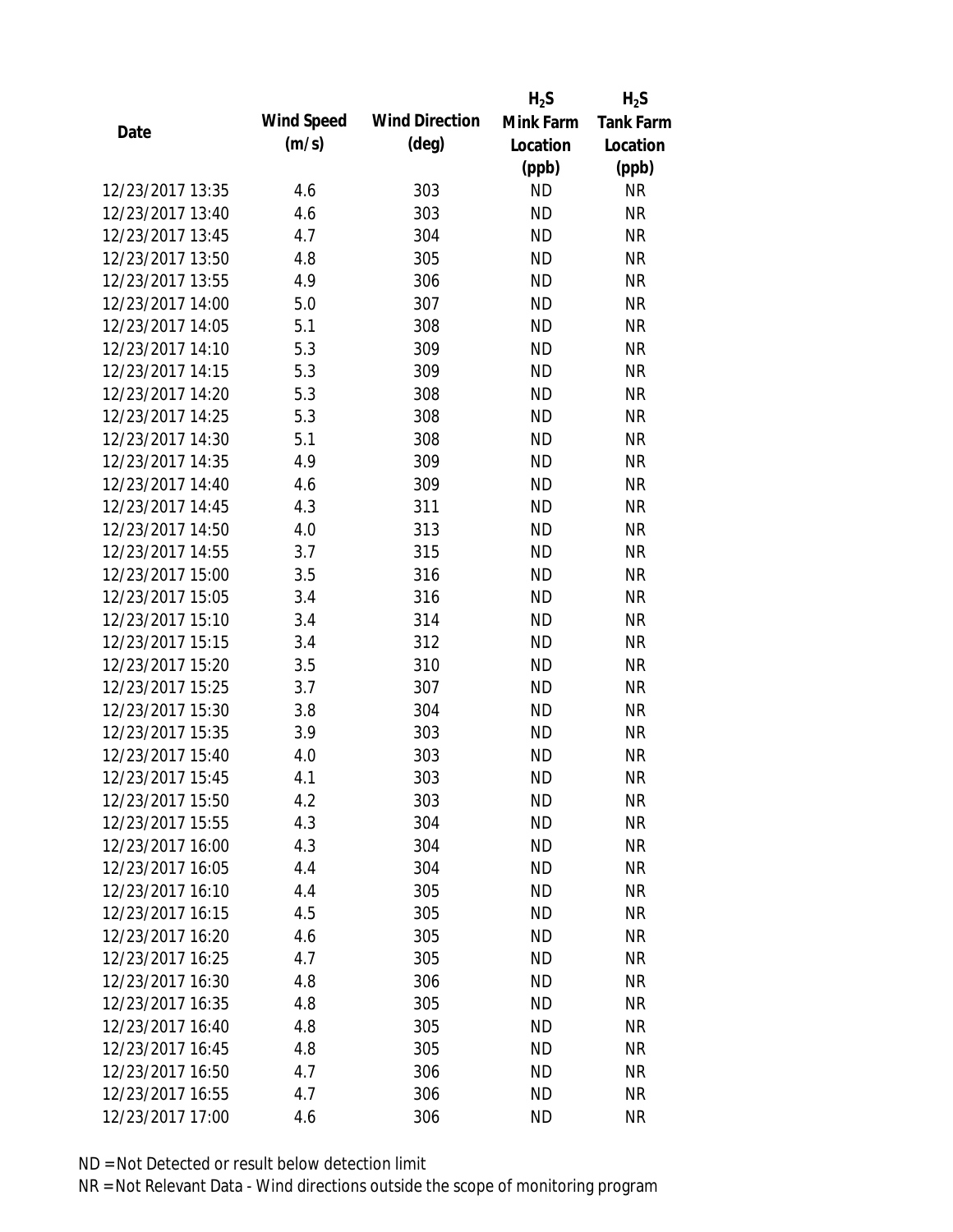|                  |            |                       | $H_2S$    | $H_2S$           |
|------------------|------------|-----------------------|-----------|------------------|
| Date             | Wind Speed | <b>Wind Direction</b> | Mink Farm | <b>Tank Farm</b> |
|                  | (m/s)      | $(\text{deg})$        | Location  | Location         |
|                  |            |                       | (ppb)     | (ppb)            |
| 12/23/2017 13:35 | 4.6        | 303                   | <b>ND</b> | <b>NR</b>        |
| 12/23/2017 13:40 | 4.6        | 303                   | <b>ND</b> | <b>NR</b>        |
| 12/23/2017 13:45 | 4.7        | 304                   | <b>ND</b> | <b>NR</b>        |
| 12/23/2017 13:50 | 4.8        | 305                   | <b>ND</b> | <b>NR</b>        |
| 12/23/2017 13:55 | 4.9        | 306                   | <b>ND</b> | <b>NR</b>        |
| 12/23/2017 14:00 | 5.0        | 307                   | <b>ND</b> | <b>NR</b>        |
| 12/23/2017 14:05 | 5.1        | 308                   | <b>ND</b> | <b>NR</b>        |
| 12/23/2017 14:10 | 5.3        | 309                   | <b>ND</b> | <b>NR</b>        |
| 12/23/2017 14:15 | 5.3        | 309                   | <b>ND</b> | <b>NR</b>        |
| 12/23/2017 14:20 | 5.3        | 308                   | <b>ND</b> | <b>NR</b>        |
| 12/23/2017 14:25 | 5.3        | 308                   | <b>ND</b> | <b>NR</b>        |
| 12/23/2017 14:30 | 5.1        | 308                   | <b>ND</b> | <b>NR</b>        |
| 12/23/2017 14:35 | 4.9        | 309                   | <b>ND</b> | <b>NR</b>        |
| 12/23/2017 14:40 | 4.6        | 309                   | <b>ND</b> | <b>NR</b>        |
| 12/23/2017 14:45 | 4.3        | 311                   | <b>ND</b> | <b>NR</b>        |
| 12/23/2017 14:50 | 4.0        | 313                   | <b>ND</b> | <b>NR</b>        |
| 12/23/2017 14:55 | 3.7        | 315                   | <b>ND</b> | <b>NR</b>        |
| 12/23/2017 15:00 | 3.5        | 316                   | <b>ND</b> | <b>NR</b>        |
| 12/23/2017 15:05 | 3.4        | 316                   | <b>ND</b> | <b>NR</b>        |
| 12/23/2017 15:10 | 3.4        | 314                   | <b>ND</b> | <b>NR</b>        |
| 12/23/2017 15:15 | 3.4        | 312                   | <b>ND</b> | <b>NR</b>        |
| 12/23/2017 15:20 | 3.5        | 310                   | <b>ND</b> | <b>NR</b>        |
| 12/23/2017 15:25 | 3.7        | 307                   | <b>ND</b> | <b>NR</b>        |
| 12/23/2017 15:30 | 3.8        | 304                   | <b>ND</b> | <b>NR</b>        |
| 12/23/2017 15:35 | 3.9        | 303                   | <b>ND</b> | <b>NR</b>        |
| 12/23/2017 15:40 | 4.0        | 303                   | <b>ND</b> | <b>NR</b>        |
| 12/23/2017 15:45 | 4.1        | 303                   | <b>ND</b> | <b>NR</b>        |
| 12/23/2017 15:50 | 4.2        | 303                   | <b>ND</b> | <b>NR</b>        |
| 12/23/2017 15:55 | 4.3        | 304                   | <b>ND</b> | <b>NR</b>        |
| 12/23/2017 16:00 | 4.3        | 304                   | ND        | <b>NR</b>        |
| 12/23/2017 16:05 | 4.4        | 304                   | <b>ND</b> | <b>NR</b>        |
| 12/23/2017 16:10 | 4.4        | 305                   | <b>ND</b> | <b>NR</b>        |
| 12/23/2017 16:15 | 4.5        | 305                   | <b>ND</b> | <b>NR</b>        |
| 12/23/2017 16:20 | 4.6        | 305                   | <b>ND</b> | <b>NR</b>        |
| 12/23/2017 16:25 | 4.7        | 305                   | <b>ND</b> | <b>NR</b>        |
| 12/23/2017 16:30 | 4.8        | 306                   | <b>ND</b> | <b>NR</b>        |
| 12/23/2017 16:35 | 4.8        | 305                   | ND.       | <b>NR</b>        |
| 12/23/2017 16:40 | 4.8        | 305                   | <b>ND</b> | <b>NR</b>        |
| 12/23/2017 16:45 | 4.8        | 305                   | <b>ND</b> | <b>NR</b>        |
| 12/23/2017 16:50 | 4.7        | 306                   | <b>ND</b> | NR               |
| 12/23/2017 16:55 | 4.7        | 306                   | <b>ND</b> | <b>NR</b>        |
| 12/23/2017 17:00 | 4.6        | 306                   | <b>ND</b> | <b>NR</b>        |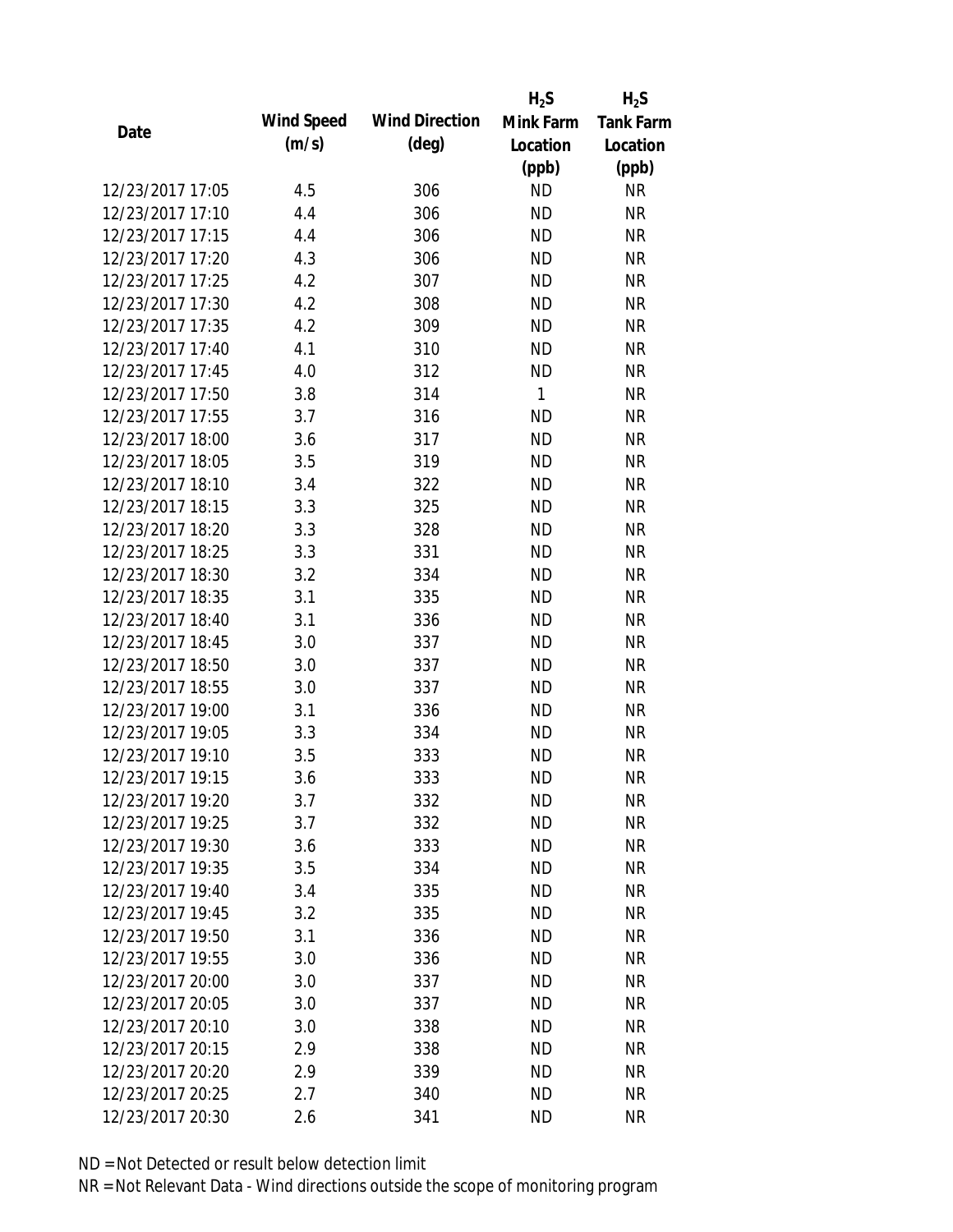|                  |            |                       | $H_2S$    | $H_2S$           |
|------------------|------------|-----------------------|-----------|------------------|
| Date             | Wind Speed | <b>Wind Direction</b> | Mink Farm | <b>Tank Farm</b> |
|                  | (m/s)      | $(\text{deg})$        | Location  | Location         |
|                  |            |                       | (ppb)     | (ppb)            |
| 12/23/2017 17:05 | 4.5        | 306                   | <b>ND</b> | <b>NR</b>        |
| 12/23/2017 17:10 | 4.4        | 306                   | <b>ND</b> | <b>NR</b>        |
| 12/23/2017 17:15 | 4.4        | 306                   | <b>ND</b> | <b>NR</b>        |
| 12/23/2017 17:20 | 4.3        | 306                   | <b>ND</b> | <b>NR</b>        |
| 12/23/2017 17:25 | 4.2        | 307                   | <b>ND</b> | <b>NR</b>        |
| 12/23/2017 17:30 | 4.2        | 308                   | <b>ND</b> | <b>NR</b>        |
| 12/23/2017 17:35 | 4.2        | 309                   | <b>ND</b> | <b>NR</b>        |
| 12/23/2017 17:40 | 4.1        | 310                   | <b>ND</b> | <b>NR</b>        |
| 12/23/2017 17:45 | 4.0        | 312                   | <b>ND</b> | <b>NR</b>        |
| 12/23/2017 17:50 | 3.8        | 314                   | 1         | <b>NR</b>        |
| 12/23/2017 17:55 | 3.7        | 316                   | <b>ND</b> | <b>NR</b>        |
| 12/23/2017 18:00 | 3.6        | 317                   | <b>ND</b> | <b>NR</b>        |
| 12/23/2017 18:05 | 3.5        | 319                   | <b>ND</b> | <b>NR</b>        |
| 12/23/2017 18:10 | 3.4        | 322                   | <b>ND</b> | <b>NR</b>        |
| 12/23/2017 18:15 | 3.3        | 325                   | <b>ND</b> | <b>NR</b>        |
| 12/23/2017 18:20 | 3.3        | 328                   | <b>ND</b> | <b>NR</b>        |
| 12/23/2017 18:25 | 3.3        | 331                   | <b>ND</b> | <b>NR</b>        |
| 12/23/2017 18:30 | 3.2        | 334                   | <b>ND</b> | <b>NR</b>        |
| 12/23/2017 18:35 | 3.1        | 335                   | <b>ND</b> | <b>NR</b>        |
| 12/23/2017 18:40 | 3.1        | 336                   | <b>ND</b> | <b>NR</b>        |
| 12/23/2017 18:45 | 3.0        | 337                   | <b>ND</b> | <b>NR</b>        |
| 12/23/2017 18:50 | 3.0        | 337                   | <b>ND</b> | <b>NR</b>        |
| 12/23/2017 18:55 | 3.0        | 337                   | <b>ND</b> | <b>NR</b>        |
| 12/23/2017 19:00 | 3.1        | 336                   | <b>ND</b> | <b>NR</b>        |
| 12/23/2017 19:05 | 3.3        | 334                   | <b>ND</b> | <b>NR</b>        |
| 12/23/2017 19:10 | 3.5        | 333                   | <b>ND</b> | <b>NR</b>        |
| 12/23/2017 19:15 | 3.6        | 333                   | <b>ND</b> | <b>NR</b>        |
| 12/23/2017 19:20 | 3.7        | 332                   | ND        | <b>NR</b>        |
| 12/23/2017 19:25 | 3.7        | 332                   | <b>ND</b> | <b>NR</b>        |
| 12/23/2017 19:30 | 3.6        | 333                   | ND        | <b>NR</b>        |
| 12/23/2017 19:35 | 3.5        | 334                   | <b>ND</b> | <b>NR</b>        |
| 12/23/2017 19:40 | 3.4        | 335                   | <b>ND</b> | <b>NR</b>        |
| 12/23/2017 19:45 | 3.2        | 335                   | <b>ND</b> | <b>NR</b>        |
| 12/23/2017 19:50 | 3.1        | 336                   | <b>ND</b> | <b>NR</b>        |
| 12/23/2017 19:55 | 3.0        | 336                   | <b>ND</b> | <b>NR</b>        |
| 12/23/2017 20:00 | 3.0        | 337                   | <b>ND</b> | <b>NR</b>        |
| 12/23/2017 20:05 | 3.0        | 337                   | ND.       | <b>NR</b>        |
| 12/23/2017 20:10 | 3.0        | 338                   | <b>ND</b> | <b>NR</b>        |
| 12/23/2017 20:15 | 2.9        | 338                   | <b>ND</b> | <b>NR</b>        |
| 12/23/2017 20:20 | 2.9        | 339                   | <b>ND</b> | <b>NR</b>        |
| 12/23/2017 20:25 | 2.7        |                       | <b>ND</b> | <b>NR</b>        |
|                  |            | 340                   |           |                  |
| 12/23/2017 20:30 | 2.6        | 341                   | <b>ND</b> | <b>NR</b>        |